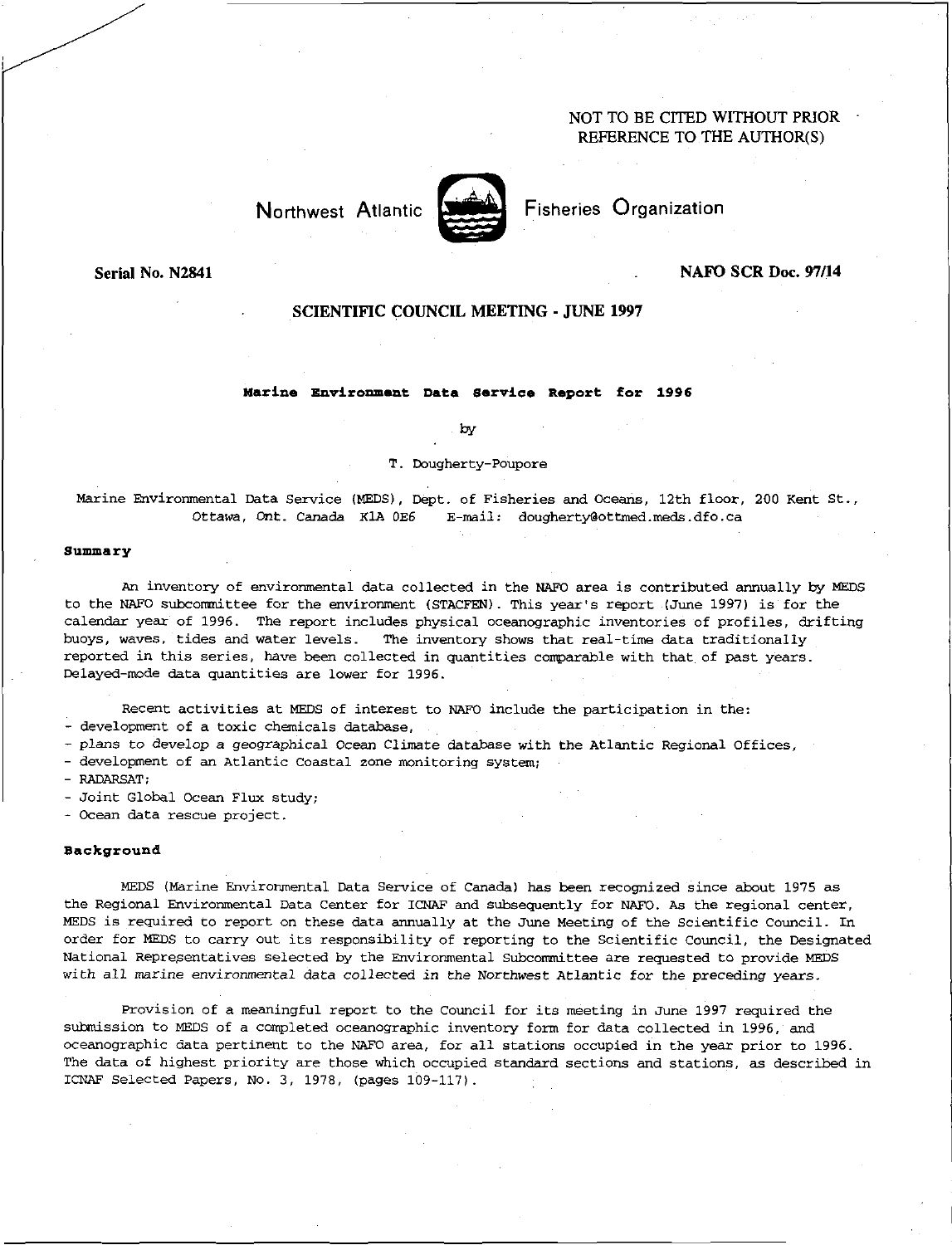# NOT TO BE CITED WITHOUT PRIOR REFERENCE TO THE AUTHOR(S)



Fisheries Organization

## Serial No. N2841

# NAFO SCR Doc. 97/14

# SCIENTIFIC COUNCIL MEETING - JUNE 1997

#### **Marine Environment Data Service Report for 1996**

by

#### T. Dougherty-Poupore

Marine Environmental Data Service (MEDS), Dept. of Fisheries and Oceans, 12th floor, 200 Kent St., Ottawa, Ont. Canada KlA 0E6 E-mail: dougherty@ottmed.meds.dfo.ca

#### **Summary**

An inventory of environmental data collected in the NAFO area is contributed annually by MEDS to the NAFO subcommittee for the environment (STACFEN). This year's report (June 1997) is for the calendar year of 1996. The report includes physical oceanographic inventories of profiles, drifting buoys, waves, tides and water levels. The inventory shows that real-time data traditionally reported in this series, have been collected in quantities comparable with that of past years. Delayed-mode data quantities are lower for 1996.

Recent activities at MEDS of interest to NAFO include the participation in the:

- development of a toxic chemicals database,

- plans to develop a geographical Ocean Climate database with the Atlantic Regional Offices,

- development of an Atlantic Coastal zone monitoring system;

- RADARSAT;

- Joint Global Ocean Flux study;

- Ocean data rescue project.

#### **Background**

MEDS (Marine Environmental Data Service of Canada) has been recognized since about 1975 as the Regional Environmental Data Center for ICNAF and subsequently for NAPO. *As* the regional center, MEDS is required to report on these data annually at the June Meeting of the Scientific Council. In order for MEDS to carry out its responsibility of reporting to the Scientific Council, the Designated National Representatives selected by the Environmental Subcommittee are requested to provide MEDS with all *marine* environmental data collected in the Northwest Atlantic for the preceding years.

Provision of a meaningful report to the Council for its meeting in June 1997 required the submission to MEDS of a completed oceanographic inventory form for data collected in 1996, and oceanographic data pertinent to the NAFO area, for all stations occupied in the year prior to 1996. The data of highest priority are those which occupied standard sections and stations, as described in ICNAF Selected Papers, No. 3, 1978, (pages 109-117).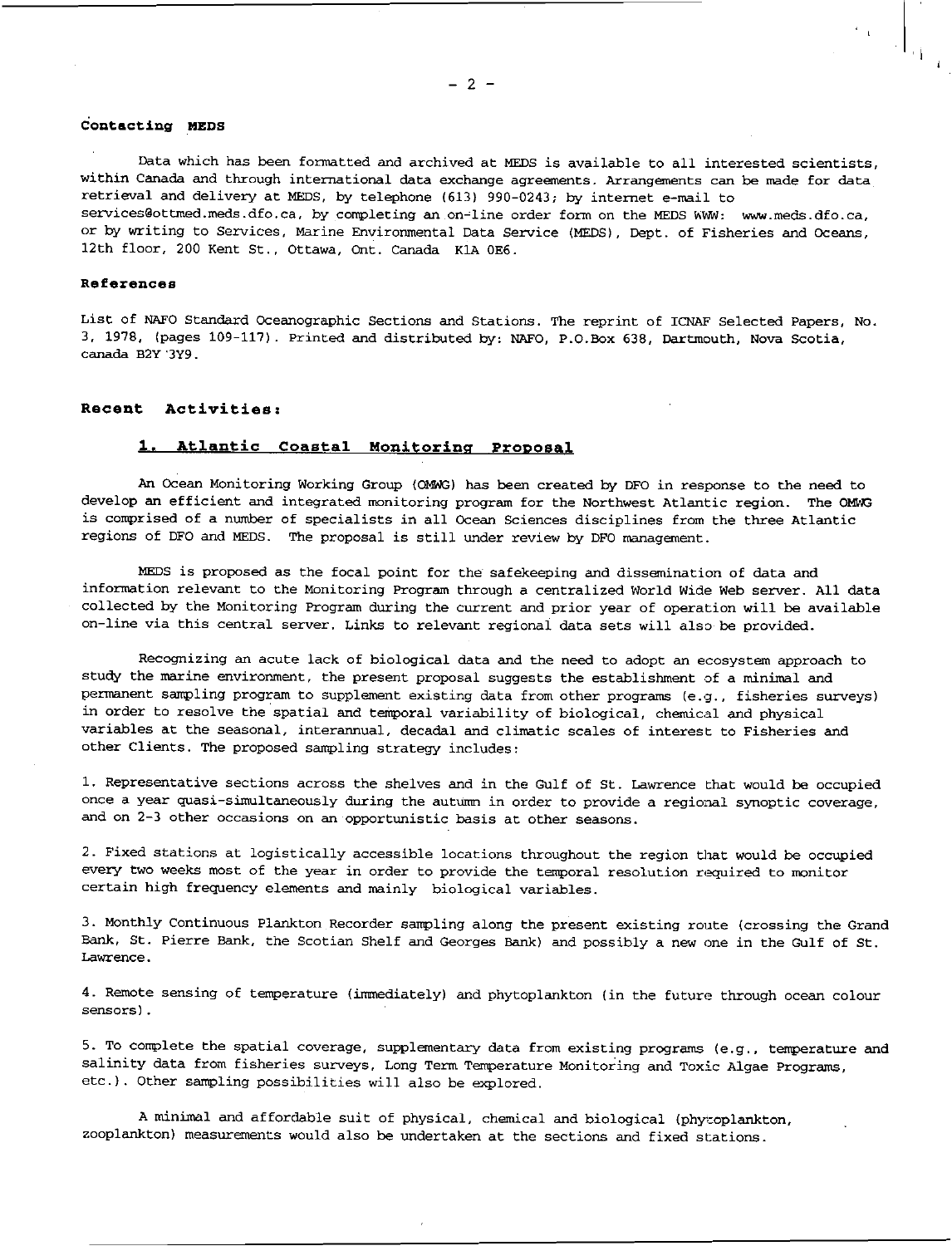# **Contacting MEDS**

Data which has been formatted and archived at MEDS is available to all interested scientists, within Canada and through international data exchange agreements. Arrangements can be made for data retrieval and delivery at MEDS, by telephone (613) 990-0243; by internet e-mail to services@ottmed.meds.dfo.ca, by completing an on-line order form on the MEDS WWW: www.meds.dfo.ca, or by writing to Services, Marine Environmental Data Service (MEDS), Dept. of Fisheries and Oceans 12th floor, 200 Kent St., Ottawa, Ont. Canada K1A 0E6.

#### **References**

List of NAFO Standard Oceanographic Sections and Stations. The reprint of ICNAF Selected Papers, No. 3, 1978, (pages 109-117). Printed and distributed by: NAFO, P.O.Box 638, Dartmouth, Nova Scotia, canada B2Y'3Y9.

# **Recent Activities:**

# **1, Atlantic Coastal Monitoring Proposal**

An Ocean Monitoring Working Group (OMWG) has been created by DFO in response to the need to develop an efficient and integrated monitoring program for the Northwest Atlantic region. The OWING is comprised of a number of specialists in all Ocean Sciences disciplines from the three Atlantic regions of DFO and MEDS. The proposal is still under review by DFO management.

MEDS is proposed as the focal point for the safekeeping and dissemination of data and information relevant to the Monitoring Program through a centralized World Wide Web server. All data collected by the Monitoring Program during the current and prior year of operation will be available on-line via this central server. Links to relevant regional data sets will also be provided.

Recognizing an acute lack of biological data and the need to adopt an ecosystem approach to study the marine environment, the present proposal suggests the establishment of a minimal and permanent sampling program to supplement existing data from other programs (e.g., fisheries surveys) in order to resolve the spatial and temporal variability of biological, chemical and physical variables at the seasonal, interannual, decadal and climatic scales of interest to Fisheries and other Clients. The proposed sampling strategy includes:

1. Representative sections across the shelves and in the Gulf of St. Lawrence that would be occupied once a year quasi-simultaneously during the autumn in order to provide a regional synoptic coverage, and on 2-3 other occasions on an opportunistic basis at other seasons.

2. Fixed stations at logistically accessible locations throughout the region that would be occupied every two weeks most of the year in order to provide the temporal resolution required to monitor certain high frequency elements and mainly biological variables.

3. Monthly Continuous Plankton Recorder sampling along the present existing route (crossing the Grand Bank, St. Pierre Bank, the Scotian Shelf and Georges Bank) and possibly a new one in the Gulf of St. Lawrence.

4. Remote sensing of temperature (immediately) and phytoplankton (in the future through ocean colour sensors).

5. To complete the spatial coverage, supplementary data from existing programs (e.g., temperature and salinity data from fisheries surveys, Long Term Temperature Monitoring and Toxic Algae Programs, etc.). Other sampling possibilities will also be explored.

A minimal and affordable suit of physical, chemical and biological (phytoplankton, zooplankton) measurements would also be undertaken at the sections and fixed stations.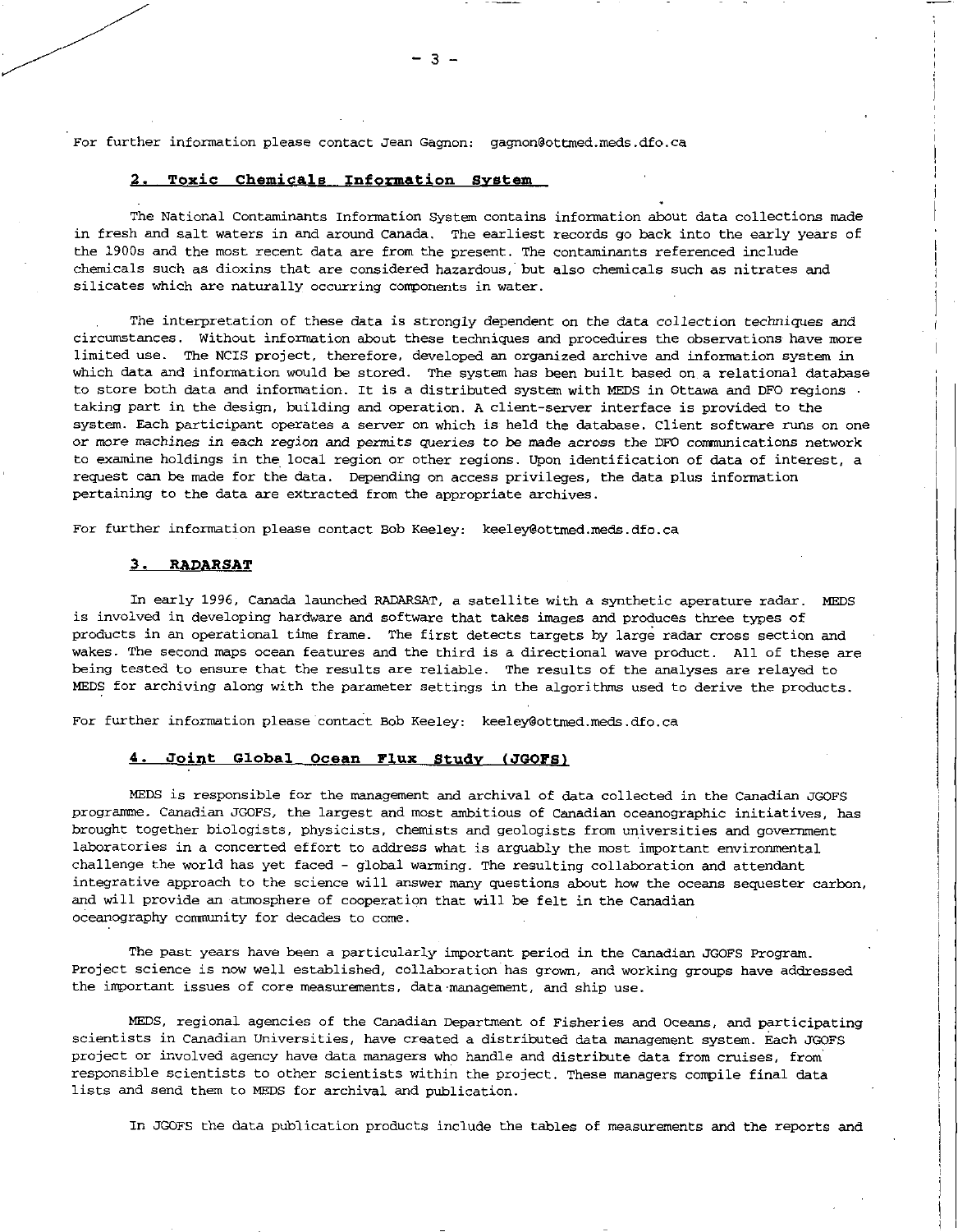For further information please contact Jean Gagnon: gagnon@ottmed.meds.dfo.ca

# 2. **Toxic Chemicals Information System**

The National Contaminants Information System contains information about data collections made in fresh and salt waters in and around Canada. The earliest records go back into the early years of the 1900s and the most recent data are from the present. The contaminants referenced include chemicals such as dioxins that are considered hazardous,' but also chemicals such as nitrates and silicates which are naturally occurring components in water.

The interpretation of these data is strongly dependent on the data collection techniques and circumstances. Without information about these techniques and proceduires the observations have more limited use. The NCIS project, therefore, developed an organized archive and information system in which data and information would be stored. The system has been built based on a relational database to store both data and information. It is a distributed system with MEDS in Ottawa and DFO regions • taking part in the design, building and operation. A client-server interface is provided to the system. Each participant operates a server on which is held the database. Client software runs on one or *more* machines in each region and permits *queries* to be made across the DFO communications network to examine holdings in the local region or other regions. Upon identification of data of interest, a request can be made for the data. Depending on access privileges, the data plus information pertaining to the data are extracted from the appropriate archives.

For further information please contact Bob Keeley: keeley@ottmed.meds.dfo.ca

#### **3. RADARSAT**

In early 1996, Canada launched RADARSAT, a satellite with a synthetic aperature radar. MEDS is involved in developing hardware and software that takes images and produces three types of products in an operational time frame. The first detects targets by large radar cross section and wakes. The second maps ocean features and the third is a directional wave product. All of these are being tested to ensure that the results are reliable. The results of the analyses are relayed to MEDS for archiving along with the parameter settings in the algorithms used to derive the products

For further information please contact Bob Keeley: keeley@ottmed.meds.dfo.ca

#### **4. Joint Global Ocean Flux Study (JGOFS)**

MEDS is responsible for the management and archival of data collected in the Canadian JGOFS programme. Canadian JGOFS, the largest and most ambitious of Canadian oceanographic initiatives, has brought together biologists, physicists, chemists and geologists from universities and government laboratories in a concerted effort to address what is arguably the most important environmental challenge the world has yet faced - global warming. The resulting collaboration and attendant integrative approach to the science will answer many questions about how the oceans sequester carbon, and will provide an atmosphere of cooperation that will be felt in the Canadian oceanography community for decades to come.

The past years have been a particularly important period in the Canadian JGOFS Program. Project science is now well established, collaboration has grown, and working groups have addressed the important issues of core measurements, data management, and ship use.

MEDS, regional agencies of the Canadian Department of Fisheries and Oceans, and participating scientists in Canadian Universities, have created a distributed data management system. Each JGOFS project or involved agency have data managers who handle and distribute data from cruises, from responsible scientists to other scientists within the project. These managers compile final data lists and send them to MEDS for archival and publication.

In JGOFS the data publication products include the tables of measurements and the reports and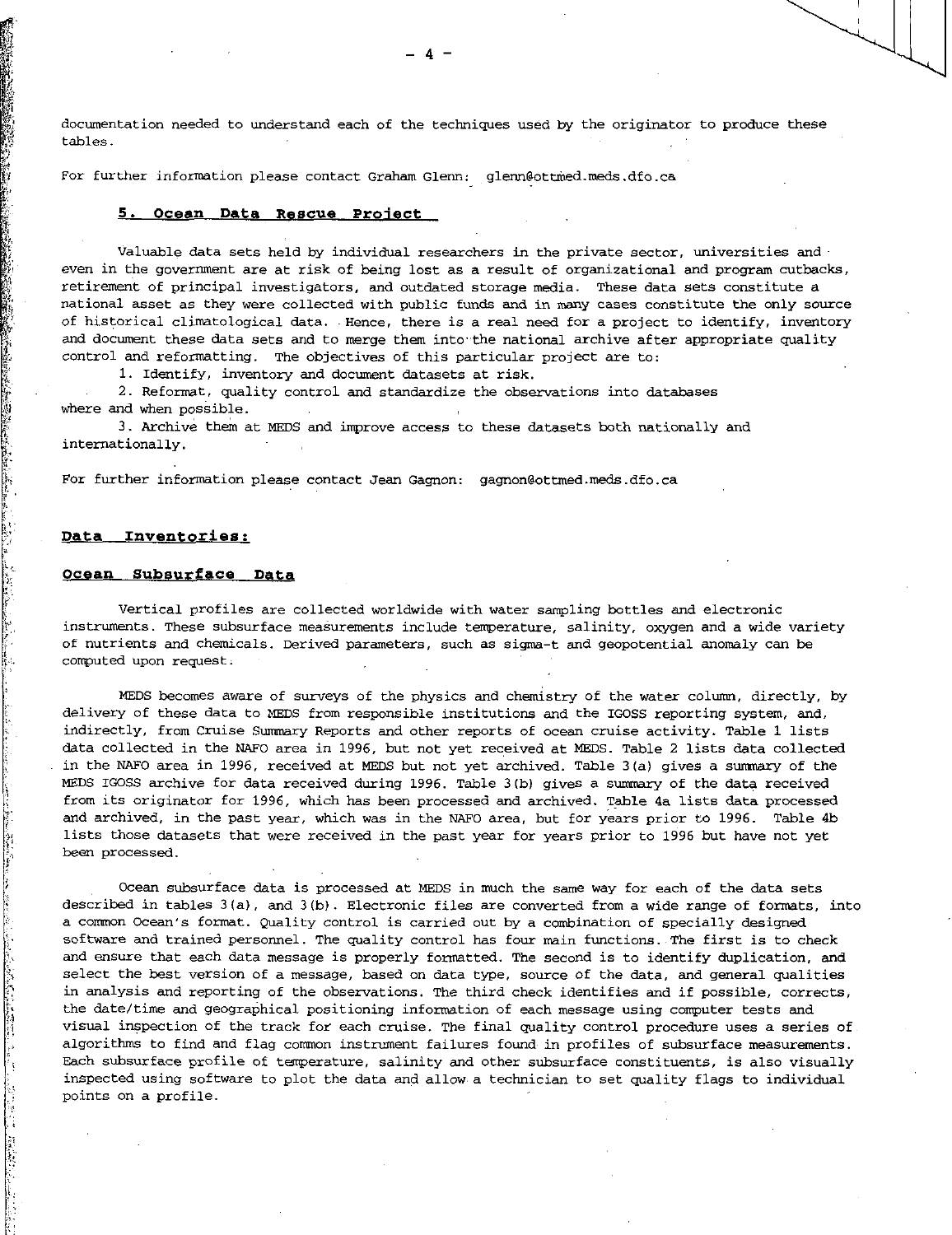documentation needed to understand each of the techniques used by the originator to produce these tables.

For further information please contact Graham Glenn: glenn@ottmed.meds.dfo.ca

### **5. Ocean Data Rescue Proiect**

Valuable data sets held by individual researchers in the private sector, universities and  $\cdot$ even in the government are at risk of being lost as a result of organizational and program cutbacks, retirement of principal investigators, and outdated storage media. These data sets constitute a national asset as they were collected with public funds and in many cases constitute the only source of historical climatological data. Hence, there is a real need for a project to identify, inventory and document these data sets and to merge them into the national archive after appropriate quality control and reformatting. The objectives of this particular project are to:

1. Identify, inventory and document datasets at risk.

2. Reformat, quality control and standardize the observations into databases where and when possible.

3. Archive them at MEDS and improve access to these datasets both nationally and internationally.

For further information please contact Jean Gagnon: gagnon@ottmed.meds.dfo.ca

## **Data Inventories:**

#### **Ocean Subsurface Data**

Vertical profiles are collected worldwide with water sampling bottles and electronic instruments. These subsurface measurements include temperature, salinity, oxygen and a wide variety of nutrients and chemicals. Derived parameters, such as sigma-t and geopotential anomaly can be computed upon request:

MEDS becomes aware of surveys of the physics and chemistry of the water column, directly, by delivery of these data to MEDS from responsible institutions and the IGOSS reporting system, and, indirectly, from Cruise Summary Reports and other reports of ocean cruise activity. Table 1 lists data collected in the NAFO area in 1996, but not yet received at MEDS. Table 2 lists data collected . in the NAFO area in 1996, received at MEDS but not yet archived. Table 3(a) gives a summary of the MEDS IGOSS archive for data received during 1996. Table 3(b) gives a summary of the data received from its originator for 1996, which has been processed and archived. Table 4a lists data processed and archived, in the past year, which was in the NAFO area, but for years prior to 1996. Table 4b lists those datasets that were received in the past year for years prior to 1996 but have not yet been processed.

Ocean subsurface data is processed at MEDS in much the same way for each of the data sets described in tables 3(a), and 3(b). Electronic files are converted from a wide range of formats, into a common Ocean's format. Quality control is carried out by a combination of specially designed software and trained personnel. The quality control has four main functions. The first is to check and ensure that each data message is properly formatted. The second is to identify duplication, and select the best version of a message, based on data type, source of the data, and general qualities in analysis and reporting of the observations. The third check identifies and if possible, corrects, the date/time and geographical positioning information of each message using computer tests and visual inspection of the track for each cruise. The final quality control procedure uses a series of algorithms to find and flag common instrument failures found in profiles of subsurface measurements. Each subsurface profile of temperature, salinity and other subsurface constituents, is also visually inspected using software to plot the data and allow, a technician to set quality flags to individual points on a profile.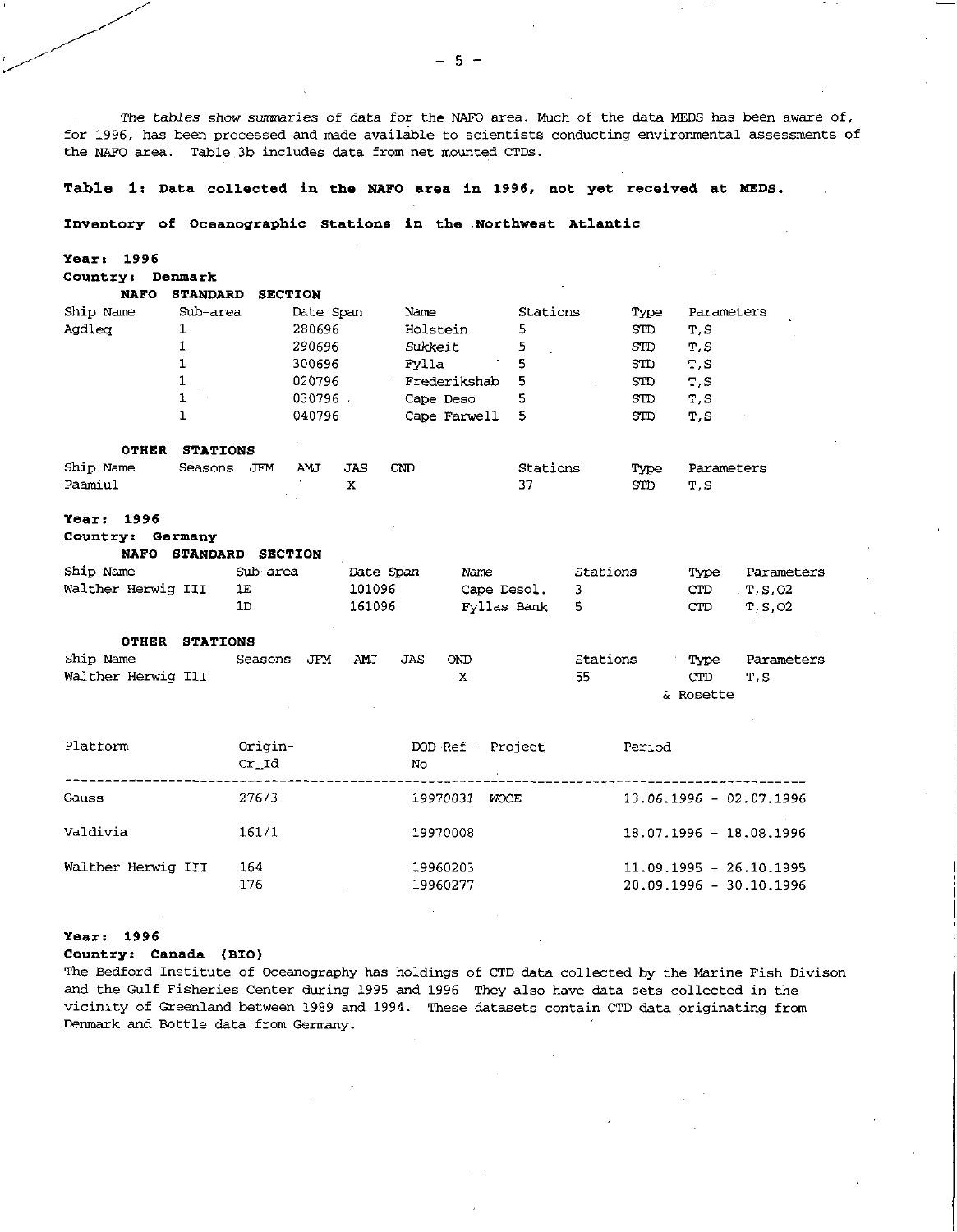The tables *show* summaries of data for the NAFO area. Much of the data MEDS has been aware of, for 1996, has been processed and made available to scientists conducting environmental assessments of the NAFO area. Table 3b includes data from net mounted CTDs.

#### **Table 1: Data collected in the NAFO area in 1996, not yet received at NEDS.**

### **Inventory of Oceanographic Stations in the Northwest Atlantic**

**Year: 1996** 

| Country:      | Denmark         |                   |              |          |      |            |
|---------------|-----------------|-------------------|--------------|----------|------|------------|
| <b>NAFO</b>   | <b>STANDARD</b> | <b>SECTION</b>    |              |          |      |            |
| Ship Name     | Sub-area        | Date Span         | Name         | Stations | Type | Parameters |
| Agdlea        | 1               | 280696            | Holstein     | 5        | STD  | T, S       |
|               |                 | 290696            | Sukkeit      | 5        | STD  | T, S       |
|               |                 | 300696            | Fvlla        | 5        | STD  | T, S       |
|               |                 | 020796            | Frederikshab | 5        | SID  | T, S       |
|               | 1               | 030796            | Cape Deso    | 5        | STD  | T, S       |
|               | 1               | 040796            | Cape Farwell | 5        | STD  | T, S       |
| <b>OTHER</b>  | <b>STATIONS</b> |                   |              |          |      |            |
| Ship Name     | JFM<br>Seasons  | <b>AMJ</b><br>JAS | <b>OND</b>   | Stations | Type | Parameters |
| Paamiul       |                 | X                 |              | 37       | STD  | T, S       |
| 1996<br>Year: |                 |                   |              |          |      |            |

# **Country: Germany**

**NAFO** STANDARD **SECTION** 

| Ship Name          | Sub-area | Date Span | Name        | Stations | Type | Parameters |
|--------------------|----------|-----------|-------------|----------|------|------------|
| Walther Herwig III | 1E.      | 101096    | Cape Desol. |          | CTD. | . T.S.O2   |
|                    | 1D       | 161096    | Fyllas Bank |          | CTD  | T.S.O2     |

#### **OTHER STATIONS**

| Ship Name          | Seasons JFM | AMJ | JAS | <b>OND</b> | Stations | Type      | Parameters |
|--------------------|-------------|-----|-----|------------|----------|-----------|------------|
| Walther Herwig III |             |     |     |            | 55       | CTD.      | T, S       |
|                    |             |     |     |            |          | & Rosette |            |

| Platform           | Origin-<br>Cr Id | DOD-Ref- Project<br>No. |      | Period                                               |
|--------------------|------------------|-------------------------|------|------------------------------------------------------|
| Gauss              | 276/3            | 19970031                | WOCE | $13.06.1996 - 02.07.1996$                            |
| Valdivia           | 161/1            | 19970008                |      | $18.07.1996 - 18.08.1996$                            |
| Walther Herwig III | 164<br>176       | 19960203<br>19960277    |      | $11.09.1995 - 26.10.1995$<br>20.09.1996 - 30.10.1996 |

## **Year: 1996**

#### **Country: Canada (B10)**

The Bedford Institute of Oceanography has holdings of CTD data collected by the Marine Fish Divison and the Gulf Fisheries Center during 1995 and 1996 They also have data sets collected in the vicinity of Greenland between 1989 and 1994. These datasets contain CTD data originating from Denmark and Bottle data from Germany.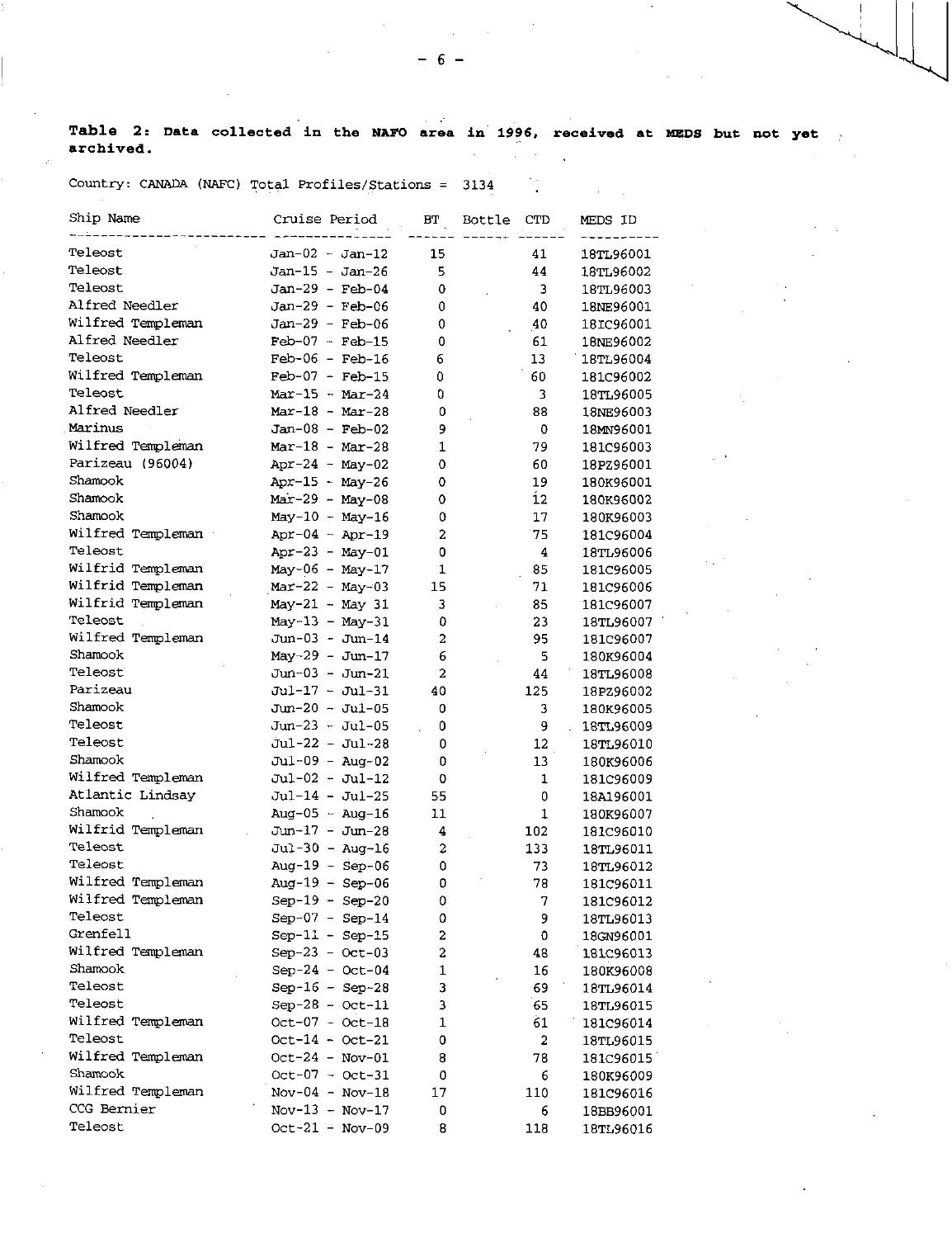**Table 2: Data collected in the NAFO area in 1996, received at MEDS but not yet archived.**   $\frac{1}{2}$  ,  $\frac{1}{2}$  ,  $\frac{1}{2}$  $\mathcal{L}^{\text{max}}$  $\ddot{\phantom{a}}$ 

 $\sim 10^{11}$  km  $^{-1}$ 

Country: CANADA (NAFC) Total Profiles/Stations = 3134

| Ship Name         | Cruise Period     | BT | Bottle | CTD                     | MEDS ID   |
|-------------------|-------------------|----|--------|-------------------------|-----------|
| Teleost           | $Jan-02 - Jan-12$ | 15 |        | 41                      | 18TL96001 |
| Teleost           | Jan-15 - Jan-26   | 5  |        | 44                      | 18TL96002 |
| Teleost           | $Jan-29 - Feb-04$ | 0  |        | 3                       | 18TL96003 |
| Alfred Needler    | $Jan-29 - Feb-06$ | 0  |        | 40                      | 18NE96001 |
| Wilfred Templeman | Jan-29 - Feb-06   | 0  |        | 40                      | 181C96001 |
| Alfred Needler    | $Feb-07 - Feb-15$ | 0  |        | 61                      | 18NE96002 |
| Teleost           | $Feb-06 - Feb-16$ | 6  |        | 13                      | 18TL96004 |
| Wilfred Templeman | $Feb-07 - Feb-15$ | 0  |        | 60                      | 181C96002 |
| Teleost           | $Mar-15 - Mar-24$ | 0  |        | 3                       | 18TL96005 |
| Alfred Needler    | $Mar-18 - Mar-28$ | 0  |        | 88                      | 18NE96003 |
| Marinus           | $Jan-08 - Feb-02$ | 9  |        | 0                       | 18MN96001 |
| Wilfred Templeman | $Mar-18 - Mar-28$ | 1  |        | 79                      | 181C96003 |
| Parizeau (96004)  | Apr-24 - May-02   | 0  |        | 60                      | 18PZ96001 |
| Shamook           | $Apr-15 - May-26$ | 0  |        | 19                      | 180K96001 |
| Shamook           | $Mar-29 - May-08$ | 0  |        | 12                      | 180K96002 |
| Shamook           | May-10 - May-16   | 0  |        | 17                      | 180K96003 |
| Wilfred Templeman | Apr-04 - Apr-19   | 2  |        | 75                      | 181C96004 |
| Teleost           | $Apr-23 - May-01$ | 0  |        | 4                       | 18TL96006 |
| Wilfrid Templeman | May-06 - May-17   | 1  |        | 85                      | 181C96005 |
| Wilfrid Templeman | $Mar-22 - May-03$ | 15 |        | 71                      | 181C96006 |
| Wilfrid Templeman | May-21 - May 31   | 3  |        | 85                      | 181C96007 |
| Teleost           | $May-13 - May-31$ | 0  |        | 23                      | 18TL96007 |
| Wilfred Templeman | Jun-03 - Jun-14   | 2  |        | 95                      | 181C96007 |
| Shamook           | $May-29 - Jun-17$ | 6  |        | 5                       | 180K96004 |
| Teleost           | Jun-03 - Jun-21   | 2  |        | 44                      | 18TL96008 |
| Parizeau          | Jul-17 - Jul-31   | 40 |        | 125                     | 18PZ96002 |
| Shamook           | Jun-20 - Jul-05   | 0  |        | 3                       | 180K96005 |
| Teleost           | $Jun-23 - Jul-05$ | 0  |        | 9                       | 18TL96009 |
| Teleost           | $Jul-22 - Jul-28$ | 0  |        | 12                      | 18TL96010 |
| Shamook           | Jul-09 - Aug-02   | 0  |        | 13                      | 180K96006 |
| Wilfred Templeman | Jul-02 - Jul-12   | 0  |        | $\mathbf{1}$            | 181C96009 |
| Atlantic Lindsay  | Jul-14 - Jul-25   | 55 |        | 0                       | 18A196001 |
| Shamook           | Aug-05 $-$ Aug-16 | 11 |        | 1                       | 180K96007 |
| Wilfrid Templeman | Jun-17 - Jun-28   | 4  |        | 102                     | 181C96010 |
| Teleost           | $Jul-30 - Aug-16$ | 2  |        | 133                     | 18TL96011 |
| Teleost           | Aug-19 - $Sep-06$ | 0  |        | 73                      | 18TL96012 |
| Wilfred Templeman | Aug-19 - Sep-06   | 0  |        | 78                      | 181096011 |
| Wilfred Templeman | $Sep-19 - Sep-20$ | 0  |        | 7                       | 181C96012 |
| Teleost           | $Sep-07 - Sep-14$ | 0  |        | 9                       | 18TL96013 |
| Grenfell          | $Sep-11 - Sep-15$ | 2  |        | 0                       | 18GN96001 |
| Wilfred Templeman | $Sep-23 - Oct-03$ | 2  |        | 48                      | 181C96013 |
| Shamook           | $Sep-24 - Oct-04$ | 1  |        | 16                      | 180K96008 |
| Teleost           | $Sep-16 - Sep-28$ | 3  |        | 69                      | 18TL96014 |
| Teleost           | $Sep-28 - Oct-11$ | 3  |        | 65                      | 18TL96015 |
| Wilfred Templeman | $Oct-07 - Oct-18$ | 1  |        | 61                      | 181C96014 |
| Teleost           | $Oct-14 - Oct-21$ | 0  |        | $\overline{\mathbf{2}}$ | 18TL96015 |
| Wilfred Templeman | Oct-24 - Nov-01   | 8  |        | 78                      | 181C96015 |
| Shamook           | $Oct-07 - Oct-31$ | 0  |        | 6                       | 180K96009 |
| Wilfred Templeman | $Nov-04 - Nov-18$ | 17 |        | 110                     | 181C96016 |
| CCG Bernier       | $Nov-13 - Nov-17$ | 0  |        | 6                       | 18BB96001 |
| Teleost           | $Oct-21 - Nov-09$ | 8  |        | 118                     | 18TL96016 |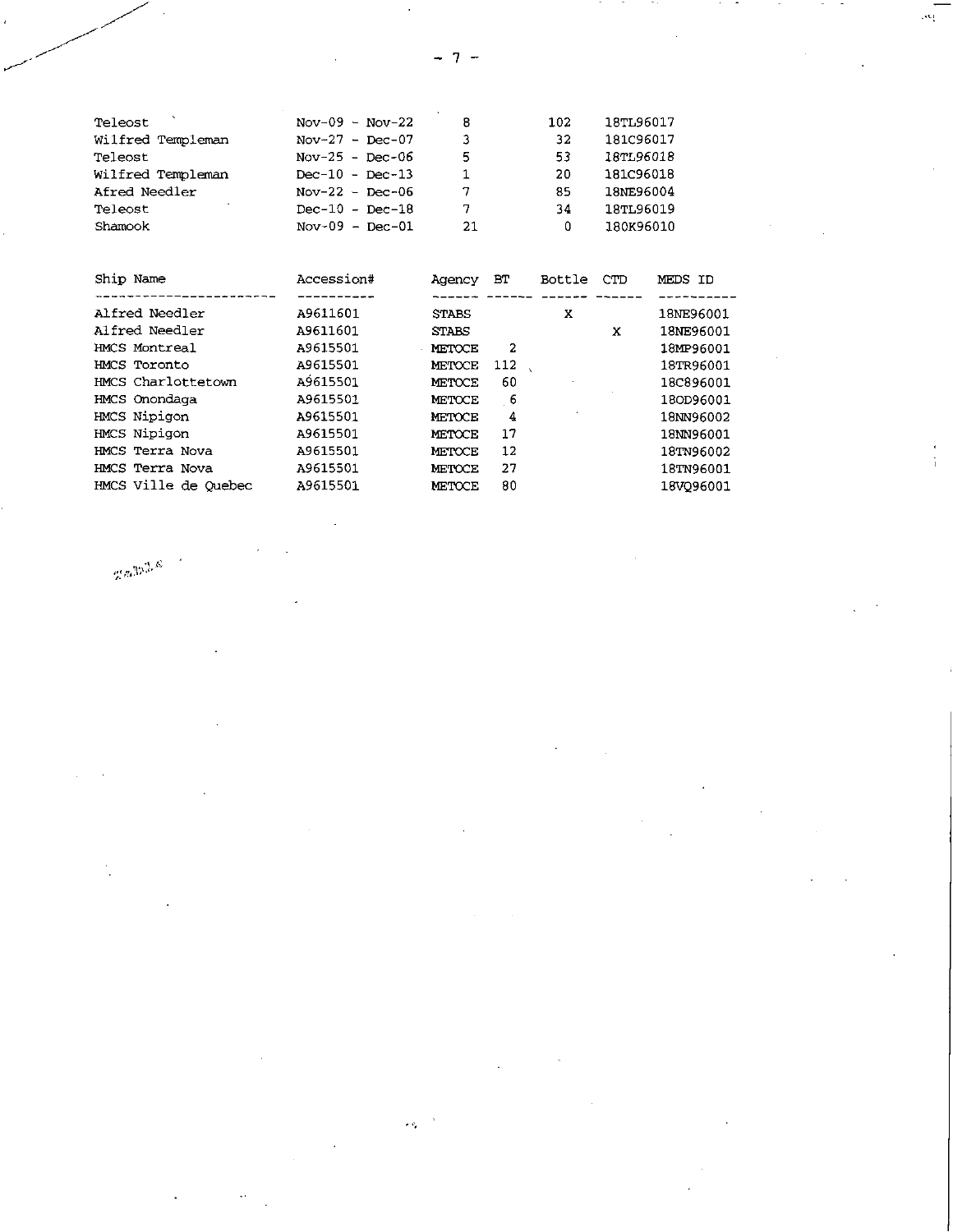| Teleost           | $Nov-09 - Nov-22$ | 8  | 102 | 18TL96017 |
|-------------------|-------------------|----|-----|-----------|
| Wilfred Templeman | Nov-27 - Dec-07   | 3  | 32  | 181C96017 |
| Teleost           | Nov-25 - Dec-06   | 5  | 53  | 18TL96018 |
| Wilfred Templeman | $Dec-10 - Dec-13$ |    | 20  | 181C96018 |
| Afred Needler     | Nov-22 - Dec-06   | 7  | 85  | 18NE96004 |
| Teleost           | $Dec-10 - Dec-18$ | 7  | 34  | 18TL96019 |
| Shamook           | $Nov-09 - Dec-01$ | 21 | 0   | 180K96010 |

| Ship Name            | Accession# | Agency        | BТ  | Bottle | <b>CTD</b> | MEDS ID   |
|----------------------|------------|---------------|-----|--------|------------|-----------|
|                      |            |               |     |        |            |           |
| Alfred Needler       | A9611601   | <b>STABS</b>  |     | x      |            | 18NE96001 |
| Alfred Needler       | A9611601   | <b>STABS</b>  |     |        | x          | 18NE96001 |
| HMCS Montreal        | A9615501   | <b>METOCE</b> | 2   |        |            | 18MP96001 |
| HMCS Toronto         | A9615501   | METOCE        | 112 |        |            | 18TR96001 |
| HMCS Charlottetown   | A9615501   | METOCE        | 60  |        |            | 18C896001 |
| HMCS Onondaga        | A9615501   | <b>METOCE</b> | 6   |        |            | 180D96001 |
| HMCS Nipigon         | A9615501   | <b>METOCE</b> | 4   |        |            | 18NN96002 |
| HMCS Nipigon         | A9615501   | METOCE        | 17  |        |            | 18NN96001 |
| HMCS Terra Nova      | A9615501   | METOCE        | 12  |        |            | 18TN96002 |
| HMCS Terra Nova      | A9615501   | METOCE        | 27  |        |            | 18TN96001 |
| HMCS Ville de Ouebec | A9615501   | METOCE        | 80  |        |            | 18VO96001 |
|                      |            |               |     |        |            |           |

 $\epsilon_{\rm eff}$ 

 $\max_{\mathbf{Z}}\max_{\mathbf{Z}}\mathcal{L}_{\mathbf{Z}}$ 

 $-7-$ 

 $\mathcal{P}^{\mathcal{C}}$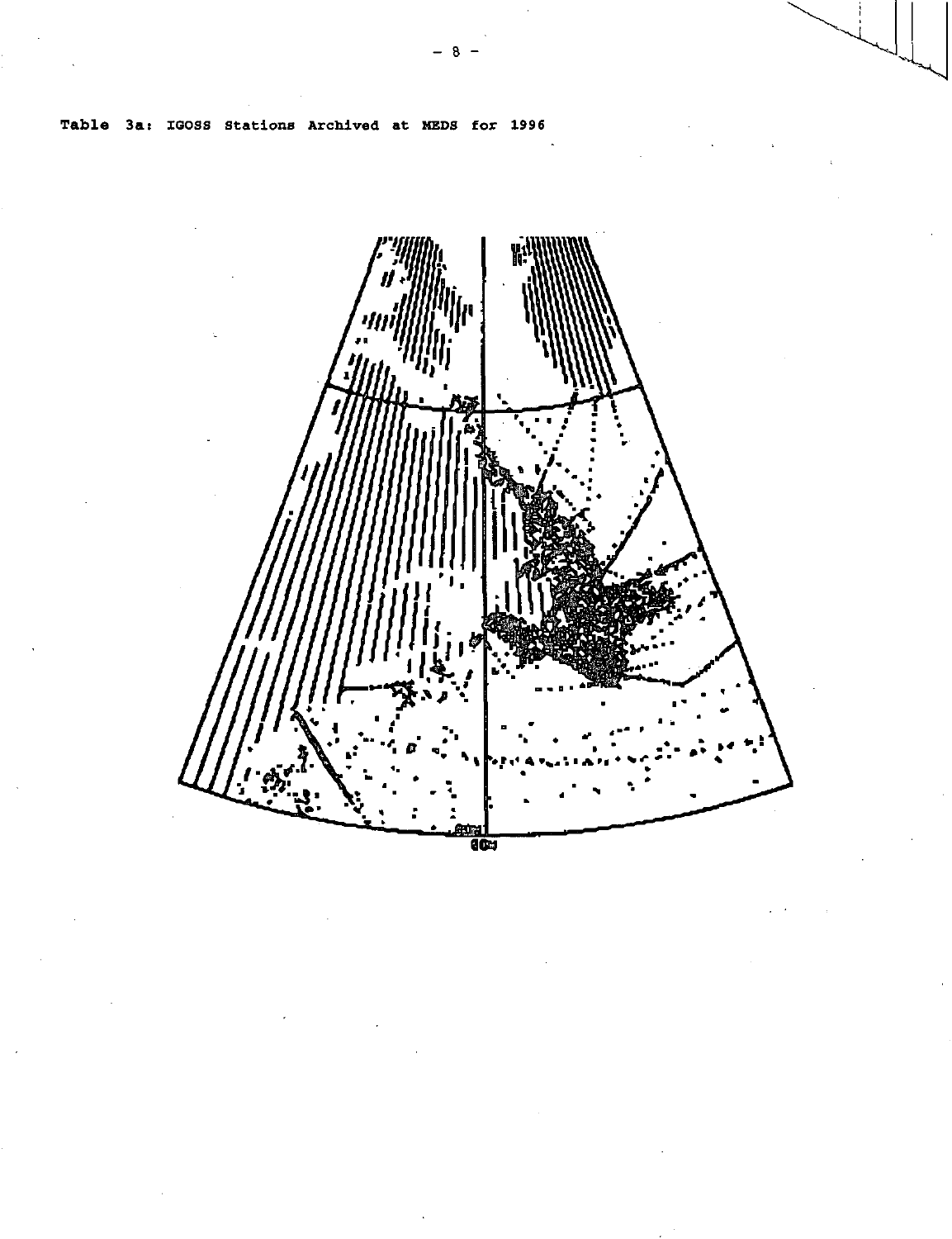Table 3a: IGOSS Stations Archived at MEDS for 1996



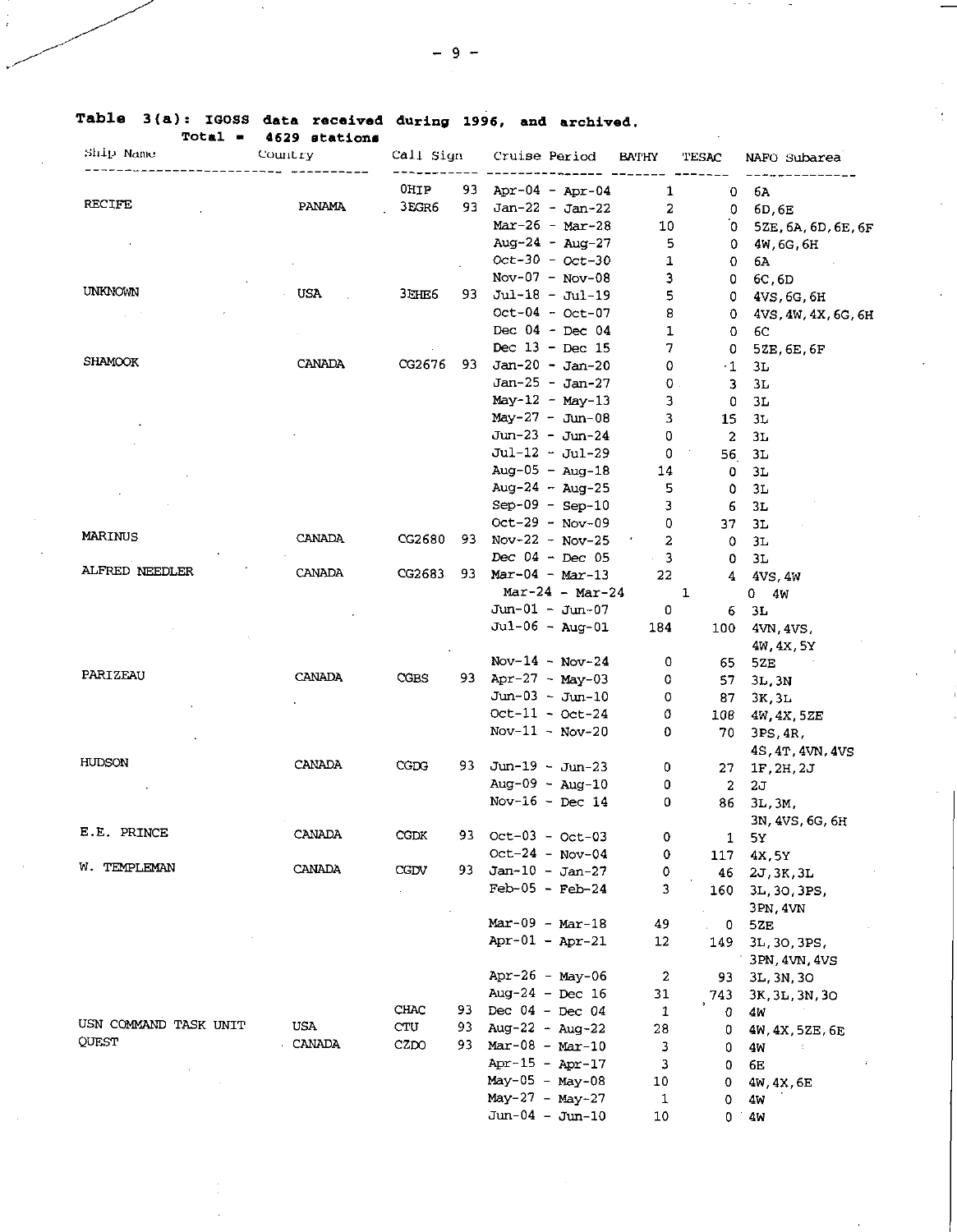|  |  |                         |  | Table 3(a): IGOSS data received during 1996, and archived. |
|--|--|-------------------------|--|------------------------------------------------------------|
|  |  | $Total = 4629$ stations |  |                                                            |

 $\overline{a}$ 

| <b>Total</b> =<br>Ship Name | 4629 stations<br>Country | Call Sign    |     | Cruise Period      |                   | <b>BATHY</b> | TESAC        | NAFO Subarea        |
|-----------------------------|--------------------------|--------------|-----|--------------------|-------------------|--------------|--------------|---------------------|
|                             |                          |              |     |                    |                   |              |              |                     |
|                             |                          | OHIP         | 93  |                    | Apr-04 - Apr-04   | 1            | 0            | 6A                  |
| <b>RECIFE</b>               | PANAMA                   | 3EGR6        | 93. |                    | $Jan-22 - Jan-22$ | 2            | 0.           | 6D, 6E              |
|                             |                          |              |     |                    | $Mar-26 - Mar-28$ | 10           | 0.           | 5ZE, 6A, 6D, 6E, 6F |
|                             |                          |              |     |                    | Aug-24 - Aug-27   | 5            | 0.           | 4W, 6G, 6H          |
|                             |                          |              |     |                    | $Oct-30 - Oct-30$ | 1            | 0.           | 6A                  |
|                             |                          |              |     |                    | $Nov-07 - Nov-08$ | 3            | 0            | 6C, 6D              |
| UNKNOWN                     | USA.                     | <b>3EHE6</b> | 93. |                    | $Jul-18 - Jul-19$ | 5            | 0            | 4VS, 6G, 6H         |
|                             |                          |              |     |                    | Oct-04 - Oct-07   | 8            | 0.           | 4VS, 4W, 4X, 6G, 6H |
|                             |                          |              |     |                    | Dec $04 - Dec 04$ | 1            | 0.           | 6C                  |
|                             |                          |              |     |                    | Dec $13$ - Dec 15 | 7            | 0            | 5ZE, 6E, 6F         |
| <b>SHAMOOK</b>              | <b>CANADA</b>            | CG2676       | 93  |                    | $Jan-20 - Jan-20$ | 0            | $\cdot 1$    | 3L                  |
|                             |                          |              |     |                    | $Jan-25 - Jan-27$ | $0$ .        | 3.           | 3L                  |
|                             |                          |              |     |                    | $May-12 - May-13$ | 3            | 0            | 3L                  |
|                             |                          |              |     |                    | $May-27 - Jun-08$ | 3            | 15.          | 3L                  |
|                             |                          |              |     |                    | Jun-23 - Jun-24   | 0            | 2            | ЗL                  |
|                             |                          |              |     |                    | Jul-12 - Jul-29   | 0            | 56           | 3L                  |
|                             |                          |              |     |                    | $Aug-05 - Aug-18$ | 14           | 0            | 3L                  |
|                             |                          |              |     |                    | Aug-24 - Aug-25   | 5            | 0            | 3L                  |
|                             |                          |              |     |                    | $Sep-09 - Sep-10$ | з            | 6            | 3L                  |
|                             |                          |              |     |                    | $Oct-29 - Nov-09$ | 0            | 37           | 3L                  |
| MARINUS                     | CANADA                   | CG2680       | 93. |                    | Nov-22 - Nov-25   | 2            | 0            | 3L                  |
|                             |                          |              |     |                    | Dec $04 - Dec 05$ | 3            | 0            | 3L                  |
| ALFRED NEEDLER              | CANADA                   | CG2683       | 93. |                    | $Mar-04 - Mar-13$ | 22           | 4            | 4VS, 4W             |
|                             |                          |              |     |                    | $Mar-24 - Mar-24$ |              | 1            | 0 4W                |
|                             |                          |              |     |                    | $Jun-01 - Jun-07$ | 0            | 6            | 3L                  |
|                             |                          |              |     |                    | $Jul-06 - Aug-01$ | 184          | 100          | 4VN, 4VS,           |
|                             |                          |              |     |                    |                   |              |              | 4W, 4X, 5Y          |
|                             |                          |              |     |                    | $Nov-14 - Nov-24$ | 0            | 65           | 5ZE                 |
| PARIZEAU                    | CANADA                   | CGBS         | 93. |                    | Apr-27 - $May-03$ | 0            | 57           | 3L, 3N              |
|                             |                          |              |     |                    | $Jun-03 - Jun-10$ | 0            | 87           | 3K, 3L              |
|                             |                          |              |     |                    | $Oct-11 - Oct-24$ | 0            | 108          | 4W, 4X, 5ZE         |
|                             |                          |              |     |                    | $Nov-11 - Nov-20$ | 0            | 70           | 3PS, 4R,            |
|                             |                          |              |     |                    |                   |              |              | 4S, 4T, 4VN, 4VS    |
| HUDSON                      | CANADA                   | CGDG         | 93  |                    | Jun-19 - Jun-23   | 0            | 27           | 1F, 2H, 2J          |
|                             |                          |              |     |                    | $Aug-09 - Aug-10$ | 0            | 2            | 2J                  |
|                             |                          |              |     |                    | Nov-16 - Dec 14   | 0            | 86           | $3L$ , $3M$ .       |
|                             |                          |              |     |                    |                   |              |              | 3N, 4VS, 6G, 6H     |
| E.E. PRINCE                 | CANADA                   | CGDK         | 93  | $Oct-03 - Oct-03$  |                   | 0            | $\mathbf{1}$ | 5У                  |
|                             |                          |              |     |                    | $Oct-24 - Nov-04$ | 0            | 117          | 4X, 5Y              |
| W. TEMPLEMAN                | CANADA                   | CGDV         | 93. |                    | $Jan-10 - Jan-27$ | ٥            | 46           | 2J, 3K, 3L          |
|                             |                          |              |     |                    | $Feb-05 - Feb-24$ | 3            | 160          | 3L, 3O, 3PS,        |
|                             |                          |              |     |                    |                   |              |              | 3PN 4VN             |
|                             |                          |              |     | $Mar-09 - Mar-18$  |                   | 49           | 0            | 5ZE                 |
|                             |                          |              |     | $Apr-01 - Apr-21$  |                   | 12           | 149          | 3L, 3O, 3PS,        |
|                             |                          |              |     |                    |                   |              |              | 3PN 4VN, 4VS        |
|                             |                          |              |     |                    | Apr-26 - May-06   | 2            | 93           | 3L, 3N, 3O          |
|                             |                          |              |     | Aug-24 - Dec $16$  |                   | 31           | 743          | 3K, 3L, 3N, 3O      |
|                             |                          | CHAC         |     | 93 Dec 04 - Dec 04 |                   | 1            | 0            | 4W                  |
| USN COMMAND TASK UNIT       | USA                      | CTU          | 93  | Aug-22 - Aug-22    |                   | 28           | 0            | 4W, 4X, 5ZE, 6E     |
| QUEST                       | CANADA                   | CZDO         | 93. | $Mar-08 - Mar-10$  |                   | з            | 0            | 4M                  |
|                             |                          |              |     | Apr-15 - Apr-17    |                   | 3            | 0            | 6E                  |
|                             |                          |              |     | May-05 - May-08    |                   | 10           | 0            | 4W, 4X, 6E          |
|                             |                          |              |     | $May-27 - May-27$  |                   | 1            | 0            | 4w                  |
|                             |                          |              |     | $Jun-04 - Jun-10$  |                   | 10           | 0            | 4M                  |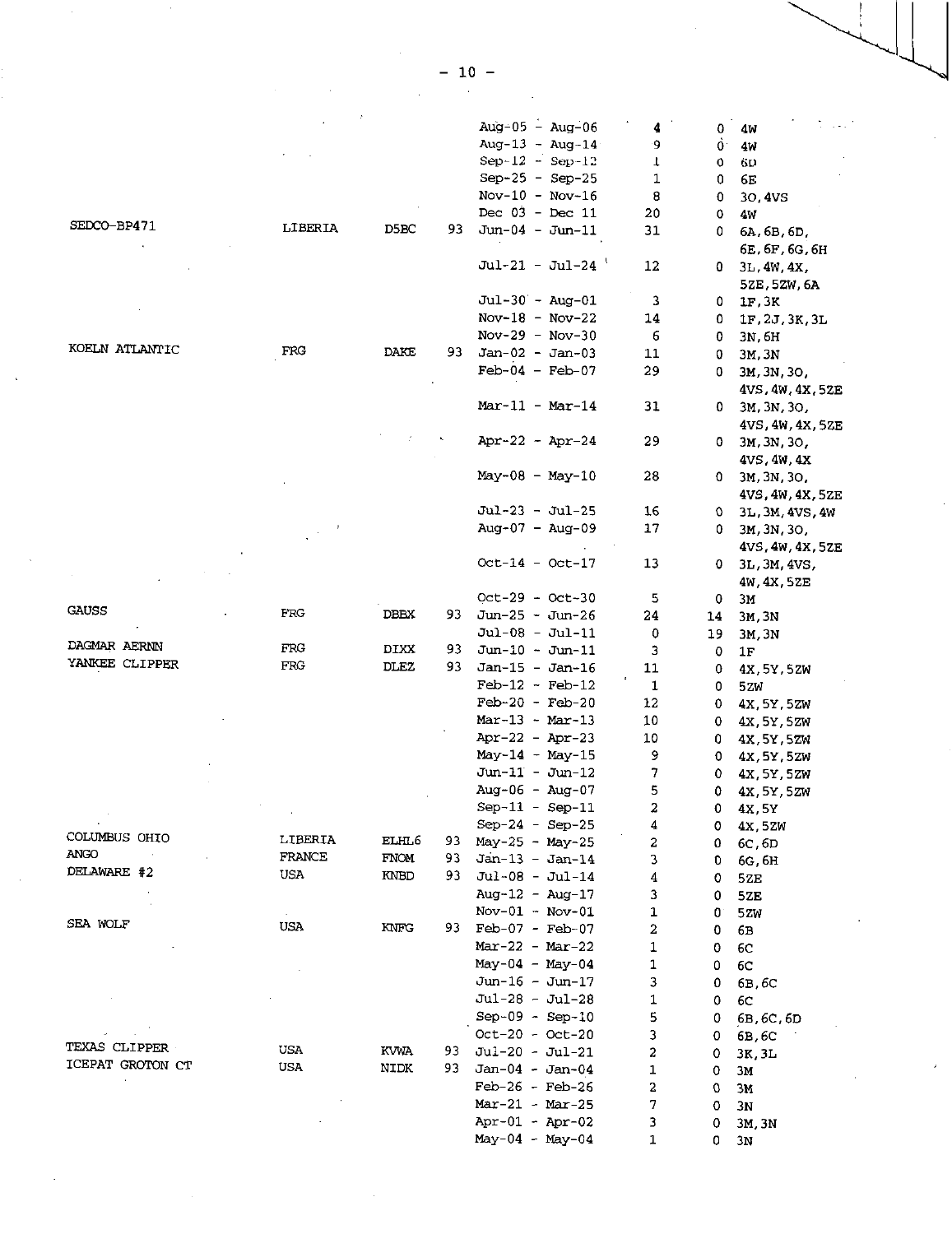|                       |            |                   |     | Aug-05 - Aug-06   | 4  | 0  | 4W                   |
|-----------------------|------------|-------------------|-----|-------------------|----|----|----------------------|
|                       |            |                   |     | Aug-13 - Aug-14   | 9. | Ò. | 4W                   |
|                       |            |                   |     | $Sep-12 - Sep-12$ | Ţ  | 0  | 6D                   |
|                       |            |                   |     | $Sep-25 - Sep-25$ | 1  | 0  | 6E                   |
|                       |            |                   |     | $Nov-10 - Nov-16$ | 8  | 0  | 30,4VS               |
|                       |            |                   |     | Dec $03 - Dec 11$ | 20 | 0  | 4W                   |
| SEDCO-BP471           | LIBERIA    | D5BC              | 93. | $Jun-04 - Jun-11$ | 31 | 0  | 6A, 6B, 6D,          |
|                       |            |                   |     |                   |    |    | 6E, 6F, 6G, 6H       |
|                       |            |                   |     | $Jul-21 - Jul-24$ | 12 | 0  |                      |
|                       |            |                   |     |                   |    |    | $3L$ , $4W$ , $4X$ , |
|                       |            |                   |     |                   |    |    | 5ZE, 5ZW, 6A         |
|                       |            |                   |     | $Jul-30 - Aug-01$ | 3  | 0  | 1F.3K                |
|                       |            |                   |     | Nov-18 - Nov-22   | 14 | 0  | 1F, 2J, 3K, 3L       |
| KOELN ATLANTIC        |            |                   |     | $Nov-29 - Nov-30$ | 6  | 0  | 3N, 6H               |
|                       | FRG        | DAKE              | 93. | $Jan-02 - Jan-03$ | 11 | 0  | 3M, 3N               |
|                       |            |                   |     | $Feb-04 - Feb-07$ | 29 | 0. | 3M, 3N, 3O,          |
|                       |            |                   |     |                   |    |    | 4VS, 4W, 4X, 5ZE     |
|                       |            |                   |     | $Mar-11 - Mar-14$ | 31 | 0  | 3M, 3N, 3O,          |
|                       |            |                   |     |                   |    |    | 4VS, 4W, 4X, 5ZE     |
|                       |            |                   |     | Apr-22 - Apr-24   | 29 | 0. | 3M, 3N, 3O,          |
|                       |            |                   |     |                   |    |    | $4VS$ , $4W$ , $4X$  |
|                       |            |                   |     | May-08 - May-10   | 28 | 0. | 3M, 3N, 3O,          |
|                       |            |                   |     |                   |    |    | 4VS, 4W, 4X, 5ZE     |
|                       |            |                   |     | Jul-23 - Jul-25   | 16 | 0. | 3L, 3M, 4VS, 4W      |
|                       |            |                   |     | $Aug-07 - Aug-09$ | 17 | 0. | 3M, 3N, 3O,          |
|                       |            |                   |     |                   |    |    | 4VS, 4W, 4X, 5ZE     |
|                       |            |                   |     | $Oct-14 - Oct-17$ | 13 | 0  | 3L, 3M, 4VS,         |
|                       |            |                   |     |                   |    |    | 4W, 4X, 5ZE          |
|                       |            |                   |     | $Oct-29 - Oct-30$ | 5  | 0  | 3M                   |
| <b>GAUSS</b>          | FRG        | <b>DBEX</b>       | 93. | Jun-25 - Jun-26   | 24 | 14 | 3M.3N                |
|                       |            |                   |     | Jul-08 - Jul-11   | 0  |    |                      |
| DAGMAR AERNN          | FRG        | DIXX              | 93. | Jun-10 - Jun-11   |    | 19 | 3M, 3N               |
| YANKEE CLIPPER        | FRG        | DLEZ              | 93. | $Jan-15 - Jan-16$ | 3  | 0  | $1\mathrm{F}$        |
|                       |            |                   |     |                   | 11 | 0  | 4X, 5Y, 5ZW          |
|                       |            |                   |     | $Feb-12 - Feb-12$ | 1  | 0  | 5ZW                  |
|                       |            |                   |     | $Feb-20 - Feb-20$ | 12 | 0  | 4X, 5Y, 5ZW          |
|                       |            |                   |     | $Mar-13 - Mar-13$ | 10 | 0  | 4X, 5Y, 5ZW          |
|                       |            |                   |     | Apr-22 - Apr-23   | 10 | 0  | 4X.5Y.5ZW            |
|                       |            |                   |     | $May-14 - May-15$ | 9  | 0  | 4X.5Y,5ZW            |
|                       |            |                   |     | $Jun-11 - Jun-12$ | 7  | 0  | 4X, 5Y, 5ZW          |
|                       |            |                   |     | $Aug-06 - Aug-07$ | 5  | 0  | 4X, 5Y, 5ZW          |
|                       |            |                   |     | $Sep-11 - Sep-11$ | 2  | 0  | 4X.5Y                |
|                       |            |                   |     | Sep-24 - Sep-25   | 4  | ٥  | 4x.5ZW               |
| COLUMBUS OHIO<br>ANGO | LIBERIA    | ELHL <sub>6</sub> | 93. | $May-25 - May-25$ | 2  | ٥  | 6C, 6D               |
|                       | FRANCE     | <b>FNOM</b>       | 93  | $Jan-13 - Jan-14$ | 3  | O  | 6G, 6H               |
| DELAWARE #2           | USA        | KNBD              | 93. | Jul-08 - Jul-14   | 4  | 0  | 52E                  |
|                       |            |                   |     | Aug-12 - Aug-17   | 3  | 0  | 52E                  |
|                       |            |                   |     | $Nov-01 - Nov-01$ | 1  | 0  | 52W                  |
| SEA WOLF              | USA.       | KNFG              | 93. | $Feb-07 - Feb-07$ | 2  | 0  | 6В                   |
|                       |            |                   |     | $Mar-22 - Mar-22$ | 1  | 0  | 6C                   |
|                       |            |                   |     | $May-04 - May-04$ | 1  | 0  | 6C                   |
|                       |            |                   |     | Jun-16 - Jun-17   | 3  | 0  | 6B, 6C               |
|                       |            |                   |     | Jul-28 - Jul-28   | 1  | 0  | 6C                   |
|                       |            |                   |     | $Sep-09 - Sep-10$ | 5  | 0  | 6B.6C.6D             |
|                       |            |                   |     | $Oct-20 - Oct-20$ | 3  | 0  | 6B, 6C               |
| TEXAS CLIPPER         | <b>USA</b> | <b>KVWA</b>       | 93. | Jul-20 - Jul-21   | 2  | 0  | 3K, 3L               |
| ICEPAT GROTON CT      | <b>USA</b> | <b>NIDK</b>       | 93. | $Jan-04 - Jan-04$ | 1  | 0  | ЗМ                   |
|                       |            |                   |     | $Feb-26 - Feb-26$ | 2  | o  | 3M                   |
|                       |            |                   |     | $Mar-21 - Mar-25$ | 7  | 0  | 3N                   |
|                       |            |                   |     | Apr-01 - Apr-02   | 3  | 0  |                      |
|                       |            |                   |     | $May-04 - May-04$ | 1  | 0  | 3M, 3N               |
|                       |            |                   |     |                   |    |    | 3N                   |

 $\bar{\lambda}$ 

 $- 10 -$ 

 $\bar{\gamma}$ 

 $\bar{\beta}$ 

 $\hat{\boldsymbol{\beta}}$ 

 $\hat{\boldsymbol{\beta}}$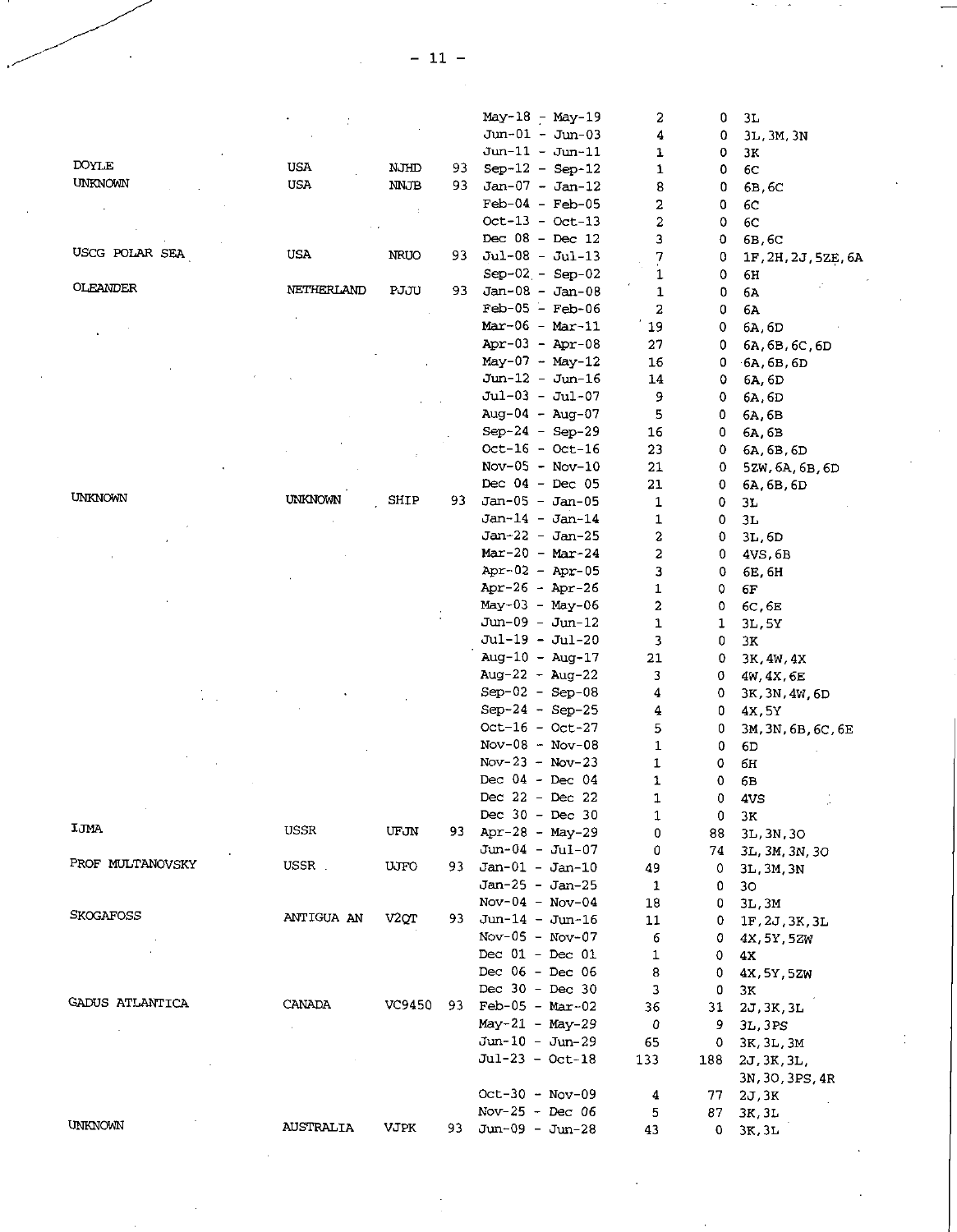|                  |                  |                   |     | May-18 - May-19      | 2            | 0   | 3L                 |
|------------------|------------------|-------------------|-----|----------------------|--------------|-----|--------------------|
|                  |                  |                   |     | $Jun-01 - Jun-03$    | 4            | 0   | 3L, 3M, 3N         |
|                  |                  |                   |     | $J$ un-11 - Jun-11   | 1            |     |                    |
| <b>DOYLE</b>     | <b>USA</b>       | NJHD              |     |                      |              | 0   | ЗK                 |
| UNKNOWN          |                  |                   | 93. | $Sep-12 - Sep-12$    | 1            | 0   | 6C                 |
|                  | USA              | <b>NNJB</b>       | 93. | $Jan-07 - Jan-12$    | 8            | 0   | 6B.6C              |
|                  |                  |                   |     | $Feb-04 - Feb-05$    | 2            | 0   | 6C                 |
|                  |                  |                   |     | $Oct-13 - Oct-13$    | 2            | 0   | 6C                 |
|                  |                  |                   |     | Dec $08 - Dec 12$    | 3            | 0   | 6B, 6C             |
| USCG POLAR SEA   | USA              | NRUO              | 93  | $Jul-08 - Jul-13$    | 7            | 0   | 1F.2H, 2J, 5ZE, 6A |
|                  |                  |                   |     | $Sep-02 - Sep-02$    | 1            | 0   | 6н                 |
| OLEANDER         | NETHERLAND       | PJJU              | 93. | $Jan-08 - Jan-08$    | $\mathbf{1}$ | 0   | 6Λ                 |
|                  |                  |                   |     | $Feb-05 - Feb-06$    | 2            | 0   | 6A                 |
|                  |                  |                   |     | $Mar-06 - Mar-11$    | 19           | 0   | 6A.6D              |
|                  |                  |                   |     | Apr-03 - Apr-08      | 27           | 0   | 6A, 6B, 6C, 6D     |
|                  |                  |                   |     | $May-07 - May-12$    | 16           |     |                    |
|                  |                  |                   |     |                      |              | 0   | 6A, 6B, 6D         |
|                  |                  |                   |     | $Jun-12 - Jun-16$    | 14           | ٥   | 6A, 6D             |
|                  |                  |                   |     | $Jul-03 - Jul-07$    | 9            | 0   | 6A.6D              |
|                  |                  |                   |     | Aug-04 - Aug-07      | 5            | 0   | 6A 6B              |
|                  |                  |                   |     | $Sep-24 - Sep-29$    | 16           | 0   | 6A, 6B             |
|                  |                  |                   |     | $Oct-16 - Oct-16$    | 23           | 0   | 6A, 6B, 6D         |
|                  |                  |                   |     | $Nov-05 - Nov-10$    | 21           | 0   | 5ZW, 6A, 6B, 6D    |
|                  |                  |                   |     | Dec $04 - Dec 05$    | 21           | 0   | 6A, 6B, 6D         |
| UNKNOWN          | UNKNOWN          | SHIP              | 93  | Jan-05 - Jan-05      | 1            | 0   | 3L                 |
|                  |                  |                   |     | $Jan-14 - Jan-14$    | 1            | 0   | 3L                 |
|                  |                  |                   |     | Jan-22 - Jan-25      | 2            | 0   | 3L.6D              |
|                  |                  |                   |     | $Mar-20 - Mar-24$    | 2            | 0   | 4VS, 6B            |
|                  |                  |                   |     | Apr-02 - Apr-05      | 3            |     |                    |
|                  |                  |                   |     | Apr-26 - Apr-26      |              | 0   | 6E, 6H             |
|                  |                  |                   |     |                      | 1            | 0   | 6F                 |
|                  |                  |                   |     | May-03 - May-06      | 2            | 0   | 6C, 6E             |
|                  |                  |                   |     | Jun-09 - Jun-12      | 1            | 1   | 3L, 5Y             |
|                  |                  |                   |     | Jul-19 - Jul-20      | 3            | 0   | ЗΚ                 |
|                  |                  |                   |     | Aug-10 - Aug-17      | 21           | 0.  | 3K, 4W, 4X         |
|                  |                  |                   |     | Aug-22 - Aug-22      | 3            | 0   | 4w, 4X, 6E         |
|                  |                  |                   |     | $Sep-02 - Sep-08$    | 4            | 0   | 3K, 3N, 4W, 6D     |
|                  |                  |                   |     | $Sep-24 - Sep-25$    | 4            | 0   | 4X.5Y              |
|                  |                  |                   |     | $Oct-16 - Oct-27$    | 5            | 0   | 3M, 3N, 6B, 6C, 6E |
|                  |                  |                   |     | $Nov-08 - Nov-08$    | 1            | 0   | 6D                 |
|                  |                  |                   |     | $Nov-23 - Nov-23$    | 1            | o   | 6H                 |
|                  |                  |                   |     | Dec $04 - Dec 04$    | 1            | 0   | 6B                 |
|                  |                  |                   |     | Dec 22 - Dec 22      | 1            | 0   |                    |
|                  |                  |                   |     | Dec $30 - Dec 30$    |              |     | 4VS                |
| IJMA             | USSR             |                   |     |                      | 1            | 0   | 3к                 |
|                  |                  | UFJN              |     | 93 Apr-28 - May-29   | 0            | 88. | 3L, 3N, 3O         |
|                  |                  |                   |     | $Jun-04 - Jul-07$    | 0            | 74. | 3L, 3M, 3N, 3O     |
| PROF MULTANOVSKY | USSR.            | UJFO              | 93. | $Jan-01 - Jan-10$    | 49           | 0   | 3L, 3M, 3N         |
|                  |                  |                   |     | Jan-25 - Jan-25      | 1            | 0   | 30                 |
|                  |                  |                   |     | $Nov-04 - Nov-04$    | 18           | 0   | 3L, 3M             |
| SKOGAFOSS        | ANTIGUA AN       | V <sub>2</sub> ot | 93. | $Jun-14 - Jun-16$    | 11           | 0   | 1F, 2J, 3K, 3L     |
|                  |                  |                   |     | $Nov-05 - Nov-07$    | 6            | 0.  | 4X, 5Y, 5ZW        |
|                  |                  |                   |     | Dec $01 - Dec 01$    | 1            | 0   | 4Х                 |
|                  |                  |                   |     | Dec 06 - Dec 06      | 8            | 0   | 4X, 5Y, 5ZW        |
|                  |                  |                   |     | Dec $30 - Dec 30$    | 3            | 0   | 3к                 |
| GADUS ATLANTICA  | CANADA           | VC9450            |     | 93 $Feb-05 - Mar-02$ | 36           | 31  | 2J, 3K, 3L         |
|                  |                  |                   |     | $May-21 - May-29$    | 0            | 9.  |                    |
|                  |                  |                   |     | Jun-10 - Jun-29      |              |     | 3L, 3PS            |
|                  |                  |                   |     |                      | 65           | 0   | 3K, 3L, 3M         |
|                  |                  |                   |     | $Jul-23 - Oct-18$    | 133          | 188 | 2J, 3K, 3L,        |
|                  |                  |                   |     |                      |              |     | 3N, 3O, 3PS, 4R    |
|                  |                  |                   |     | $Oct-30 - Nov-09$    | 4            | 77  | 2J, 3K             |
|                  |                  |                   |     | Nov-25 - Dec 06      | 5            | 87  | 3K, 3L             |
| UNKNOWN          | <b>AUSTRALIA</b> | <b>VJPK</b>       | 93. | Jun-09 - Jun-28      | 43           | 0.  | 3K, 3L             |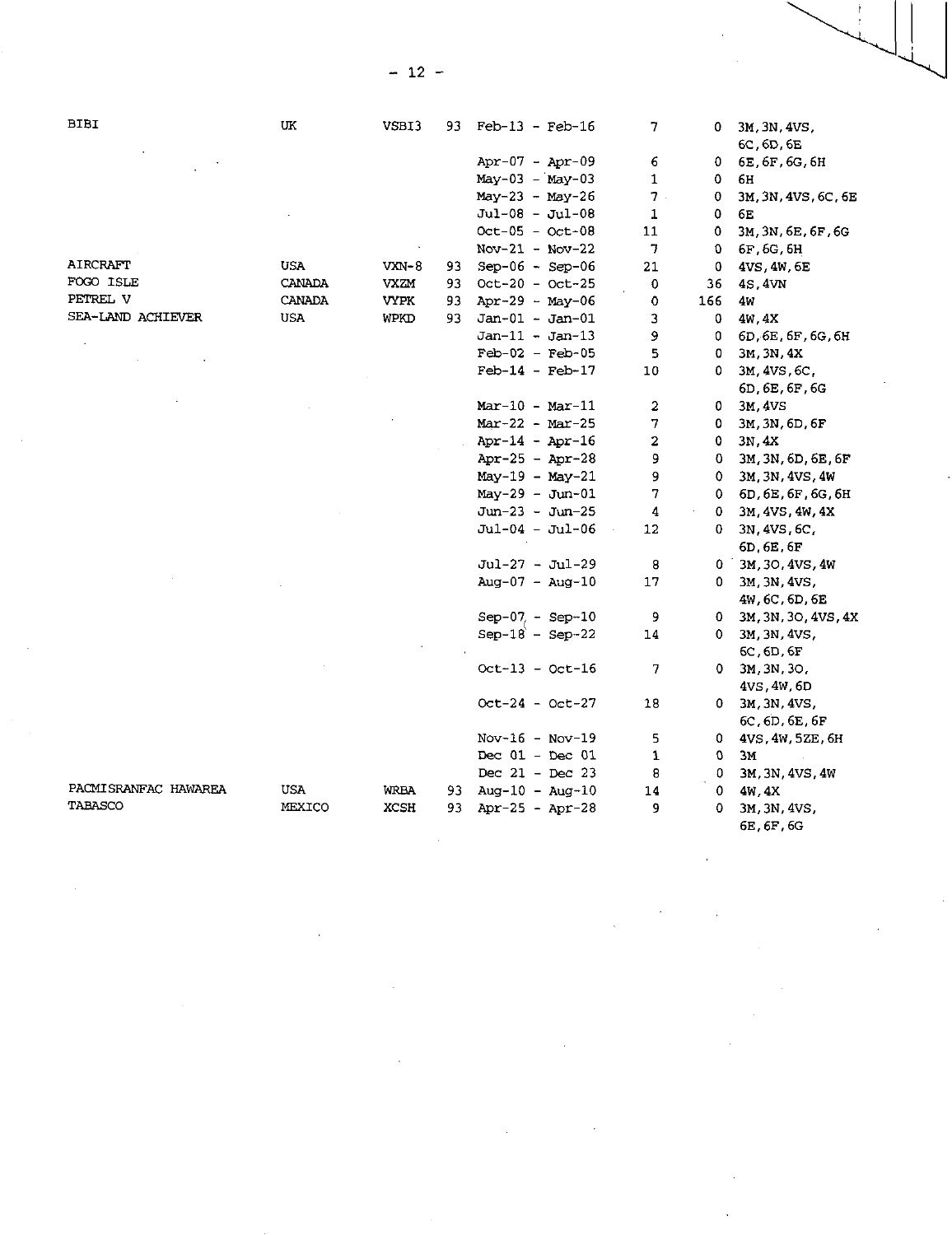| <b>BIBI</b>          | UK         | VSBI3       | 93. | $Feb-13$ - $Feb-16$ | 7              | 0.  | 3M, 3N, 4VS,        |
|----------------------|------------|-------------|-----|---------------------|----------------|-----|---------------------|
|                      |            |             |     |                     |                |     | 6C, 6D, 6E          |
|                      |            |             |     | Apr-07 - Apr-09     | 6              | 0   | 6E, 6F, 6G, 6H      |
|                      |            |             |     | $May-03 - May-03$   | 1              | ٥   | 6Н                  |
|                      |            |             |     | $May-23 - May-26$   | 7.             | 0   | 3M, 3N, 4VS, 6C, 6E |
|                      |            |             |     | $Jul-08 - Jul-08$   | 1              | 0   | 6Е                  |
|                      |            |             |     | $Oct-05 - Oct-08$   | 11             | 0   | 3M, 3N, 6E, 6F, 6G  |
|                      |            |             |     | $Nov-21 - Nov-22$   | 7              | 0   | 6F, 6G, 6H          |
| AIRCRAFT             | <b>USA</b> | VXN-8       | 93  | $Sep-06 - Sep-06$   | 21             | 0   | 4VS, 4W, 6E         |
| FOGO ISLE            | CANADA     | VXZM        | 93  | $Oct-20 - Oct-25$   | 0              | 36  | 4S, 4VN             |
| PETREL V             | CANADA     | <b>VYPK</b> | 93  | Apr-29 - May-06     | 0              | 166 | 4w                  |
| SEA-LAND ACHIEVER    | USA        | WPKD        | 93  | $Jan-01 - Jan-01$   | 3              | 0   | 4w.4X               |
|                      |            |             |     | $Jan-11 - Jan-13$   | 9              | 0   | 6D 6E 6F, 6G, 6H    |
|                      |            |             |     | $Feb-02 - Feb-05$   | 5              | 0   | 3M, 3N, 4X          |
|                      |            |             |     | $Feb-14 - Feb-17$   | 10             | 0   | 3M, 4VS, 6C,        |
|                      |            |             |     |                     |                |     | 6D, 6E, 6F, 6G      |
|                      |            |             |     | $Mar-10 - Mar-11$   | 2              | 0   | 3M 4VS              |
|                      |            |             |     | Mar-22 - Mar-25     | 7              | 0.  | 3M, 3N, 6D, 6F      |
|                      |            |             |     | $Apr-14 - Apr-16$   | $\overline{c}$ | 0.  | 3N, 4X              |
|                      |            |             |     | Apr-25 - Apr-28     | 9              | 0.  | 3M, 3N, 6D, 6E, 6F  |
|                      |            |             |     | $May-19 - May-21$   | 9              | 0.  | 3M.3N.4VS.4W        |
|                      |            |             |     | $May-29 - Jun-01$   | 7              | 0.  | 6D.6E.6F.6G.6H      |
|                      |            |             |     | $Jun-23 - Jun-25$   | 4              | 0.  | 3M, 4VS, 4W, 4X     |
|                      |            |             |     | Jul-04 - Jul-06     | 12             | 0.  | 3N, 4VS, 6C,        |
|                      |            |             |     |                     |                |     | 6D.6E.6F            |
|                      |            |             |     | Jul-27 - Jul-29     | 8              |     | 0 3M, 3O, 4VS, 4W   |
|                      |            |             |     | $Aug-07 - Aug-10$   | 17             | 0.  | 3M, 3N, 4VS,        |
|                      |            |             |     |                     |                |     | 4W.6C.6D.6E         |
|                      |            |             |     | $Sep-07 - Sep-10$   | 9              | 0.  | 3M, 3N, 3O, 4VS, 4X |
|                      |            |             |     | $Sep-18 - Sep-22$   | 14             | 0.  | 3M. 3N, 4VS.        |
|                      |            |             |     |                     |                |     | $6C$ , $6D$ , $6F$  |
|                      |            |             |     | $Oct-13 - Oct-16$   | 7              | 0.  | 3M, 3N, 3O,         |
|                      |            |             |     |                     |                |     | 4VS, 4W, 6D         |
|                      |            |             |     | $Oct-24 - Oct-27$   | 18             | 0.  | 3M.3N.4VS.          |
|                      |            |             |     |                     |                |     | 6C, 6D, 6E, 6F      |
|                      |            |             |     | $Nov-16 - Nov-19$   | 5              | 0   | 4VS, 4W, 5ZE, 6H    |
|                      |            |             |     | Dec $01 - Dec 01$   | 1              | 0   | ЗM                  |
|                      |            |             |     | Dec $21 - Dec 23$   | 8              | 0   | 3M.3N, 4VS.4W       |
| PACMISRANFAC HAWAREA | USA        | <b>WRBA</b> | 93  | $Auq-10 - Auq-10$   | 14             | 0   | 4W 4X               |
| TABASCO              | MEXICO     | <b>XCSH</b> | 93  | Apr-25 - Apr-28     | 9              | ٥   | 3M, 3N, 4VS,        |
|                      |            |             |     |                     |                |     |                     |

 $\lambda$ 

 $\mathcal{L}$ 

6E,6F,6G

 $\bar{\beta}$ 

 $- 12 -$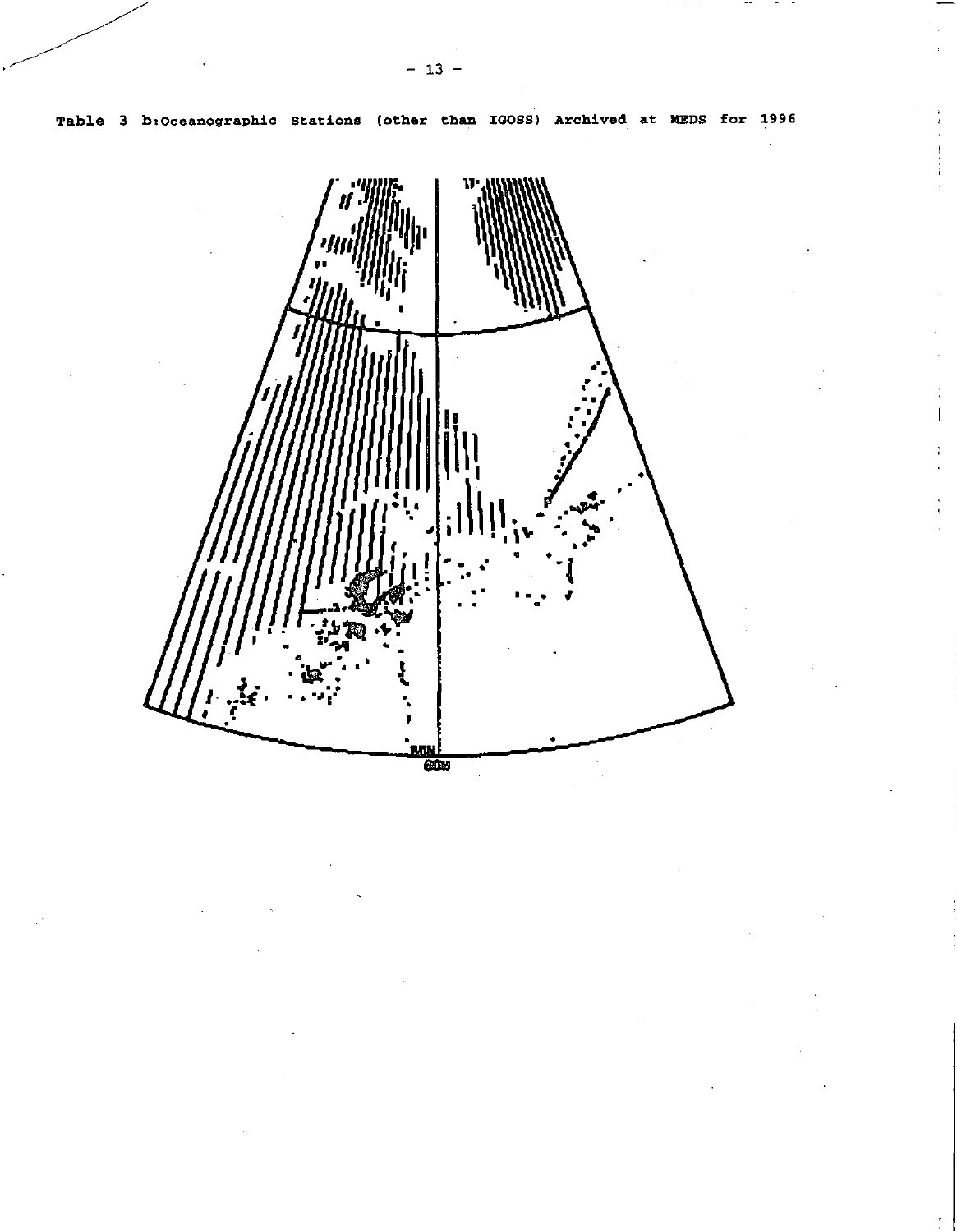

 $\overline{1}$ 

Î.

Table 3 b:Oceanographic Stations (other than IGOSS) Archived at MEDS for 1996

 $-13 -$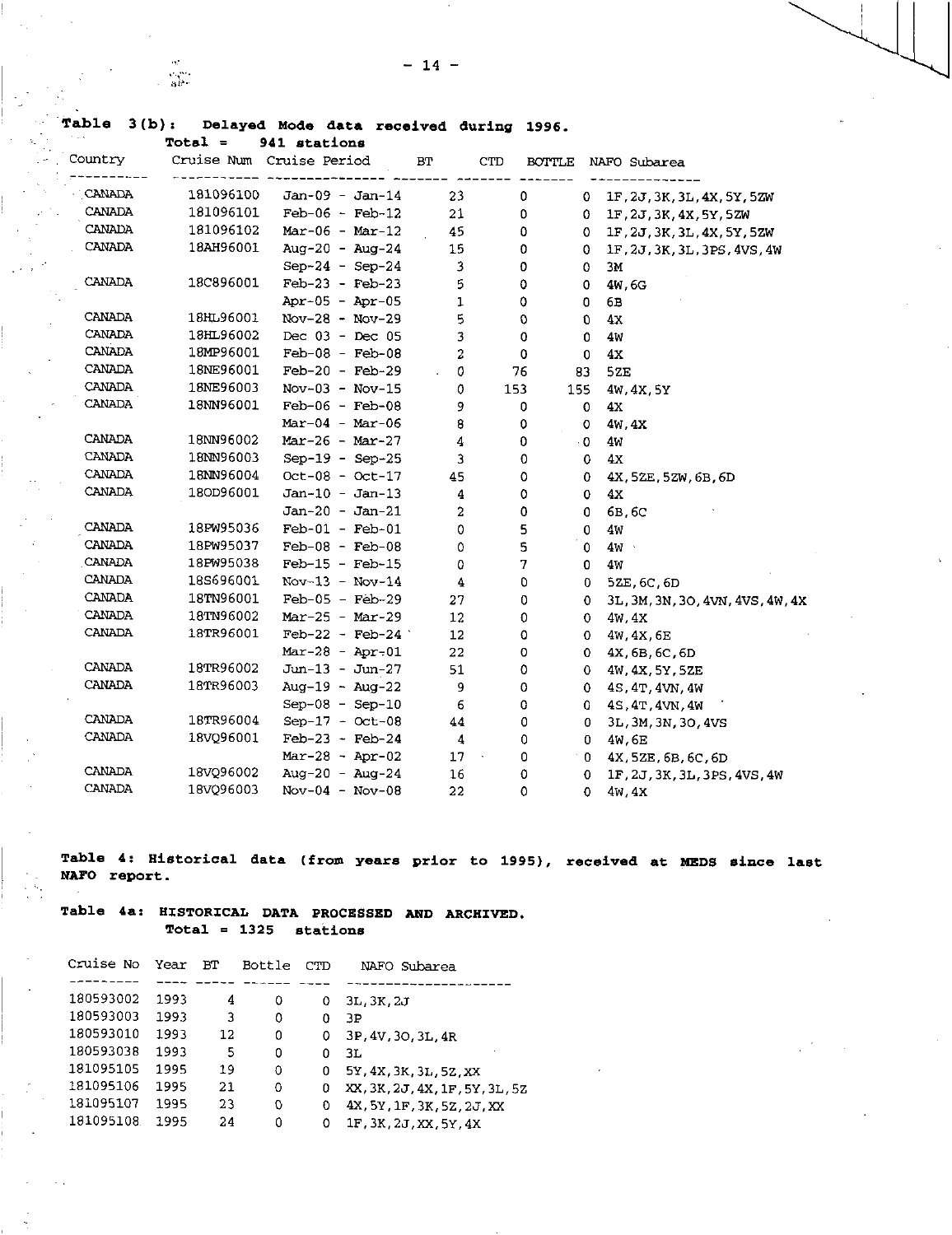# **Table 3(b): Delayed Mode data received during 1996.**

 $\alpha_{\rm c}$  $\frac{1}{3} \frac{1}{6}$ 

 $\ddot{\phantom{a}}$  $\sim$ 

|               | $Total =$ | 941 stations             |                |             |               |                                  |
|---------------|-----------|--------------------------|----------------|-------------|---------------|----------------------------------|
| Country       |           | Cruise Num Cruise Period | BT             | <b>CTD</b>  | <b>BOTTLE</b> | NAFO Subarea                     |
| CANADA        | 181096100 | $Jan-09 - Jan-14$        | 23             | 0           | 0.            | 1F.2J.3K.3L.4X.5Y.5ZW            |
| CANADA        | 181096101 | $Feb-06$ - $Feb-12$      | 21             | 0           | 0             | 1F, 2J, 3K, 4X, 5Y, 5ZW          |
| CANADA        | 181096102 | $Mar-06 - Mar-12$        | 45             | 0           | 0.            | 1F.2J.3K.3L.4X.5Y.5ZW            |
| <b>CANADA</b> | 18AH96001 | Aug-20 - Aug-24          | 15             | 0           | 0.            | 1F, 2J, 3K, 3L, 3PS, 4VS, 4W     |
|               |           | $Sep-24 - Sep-24$        | 3              | 0           | 0             | 3M                               |
| CANADA        | 18C896001 | $Feb-23 - Feb-23$        | 5              | 0           | 0             | 4W.6G                            |
|               |           | Apr-05 - Apr-05          | 1              | 0           | 0             | 6в                               |
| CANADA        | 18HL96001 | $Nov-28 - Nov-29$        | 5              | 0           | O             | 4Х                               |
| CANADA        | 18HL96002 | Dec $03 - Dec 05$        | 3              | 0           | 0             | 4W                               |
| CANADA        | 18MP96001 | $Feb-08 - Feb-08$        | $\overline{a}$ | 0           | 0             | 4X                               |
| CANADA        | 18NE96001 | $Feb-20 - Feb-29$        | 0<br>i.        | 76          | 83            | 52E                              |
| CANADA        | 18NE96003 | $Nov-03 - Nov-15$        | 0              | 153         | 155           | 4W, 4X, 5Y                       |
| CANADA        | 18NN96001 | $Feb-06 - Feb-08$        | 9              | 0           | $\circ$       | 4x                               |
|               |           | $Mar-04 - Mar-06$        | 8              | 0           | 0             | 4W 4X                            |
| CANADA        | 18NN96002 | Mar-26 - Mar-27          | 4              | 0           | $\cdot$ 0     | 4w                               |
| CANADA        | 18NN96003 | Sep-19 - Sep-25          | 3              | 0           | 0             | 4x                               |
| CANADA        | 18NN96004 | $Oct-08 - Oct-17$        | 45             | 0           | 0             | 4X.5ZE.5ZW.6B.6D                 |
| CANADA        | 180D96001 | $Jan-10 - Jan-13$        | 4              | 0           | 0             | 4X                               |
|               |           | $Jan-20 - Jan-21$        | $\overline{2}$ | 0           | 0             | 6B.6C                            |
| CANADA        | 18PW95036 | $Feb-01 - Feb-01$        | $\mathbf 0$    | 5           | 0             | 4W                               |
| CANADA        | 18PW95037 | $Feb-08$ - $Feb-08$      | 0              | 5           | $\circ$       | 4W                               |
| CANADA        | 18PW95038 | $Feb-15$ - $Feb-15$      | 0              | 7           | 0             | 4w                               |
| CANADA        | 18S696001 | $Nov-13 - Nov-14$        | 4              | 0           | 0             | 5ZE, 6C, 6D                      |
| CANADA        | 18TN96001 | $Feb-05 - Feb-29$        | 27             | 0           | 0             | 3L, 3M, 3N, 3O, 4VN, 4VS, 4W, 4X |
| CANADA        | 18TN96002 | $Mar-25 - Mar-29$        | 12             | 0           | 0             | 4W.4X                            |
| CANADA        | 18TR96001 | $Feb-22 - Feb-24$        | 12             | 0           | 0             | 4W, 4X, 6E                       |
|               |           | $Mar-28 - Apr-01$        | 22             | 0           | 0.            | 4X, 6B, 6C, 6D                   |
| CANADA        | 18TR96002 | Jun-13 - Jun-27          | 51             | 0           | 0             | 4W, 4X, 5Y, 5ZE                  |
| CANADA        | 18TR96003 | Aug-19 $-$ Aug-22        | 9              | 0           | 0             | 4S.4T.4VN.4W                     |
|               |           | $Sep-08 - Sep-10$        | 6              | 0           | 0.            | 4S.4T.4VN.4W                     |
| <b>CANADA</b> | 18TR96004 | $Sep-17 - Oct-08$        | 44             | 0           | 0             | 3L, 3M, 3N, 3O, 4VS              |
| CANADA        | 18VQ96001 | $Feb-23 - Feb-24$        | 4              | 0           | 0.            | 4W.6E                            |
|               |           | $Mar-28 - Apr-02$        | 17             | 0<br>$\sim$ | 0             | 4X 5ZE, 6B, 6C, 6D               |
| CANADA        | 18VQ96002 | Aug-20 - Aug-24          | 16             | 0           | 0             | 1F, 2J, 3K, 3L, 3PS, 4VS, 4W     |
| CANADA        | 18VQ96003 | $Nov-04 - Nov-08$        | 22             | 0           | $\circ$       | 4w.4X                            |

**Table 4: Historical data (from years prior to 1995), received at MEDS since last NATO report.** 

## **Table 4a: HISTORICAL DATA PROCESSED AND ARCHIVED. Total = 1325 stations**

| Cruise No | Year | ВT | Bottle | CTD | Subarea<br>NAFO                |
|-----------|------|----|--------|-----|--------------------------------|
|           |      |    |        |     |                                |
| 180593002 | 1993 | 4  | 0      | 0   | 3L, 3K, 2J                     |
| 180593003 | 1993 | 3  | 0      | 0   | ЗP                             |
| 180593010 | 1993 | 12 | 0      | Ω   | 3P.4V.3O.3L.4R                 |
| 180593038 | 1993 | 5  | 0      | 0   | 3L                             |
| 181095105 | 1995 | 19 | 0      |     | 5Y, 4X, 3K, 3L, 5Z, XX         |
| 181095106 | 1995 | 21 | 0      | o   | XX, 3K, 2J, 4X, 1F, 5Y, 3L, 5Z |
| 181095107 | 1995 | 23 | 0      | O   | 4X, 5Y, 1F, 3K, 5Z, 2J, XX     |
| 181095108 | 1995 | 24 | 0      | Ω   | 1F.3K.2J.XX.5Y.4X              |
|           |      |    |        |     |                                |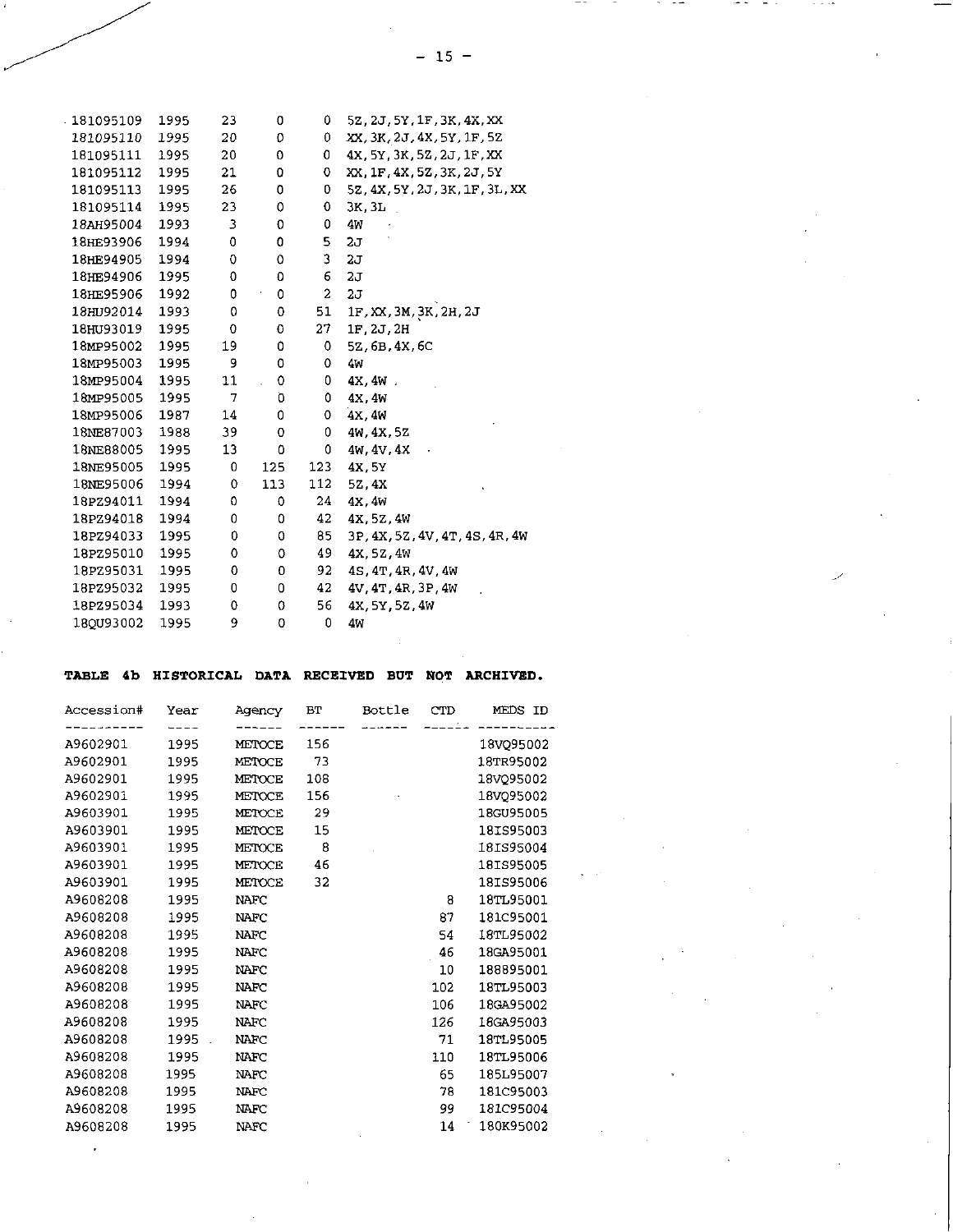| 181095109 | 1995 | 23 | 0   | 0   | 5Z, 2J, 5Y, 1F, 3K, 4X, XX     |
|-----------|------|----|-----|-----|--------------------------------|
| 181095110 | 1995 | 20 | 0   | 0   | XX, 3K, 2J, 4X, 5Y, 1F, 52     |
| 181095111 | 1995 | 20 | 0   | 0   | 4X, 5Y, 3K, 5Z, 2J, 1F, XX     |
| 181095112 | 1995 | 21 | 0   | 0   | XX, 1F, 4X, 5Z, 3K, 2J, 5Y     |
| 181095113 | 1995 | 26 | 0   | 0   | 52, 4X, 5Y, 2J, 3K, 1F, 3L, XX |
| 181095114 | 1995 | 23 | 0   | 0   | 3K, 3L                         |
| 18AH95004 | 1993 | 3  | 0   | 0   | 4V                             |
| 18HE93906 | 1994 | 0  | 0   | 5   | 20                             |
| 18HE94905 | 1994 | 0  | 0   | 3   | $2\sigma$                      |
| 18HE94906 | 1995 | 0  | 0   | 6   | 2.7                            |
| 18HE95906 | 1992 | 0  | 0   | 2   | 2J                             |
| 18HU92014 | 1993 | 0  | 0   | 51  | 1F, XX, 3M, 3K, 2H, 2J         |
| 18HU93019 | 1995 | 0  | 0   | 27  | 1F.2J.2H                       |
| 18MP95002 | 1995 | 19 | 0   | 0   | 5Z, 6B, 4X, 6C                 |
| 18MP95003 | 1995 | 9  | 0   | 0   | 4M                             |
| 18MP95004 | 1995 | 11 | 0   | 0   | 4X, 4W.                        |
| 18MP95005 | 1995 | 7  | Ö   | 0   | 4X.4W                          |
| 18MP95006 | 1987 | 14 | 0   | 0   | 4X, 4W                         |
| 18NE87003 | 1988 | 39 | 0   | 0   | 4v, 4x, 5z                     |
| 18NE88005 | 1995 | 13 | 0   | 0   | 4W, 4V, 4X                     |
| 18NE95005 | 1995 | 0  | 125 | 123 | 4X, 5Y                         |
| 18NE95006 | 1994 | 0  | 113 | 112 | 5Z, 4X                         |
| 18PZ94011 | 1994 | 0  | 0   | 24  | 4X, 4W                         |
| 18PZ94018 | 1994 | 0  | 0   | 42  | 4X, 5Z, 4W                     |
| 18PZ94033 | 1995 | 0  | 0   | 85  | 3P, 4X, 5Z, 4V, 4T, 4S, 4R, 4W |
| 18PZ95010 | 1995 | 0  | 0   | 49  | 4X.5Z.4W                       |
| 18PZ95031 | 1995 | 0  | 0   | 92  | 4S, 4T, 4R, 4V, 4W             |
| 18PZ95032 | 1995 | 0  | 0   | 42  | 4V, 4T, 4R, 3P, 4W             |
| 18PZ95034 | 1993 | 0  | 0   | 56  | 4X, 5Y, 5Z, 4W                 |
| 18QU93002 | 1995 | 9  | 0   | 0   | 4w                             |
|           |      |    |     |     |                                |

# TABLE 4b HISTORICAL DATA RECEIVED BUT NOT ARCHIVED.

| 156<br>1995<br>A9602901<br>METOCE<br>18VQ95002<br>73<br>A9602901<br>1995<br>18TR95002<br><b>METOCE</b><br>A9602901<br>1995<br>108<br>18VO95002<br>METOCE | MEDS ID |
|----------------------------------------------------------------------------------------------------------------------------------------------------------|---------|
|                                                                                                                                                          |         |
|                                                                                                                                                          |         |
|                                                                                                                                                          |         |
|                                                                                                                                                          |         |
| A9602901<br>156<br>1995<br>18VQ95002<br>METOCE                                                                                                           |         |
| 29<br>A9603901<br>1995<br>18GU95005<br>METOCE                                                                                                            |         |
| A9603901<br>18IS95003<br>15<br>1995<br>METOCE                                                                                                            |         |
| 8<br>A9603901<br>1995<br>18IS95004<br>METOCE                                                                                                             |         |
| 46<br>A9603901<br>18IS95005<br>1995<br><b>METOCE</b>                                                                                                     |         |
| 32<br>A9603901<br>1995<br>18IS95006<br>METOCE                                                                                                            |         |
| A9608208<br>18TL95001<br>8<br>1995<br><b>NAFC</b>                                                                                                        |         |
| 87<br>A9608208<br>1995<br>181C95001<br><b>NAFC</b>                                                                                                       |         |
| 18TL95002<br>A9608208<br>1995<br><b>NAFC</b><br>54                                                                                                       |         |
| A9608208<br>1995<br>46<br>18GA95001<br><b>NAFC</b>                                                                                                       |         |
| A9608208<br>188895001<br>1995<br>10<br><b>NAFC</b>                                                                                                       |         |
| 1995<br>A9608208<br><b>NAFC</b><br>102<br>18TL95003                                                                                                      |         |
| A9608208<br>106<br>1995<br>18GA95002<br><b>NAFC</b>                                                                                                      |         |
| A9608208<br>126<br>1995<br>NAFC<br>18GA95003                                                                                                             |         |
| A9608208<br>18TL95005<br>1995<br><b>NAFC</b><br>71                                                                                                       |         |
| A9608208<br>1995<br>110<br>18TL95006<br>NAFC                                                                                                             |         |
| 65<br>A9608208<br>1995<br>185L95007<br>NAFC                                                                                                              |         |
| A9608208<br>1995<br>78<br>181C95003<br><b>NAFC</b>                                                                                                       |         |
| A9608208<br>99<br>181C95004<br>1995<br>NAFC                                                                                                              |         |
| 180K95002<br>A9608208<br>14<br>1995<br>NAFC                                                                                                              |         |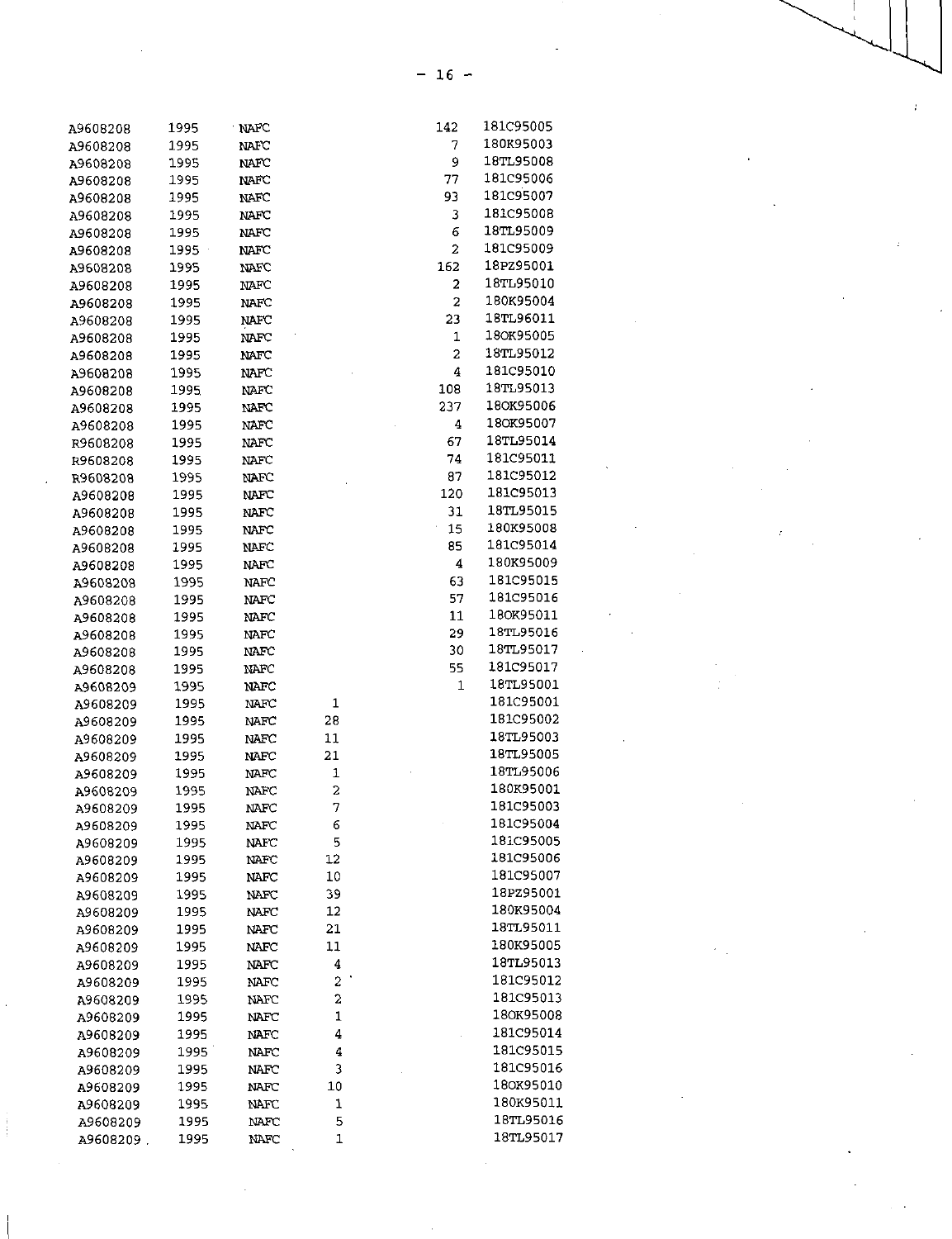| A9608208             | 1995 | NAFC         |                  | 142                     | 181C95005         |
|----------------------|------|--------------|------------------|-------------------------|-------------------|
| A9608208             | 1995 | NAFC         |                  | 7                       | 180K95003         |
| A9608208             | 1995 | <b>NAFC</b>  |                  | 9                       | 18TL95008         |
| A9608208             | 1995 | $_{\rm MTC}$ |                  | 77                      | <b>181C95006</b>  |
| A9608208             | 1995 | $_{\rm MAC}$ |                  | 93                      | 181C95007         |
| A9608208             | 1995 | NAFC         |                  | 3                       | 181C95008         |
| A9608208             | 1995 | NAFC         |                  | 6                       | 18TL95009         |
| A9608208             | 1995 | MAFC         |                  | $\overline{\mathbf{2}}$ | 181C95009         |
| A9608208             | 1995 | NAFC         |                  | 162                     | 18PZ95001         |
| A9608208             | 1995 | NAFC         |                  | $\overline{a}$          | 18TL95010         |
| A9608208             | 1995 | <b>NAFC</b>  |                  | $\overline{a}$          | 180K95004         |
| A9608208             | 1995 | NAFC         |                  | 23                      | 18TL96011         |
| A9608208             | 1995 | NAFC         |                  | $\mathbf{1}$            | 180K95005         |
| A9608208             | 1995 | NAFC         |                  | 2                       | 18TL95012         |
| A9608208             | 1995 | NATC         |                  | 4                       | 181C95010         |
| A9608208             | 1995 | NAFC         |                  | 108                     | 18TL95013         |
| A9608208             | 1995 | NAFC         |                  | 237                     | 180K95006         |
| A9608208             | 1995 | NAFC         |                  | 4                       | 180K95007         |
| R9608208             | 1995 | NAFC         |                  | 67                      | 18TL9501 <b>4</b> |
| R9608208             | 1995 | NAFC         |                  | 74                      | 181C95011         |
| R9608208             | 1995 | NAFC         |                  | 87                      | 181C95012         |
| A9608208             | 1995 | NAFC         |                  | 120                     | 181C95013         |
| A9608208             | 1995 | NAFC         |                  | 31                      | 18TL95015         |
| A9608208             | 1995 | NAFC         |                  | 15                      | 180K95008         |
| A9608208             | 1995 | <b>NAFC</b>  |                  | 85                      | 181C95014         |
| A9608208             | 1995 | NAFC         |                  | 4                       | 180K95009         |
| A9608208             | 1995 | NAFC         |                  | 63                      | 181C95015         |
|                      | 1995 | NAFC         |                  | 57                      | 181C95016         |
| A9608208             | 1995 | NAFC         |                  | 11                      | 180K95011         |
| A9608208             | 1995 | NAFC         |                  | 29                      | 18TL95016         |
| A9608208<br>A9608208 | 1995 | NAFC         |                  | 30                      | 18TL95017         |
|                      | 1995 | NAFC         |                  | 55                      | 181C95017         |
| A9608208             |      |              |                  | 1                       | 18TL95001         |
| A9608209             | 1995 | NAFC         |                  |                         | 181C95001         |
| A9608209             | 1995 | NAFC         | 1                |                         | 181C95002         |
| A9608209             | 1995 | NAFC         | 28               |                         | 18TL95003         |
| A9608209             | 1995 | <b>NAFC</b>  | 11               |                         | 18TL95005         |
| A9608209             | 1995 | NAFC         | 21               |                         | 18TL95006         |
| A9608209             | 1995 | NAFC         | 1                |                         | 180K95001         |
| A9608209             | 1995 | NAFC         | $\boldsymbol{2}$ |                         | 181C95003         |
| A9608209             | 1995 | NAFC         | 7                |                         |                   |
| A9608209             | 1995 | <b>NAFC</b>  | 6                |                         | 181C95004         |
| A9608209             | 1995 | NAFC         | 5                |                         | 181C95005         |
| A9608209             | 1995 | NAFC         | 12               |                         | 181C95006         |
| A9608209             | 1995 | NAFC         | 10               |                         | 181C95007         |
| A9608209             | 1995 | MFC          | 39               |                         | 18PZ95001         |
| A9608209             | 1995 | NAFC         | 12               |                         | 180K95004         |
| A9608209             | 1995 | NAFC         | 21               |                         | 18TL95011         |
| A9608209             | 1995 | NAFC         | 11               |                         | 180K95005         |
| A9608209             | 1995 | NAFC         | 4                |                         | 18TL95013         |
| A9608209             | 1995 | NAFC         | 2                |                         | 181C95012         |
| A9608209             | 1995 | NAFC         | 2                |                         | 181C95013         |
| A9608209             | 1995 | <b>NAFC</b>  | 1                |                         | 180K95008         |
| A9608209             | 1995 | MAFC         | 4                |                         | 181C95014         |
| A9608209             | 1995 | NAFC         | 4                |                         | 181C95015         |
| A9608209             | 1995 | NAFC         | 3                |                         | 181C95016         |
| A9608209             | 1995 | NAFC         | 10               |                         | 180K95010         |
| A9608209             | 1995 | NAFC         | 1                |                         | 180K95011         |
| A9608209             | 1995 | NAFC         | 5                |                         | 18TL95016         |
| A9608209.            | 1995 | <b>NAFC</b>  | 1                |                         | 18TL95017         |

 $- 16 -$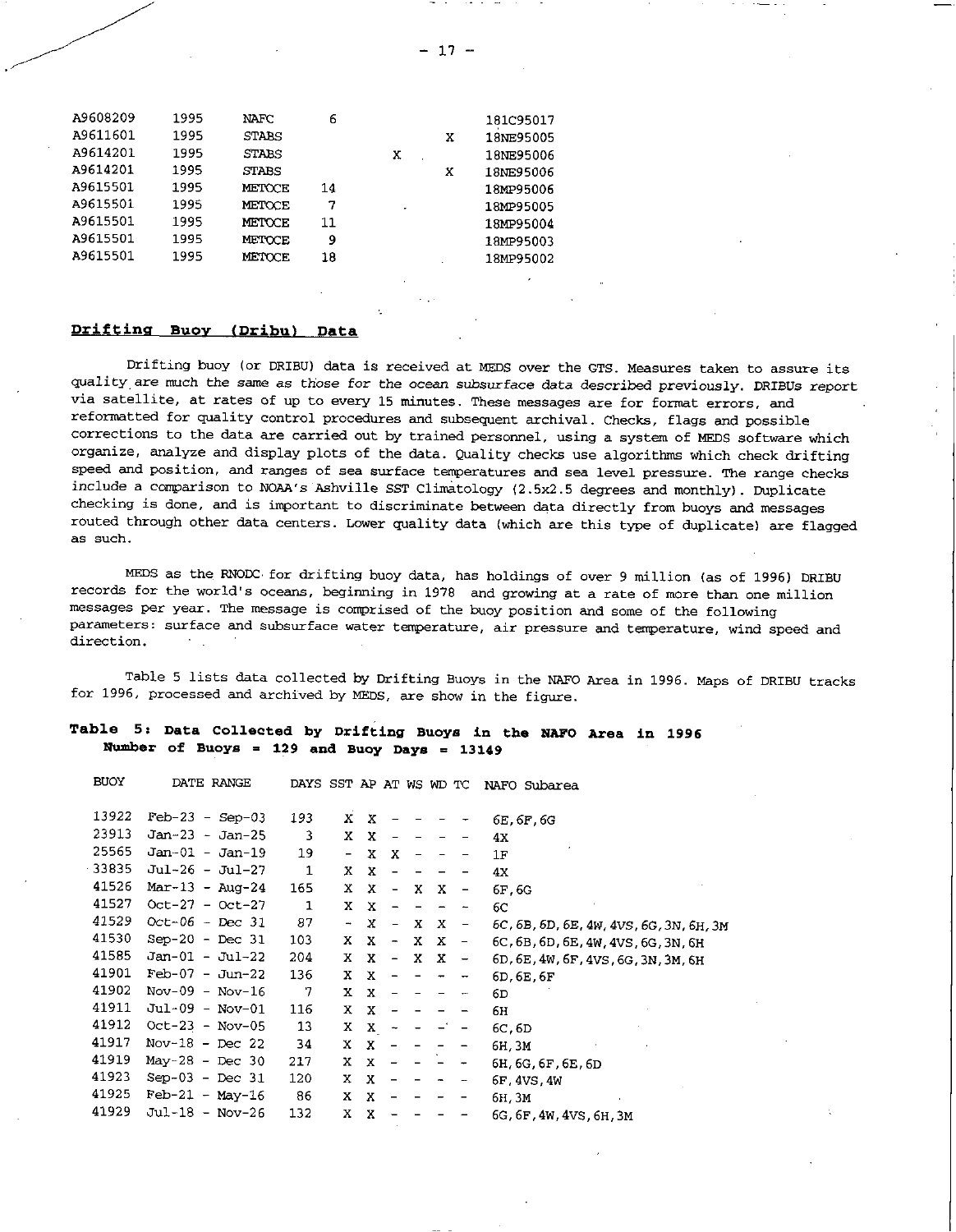| A9608209 | 1995 | NAFC         | 6  |   |   | 181C95017 |
|----------|------|--------------|----|---|---|-----------|
| A9611601 | 1995 | <b>STABS</b> |    |   | x | 18NE95005 |
| A9614201 | 1995 | <b>STABS</b> |    | x |   | 18NE95006 |
| A9614201 | 1995 | STABS        |    |   | x | 18NE95006 |
| A9615501 | 1995 | METOCE       | 14 |   |   | 18MP95006 |
| A9615501 | 1995 | METOCE       | 7  | ٠ |   | 18MP95005 |
| A9615501 | 1995 | METOCE       | 11 |   |   | 18MP95004 |
| A9615501 | 1995 | METOCE       | 9  |   |   | 18MP95003 |
| A9615501 | 1995 | METOCE       | 18 |   |   | 18MP95002 |
|          |      |              |    |   |   |           |

## **Drifting Buoy (Dribu) Data**

Drifting buoy (or DRIBU) data is received at MEDS over the GTS. Measures taken to assure its quality are much the same as those for the *ocean* subsurface data described *previously.* DRIBUs report via satellite, at rates of up to every 15 minutes. These messages are for format errors, and reformatted for quality control procedures and subsequent archival. Checks, flags and possible corrections to the data are carried out by trained personnel, using a system of MEDS software which organize, analyze and display plots of the data. Quality checks use algorithms which check drifting speed and position, and ranges of sea surface temperatures and sea level pressure. The range checks include a comparison to NOAA's Ashville SST Climatology (2.5x2.5 degrees and monthly). Duplicate checking is done, and is important to discriminate between data directly from buoys and messages routed through other data centers. Lower quality data (which are this type of duplicate) are flagged as such.

MEDS as the RNODC for drifting buoy data, has holdings of over 9 million (as of 1996) DRIBU records for the world's oceans, beginning in 1978 and growing at a rate of more than one million messages per year. The message is comprised of the buoy position and some of the following parameters: surface and subsurface water temperature, air pressure and temperature, wind speed and direction.

Table 5 lists data collected by Drifting Buoys in the NAFO Area in 1996. Maps of DRIBU tracks for 1996, processed and archived by MEDS, are show in the figure.

# **Table 5: Data Collected by Drifting Buoys in the NAFO Area in 1996 Number of Buoys = 129 and Buoy Days = 13149**

| <b>BUOY</b> | DATE RANGE          | DAYS SST AP AT WS WD TC |                          |                           |                          |    |   |                          | NAFO Subarea                            |
|-------------|---------------------|-------------------------|--------------------------|---------------------------|--------------------------|----|---|--------------------------|-----------------------------------------|
|             |                     |                         |                          |                           |                          |    |   |                          |                                         |
| 13922       | $Feb-23 - Sep-03$   | 193                     | X.                       | х                         |                          |    |   |                          | 6E, 6F, 6G                              |
| 23913       | $Jan-23 - Jan-25$   | 3                       | X.                       | X                         |                          |    |   |                          | 4X                                      |
| 25565       | $Jan-01 - Jan-19$   | 19                      | $\overline{\phantom{a}}$ | x                         | x                        |    |   |                          | 1F                                      |
| 33835       | Jul-26 - Jul-27     | $\mathbf{1}$            | X.                       | x                         |                          |    |   |                          | 4X                                      |
| 41526       | $Mar-13 - Aug-24$   | 165                     | X.                       | x                         | $\overline{\phantom{m}}$ | x  | х | $\qquad \qquad -$        | 6F, 6G                                  |
| 41527       | $Oct-27 - Oct-27$   | $\mathbf{1}$            | X.                       | х                         | -                        |    |   | $\sim$                   | 6С                                      |
| 41529       | $Oct-06 - Dec 31$   | 87                      | $\overline{\phantom{a}}$ | x                         | $\overline{\phantom{m}}$ | X  |   | $X -$                    | 6C, 6B, 6D, 6E, 4W, 4VS, 6G, 3N, 6H, 3M |
| 41530       | $Sep-20$ - $Dec$ 31 | 103                     | X.                       | X                         | $\overline{\phantom{a}}$ | X. | x | $\sim$ .                 | 6C, 6B, 6D, 6E, 4W, 4VS, 6G, 3N, 6H     |
| 41585       | $Jan-01 - Jul-22$   | 204                     | X.                       | X                         | $\overline{\phantom{a}}$ | X  | X | $\overline{\phantom{0}}$ | 6D, 6E, 4W, 6F, 4VS, 6G, 3N, 3M, 6H     |
| 41901       | $Feb-07 - Jun-22$   | 136                     | X.                       | $\boldsymbol{\mathsf{X}}$ |                          |    |   | $\overline{\phantom{a}}$ | 6D, 6E, 6F                              |
| 41902       | $Nov-09 - Nov-16$   | 7                       | x.                       | x                         |                          |    |   |                          | 6D.                                     |
| 41911       | Jul-09 - Nov-01     | 116                     | X.                       | x                         |                          |    |   |                          | 6Н                                      |
| 41912       | $Oct-23 - Nov-05$   | 13                      | X.                       | x                         |                          |    |   |                          | 6C, 6D                                  |
| 41917       | Nov-18 - Dec 22     | 34                      | X.                       | $\mathbf{x}$              |                          |    |   |                          | 6H, 3M                                  |
| 41919       | May-28 - Dec 30     | 217                     | x                        | x                         |                          |    |   |                          | 6H, 6G, 6F, 6E, 6D                      |
| 41923       | Sep-03 - Dec $31$   | 120                     | x                        | х                         |                          |    |   |                          | 6F, 4VS, 4W                             |
| 41925       | $Feb-21 - May-16$   | 86                      | X.                       | x                         |                          |    |   |                          | 6н, Зм                                  |
| 41929       | Jul-18 - Nov-26     | 132                     | x                        | X                         |                          |    |   |                          | 6G, 6F, 4W, 4VS, 6H, 3M                 |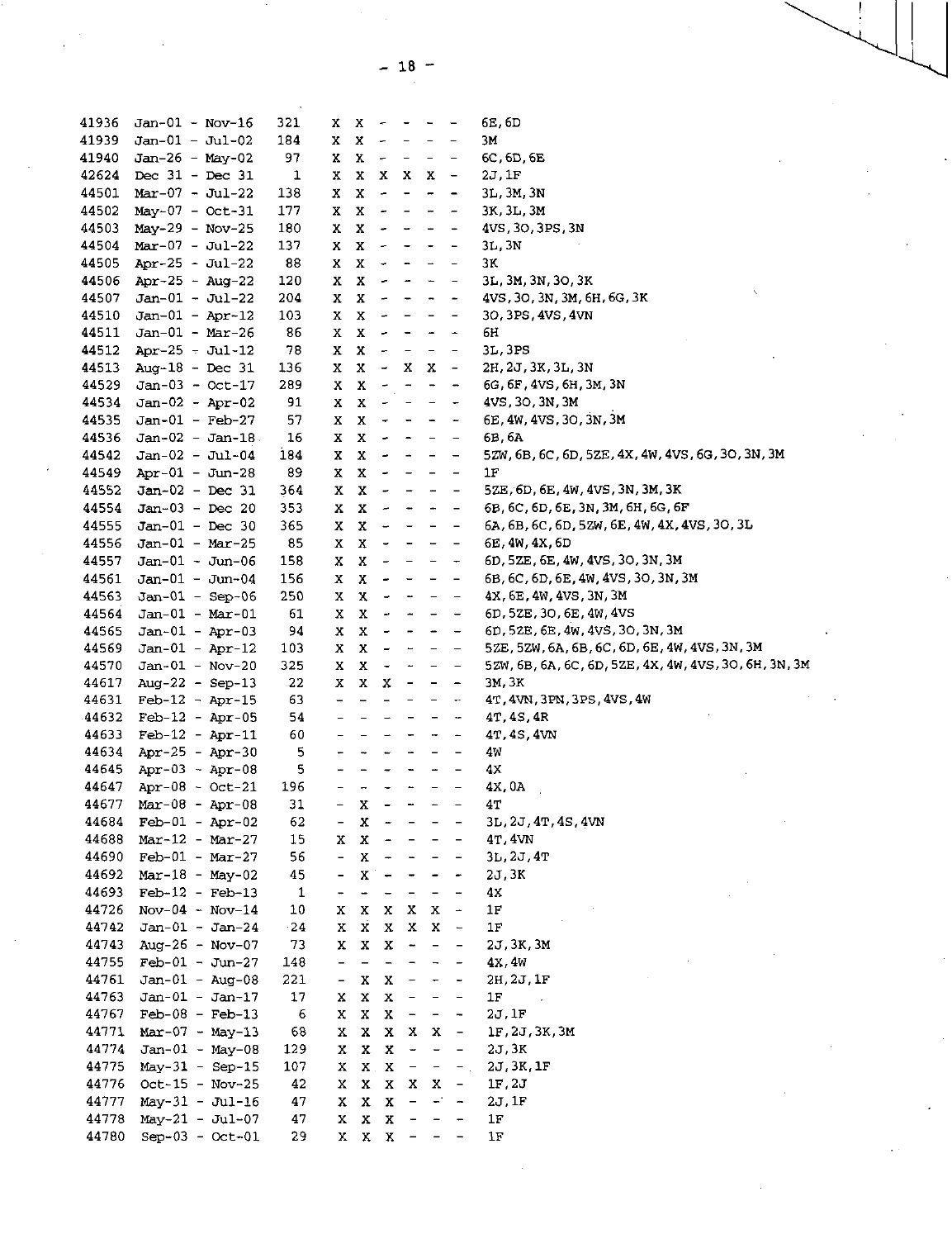| 41936          | $Jan-01 - Nov-16$                      | 321          | X.                                                   |                                                      |                                                      | $X - - - -$                                                                       |                                                      |                                                                                   | 6E, 6D                                                |
|----------------|----------------------------------------|--------------|------------------------------------------------------|------------------------------------------------------|------------------------------------------------------|-----------------------------------------------------------------------------------|------------------------------------------------------|-----------------------------------------------------------------------------------|-------------------------------------------------------|
| 41939          | $Jan-01 - Jul-02$                      | 184          | x                                                    | $X -$                                                |                                                      | $\sim$ $ \sim$                                                                    | $  \,$                                               | $\qquad \qquad -$                                                                 | 3M                                                    |
| 41940          | $Jan-26 - May-02$                      | 97           | x                                                    | $X -$                                                |                                                      | $\sim$ $ \sim$                                                                    | $\sim$ $-$                                           | $\overline{\phantom{a}}$                                                          | 6C, 6D, 6E                                            |
| 42624          | Dec $31 - Dec 31$                      | 1            | x                                                    |                                                      |                                                      | X X X                                                                             | $X -$                                                |                                                                                   | 2J, 1F                                                |
| 44501          | $Mar-07 - Jul-22$                      | 138          | x                                                    | $\mathbf{x}$                                         | $\sim$                                               | $\blacksquare$                                                                    | $\frac{1}{2}$                                        | $\qquad \qquad \blacksquare$                                                      | 3L, 3M, 3N                                            |
| 44502          | $May-07 - Oct-31$                      | 177          | x                                                    | $X -$                                                |                                                      | $\overline{\phantom{a}}$                                                          | $\qquad \qquad -$                                    | $\qquad \qquad -$                                                                 | 3K, 3L, 3M                                            |
| 44503          | $May-29 - Nov-25$                      | 180          | x                                                    | $\mathbf x$                                          | $\overline{\phantom{a}}$                             | $\overline{\phantom{a}}$                                                          | $  \,$                                               | $\overline{\phantom{a}}$                                                          | 4VS, 30, 3PS, 3N                                      |
| 44504          | $Mar-07 - Jul-22$                      | 137          | x                                                    | $\mathbf x$                                          | $\sim$                                               | $\overline{\phantom{a}}$                                                          | $\sim$ $-$                                           | $\overline{\phantom{a}}$                                                          | 3L, 3N                                                |
| 44505          | Apr-25 - Jul-22                        | 88           | x                                                    | $\mathbf{x}$                                         | $\sim$                                               | $\blacksquare$                                                                    | $\overline{\phantom{a}}$                             |                                                                                   | 3K                                                    |
| 44506          | Apr-25 - Aug-22                        | 120          | x                                                    | $\mathbf{x}$                                         | $\overline{\phantom{a}}$                             | $\overline{\phantom{a}}$                                                          | $\overline{\phantom{a}}$                             | $\qquad \qquad -$                                                                 | 3L, 3M, 3N, 3O, 3K                                    |
| 44507          | $Jan-01 - Jul-22$                      | 204          | x                                                    | $\mathbf x$                                          | $\overline{\phantom{a}}$                             | $\overline{\phantom{a}}$                                                          | $\blacksquare$                                       | $\overline{\phantom{a}}$                                                          | 4VS, 30, 3N, 3M, 6H, 6G, 3K                           |
| 44510          | $Jan-01 - Apr-12$                      | 103          | x                                                    | $\mathbf{x}$                                         | $\overline{\phantom{a}}$                             | $\sim$                                                                            | $\blacksquare$                                       | $\blacksquare$                                                                    | 30, 3PS, 4VS, 4VN                                     |
| 44511          | $Jan-01 - Mar-26$                      | 86           | X                                                    | $\mathbf{x}$                                         | $\overline{\phantom{a}}$                             | $\blacksquare$                                                                    | $\blacksquare$                                       | $\overline{\phantom{a}}$                                                          | 6H                                                    |
| 44512          | Apr-25 - Jul-12                        | 78           | x                                                    | $\mathbf{x}$                                         | $\overline{\phantom{a}}$                             | $\overline{\phantom{a}}$                                                          | $\overline{\phantom{a}}$                             | $\overline{\phantom{a}}$                                                          | 3L,3PS                                                |
| 44513          | Aug-18 - Dec $31$                      | 136          | x                                                    | $\mathbf{x}$                                         | $\tilde{\phantom{a}}$                                | $X$ X                                                                             |                                                      | $\sim$ $-$                                                                        | 2H, 2J, 3K, 3L, 3N                                    |
| 44529          | $Jan-03 - Oct-17$                      | 289          | X                                                    | $\mathbf x$                                          | $\overline{\phantom{a}}$                             | $\overline{\phantom{a}}$                                                          | $\qquad \qquad \blacksquare$                         | $\qquad \qquad \blacksquare$                                                      | 6G, 6F, 4VS, 6H, 3M, 3N                               |
| 44534          | $Jan-02 - Apr-02$                      | 91           | X                                                    | $\mathbf{x}$                                         | $\overline{\phantom{a}}$                             | $\sim$                                                                            | $\overline{\phantom{m}}$                             | $\overline{\phantom{a}}$                                                          | 4VS, 30, 3N, 3M                                       |
| 44535          | $Jan-01 - Feb-27$                      | 57           | X                                                    | $\mathbf{x}$                                         | $\overline{\phantom{a}}$                             | $\overline{\phantom{a}}$                                                          | $\blacksquare$                                       | $\overline{\phantom{a}}$                                                          | 6E, 4W, 4VS, 3O, 3N, 3M                               |
| 44536          | $Jan-02 - Jan-18$                      | 16           | X                                                    | $X -$                                                |                                                      | $\sim$                                                                            | $-$                                                  | $\overline{\phantom{a}}$                                                          | 6B, 6A                                                |
| 44542          | $Jan-02 - Jul-04$                      | 184          | X                                                    | $X -$                                                |                                                      | $\blacksquare$                                                                    | $\equiv$                                             | $\qquad \qquad \blacksquare$                                                      | 5ZW, 6B, 6C, 6D, 5ZE, 4X, 4W, 4VS, 6G, 3O, 3N, 3M     |
| 44549          | Apr-01 - Jun-28                        | 89           | x                                                    | $\mathbf x$                                          | $\overline{\phantom{a}}$                             | $\overline{\phantom{a}}$                                                          | $\overline{\phantom{a}}$                             | $\qquad \qquad -$                                                                 | 1F                                                    |
| 44552          | $Jan-02 - Dec 31$                      | 364          | x                                                    | $\mathbf{x}$                                         | $\sim$                                               | $\frac{1}{2} \left( \frac{1}{2} \right) = \frac{1}{2} \left( \frac{1}{2} \right)$ |                                                      | $\overline{\phantom{a}}$                                                          | 5ZE, 6D, 6E, 4W, 4VS, 3N, 3M, 3K                      |
| 44554          | $Jan-03 - Dec 20$                      | 353          | X.                                                   | $\mathbf{x}$                                         | $\omega$                                             | $\frac{1}{2}$                                                                     | $\blacksquare$                                       | $\equiv$                                                                          | 6B, 6C, 6D, 6E, 3N, 3M, 6H, 6G, 6F                    |
| 44555          | $Jan-01 - Dec 30$                      | 365          | X.                                                   | $\mathbf{x}$                                         | $\omega_{\rm{max}}$                                  | $\frac{1}{2}$                                                                     | $\overline{\phantom{a}}$                             | $\qquad \qquad -$                                                                 | 6A, 6B, 6C, 6D, 5ZW, 6E, 4W, 4X, 4VS, 3O, 3L          |
| 44556          | $Jan-01 - Mar-25$                      | 85           | x                                                    | $\mathbf{x}$                                         | $\overline{\phantom{a}}$                             | $\overline{\phantom{a}}$                                                          | $\overline{\phantom{0}}$                             | $\overline{\phantom{m}}$                                                          | 6E, 4W, 4X, 6D                                        |
| 44557          | $Jan-01 - Jun-06$                      | 158          | X.                                                   | $\mathbf{x}$                                         | $\frac{1}{2}$                                        | $-$                                                                               | $\overline{\phantom{a}}$                             | $\overline{\phantom{m}}$                                                          | 6D, 5ZE, 6E, 4W, 4VS, 3O, 3N, 3M                      |
| 44561          | $Jan-01 - Jun-04$                      | 156          | X                                                    | $\mathbf x$                                          | $\blacksquare$                                       | $\overline{\phantom{m}}$                                                          | $\overline{\phantom{a}}$                             | $\equiv$                                                                          | 6B, 6C, 6D, 6E, 4W, 4VS, 3O, 3N, 3M                   |
| 44563          | $Jan-01 - Sep-06$                      | 250          | x                                                    | $\mathbf x$                                          | $\overline{a}$                                       | $\overline{\phantom{a}}$                                                          | $\overline{\phantom{a}}$                             | $\qquad \qquad -$                                                                 | 4X, 6E, 4W, 4VS, 3N, 3M                               |
| 44564          | $Jan-01 - Mar-01$                      | 61           | x                                                    | $\mathbf x$                                          | $\overline{\phantom{a}}$                             | $\tilde{\phantom{a}}$                                                             | $\overline{\phantom{a}}$                             | $\qquad \qquad -$                                                                 | 6D, 5ZE, 3O, 6E, 4W, 4VS                              |
| 44565          | $Jan-01 - Apr-03$                      | 94           | x                                                    | $\mathbf{x}$                                         | $\sim$                                               | $\sim$                                                                            | $\overline{\phantom{a}}$                             | $\overline{\phantom{m}}$                                                          | 6D, 52E, 6E, 4W, 4VS, 3O, 3N, 3M                      |
| 44569          | $Jan-01 - Apr-12$                      | 103          | X.                                                   | $X -$                                                |                                                      | $\frac{1}{2}$ and $\frac{1}{2}$                                                   | $\blacksquare$                                       | $\qquad \qquad -$                                                                 | 5ZE, 5ZW, 6A, 6B, 6C, 6D, 6E, 4W, 4VS, 3N, 3M         |
| 44570          | Jan-01 - Nov-20                        | 325          |                                                      | X X                                                  | $\tilde{\phantom{a}}$                                | $\sim$                                                                            | $\overline{\phantom{a}}$                             | $\overline{\phantom{m}}$                                                          | 5ZW, 6B, 6A, 6C, 6D, 5ZE, 4X, 4W, 4VS, 3O, 6H, 3N, 3M |
| 44617          | Aug-22 - Sep-13                        | 22           |                                                      | X X                                                  | x                                                    | $\sim$                                                                            |                                                      | $\frac{1}{2} \left( \frac{1}{2} \right) = \frac{1}{2} \left( \frac{1}{2} \right)$ | 3M, 3K                                                |
| 44631          | $Feb-12 - Apr-15$<br>$Feb-12 - Apr-05$ | 63<br>54     | $\overline{\phantom{0}}$                             | $\overline{\phantom{a}}$<br>$\overline{\phantom{a}}$ | $\overline{\phantom{m}}$                             | $ \,$                                                                             | $\overline{\phantom{a}}$                             | $\leftarrow$                                                                      | 4T, 4VN, 3PN, 3PS, 4VS, 4W                            |
| 44632<br>44633 | $Feb-12 - Apr-11$                      |              | $\overline{\phantom{0}}$<br>$\overline{\phantom{0}}$ | $\qquad \qquad -$                                    | $\rightarrow$                                        | $\qquad \qquad =$<br>$\overline{\phantom{a}}$                                     | $\qquad \qquad \blacksquare$                         | $\overline{\phantom{a}}$                                                          | 4T, 4S, 4R                                            |
| 44634          | Apr-25 - Apr-30                        | 60<br>5      | -                                                    | $\overline{\phantom{a}}$                             | $\overline{\phantom{a}}$                             | $\overline{\phantom{a}}$                                                          | $\overline{\phantom{a}}$<br>$\overline{\phantom{a}}$ | $\overline{\phantom{a}}$                                                          | 4T, 4S, 4VN<br>4W                                     |
| 44645          | Apr-03 $-$ Apr-08                      | 5            | $\frac{1}{2}$                                        | $\overline{\phantom{0}}$                             | $\overline{\phantom{a}}$<br>$\overline{\phantom{a}}$ | $\blacksquare$                                                                    | $\overline{\phantom{a}}$                             | $\qquad \qquad -$                                                                 | 4х                                                    |
| 44647          | $Apr-08 - Oct-21$                      | 196          | $\overline{\phantom{a}}$                             | $\overline{a}$                                       | $\overline{\phantom{a}}$                             | $\blacksquare$                                                                    | $\overline{\phantom{a}}$                             | $\qquad \qquad -$                                                                 | 4X, OA                                                |
| 44677          | $Mar-08 - Apr-08$                      | 31           |                                                      | X                                                    |                                                      |                                                                                   |                                                      |                                                                                   | 4т                                                    |
| 44684          | $Feb-01 - Apr-02$                      | 62           | -                                                    | x                                                    | $\overline{\phantom{a}}$                             | ۰                                                                                 |                                                      |                                                                                   | 3L, 2J, 4T, 4S, 4VN                                   |
| 44688          | $Mar-12 - Mar-27$                      | 15           | х                                                    | $\mathbf x$                                          |                                                      |                                                                                   |                                                      |                                                                                   | 4T, 4VN                                               |
| 44690          | $Feb-01 - Mar-27$                      | 56           | $\overline{\phantom{0}}$                             | X                                                    |                                                      |                                                                                   |                                                      |                                                                                   | 3L, 2J, 4T                                            |
| 44692          | $Mar-18 - May-02$                      | 45           | $\overline{\phantom{0}}$                             | X                                                    |                                                      |                                                                                   |                                                      |                                                                                   | 2J, 3K                                                |
| 44693          | $Feb-12 - Feb-13$                      | $\mathbf{1}$ | -                                                    | -                                                    |                                                      |                                                                                   |                                                      |                                                                                   | 4x                                                    |
| 44726          | $Nov-04 - Nov-14$                      | 10           | x                                                    | X                                                    | x                                                    | X                                                                                 | x                                                    | $\rightarrow$                                                                     | 1F                                                    |
| 44742          | $Jan-01 - Jan-24$                      | 24           | x                                                    | х                                                    | x                                                    | x                                                                                 | x                                                    | $\frac{1}{2}$                                                                     | 1F                                                    |
| 44743          | Aug-26 - Nov-07                        | 73           | x                                                    | X                                                    | $\mathbf x$                                          |                                                                                   |                                                      |                                                                                   | 2J, 3K, 3M                                            |
| 44755          | $Feb-01 - Jun-27$                      | 148          | $\qquad \qquad -$                                    | -                                                    |                                                      |                                                                                   |                                                      |                                                                                   | 4X, 4W                                                |
| 44761          | $Jan-01 - Aug-08$                      | 221          | $\qquad \qquad -$                                    | X                                                    | X                                                    |                                                                                   |                                                      |                                                                                   | 2H, 2J, 1F                                            |
| 44763          | $Jan-01 - Jan-17$                      | 17           | x                                                    | X                                                    | $\mathbf x$                                          |                                                                                   |                                                      |                                                                                   | 1F                                                    |
| 44767          | $Feb-08 - Feb-13$                      | 6            | x                                                    | $\mathbf x$                                          | $\mathbf x$                                          | $\overline{\phantom{a}}$                                                          | $\overline{\phantom{a}}$                             | $\overline{\phantom{a}}$                                                          | 2J.1F                                                 |
| 44771          | $Mar-07 - May-13$                      | 68           | x                                                    | Χ                                                    | X.                                                   | $\mathbf{x}$                                                                      | x                                                    | $\blacksquare$                                                                    | 1F, 2J, 3K, 3M                                        |
| 44774          | $Jan-01 - May-08$                      | 129          | x                                                    | X                                                    | $\mathbf x$                                          | $\overline{\phantom{a}}$                                                          | $\qquad \qquad \blacksquare$                         | -                                                                                 | 2J, 3K                                                |
| 44775          | $May-31 - Sep-15$                      | 107          | х                                                    | $\mathbf X$ .                                        | X                                                    |                                                                                   |                                                      |                                                                                   | 2J, 3K, 1F                                            |
| 44776          | $Oct-15 - Nov-25$                      | 42           | x                                                    | x                                                    | $\mathbf X$                                          | X                                                                                 | x                                                    | $\overline{\phantom{a}}$                                                          | 1F, 2J                                                |
| 44777          | May-31 - Jul-16                        | 47           | X                                                    | $\mathbf x$                                          | X                                                    |                                                                                   |                                                      |                                                                                   | 2J, 1F                                                |
| 44778          | $May-21 - Jul-07$                      | 47           | x                                                    | X                                                    | $\mathbf x$                                          |                                                                                   |                                                      |                                                                                   | 1F                                                    |
| 44780          | $Sep-03 - Oct-01$                      | 29           | X                                                    | $\mathbf x$                                          | $\mathbf x$                                          |                                                                                   |                                                      |                                                                                   | 1F                                                    |
|                |                                        |              |                                                      |                                                      |                                                      |                                                                                   |                                                      |                                                                                   |                                                       |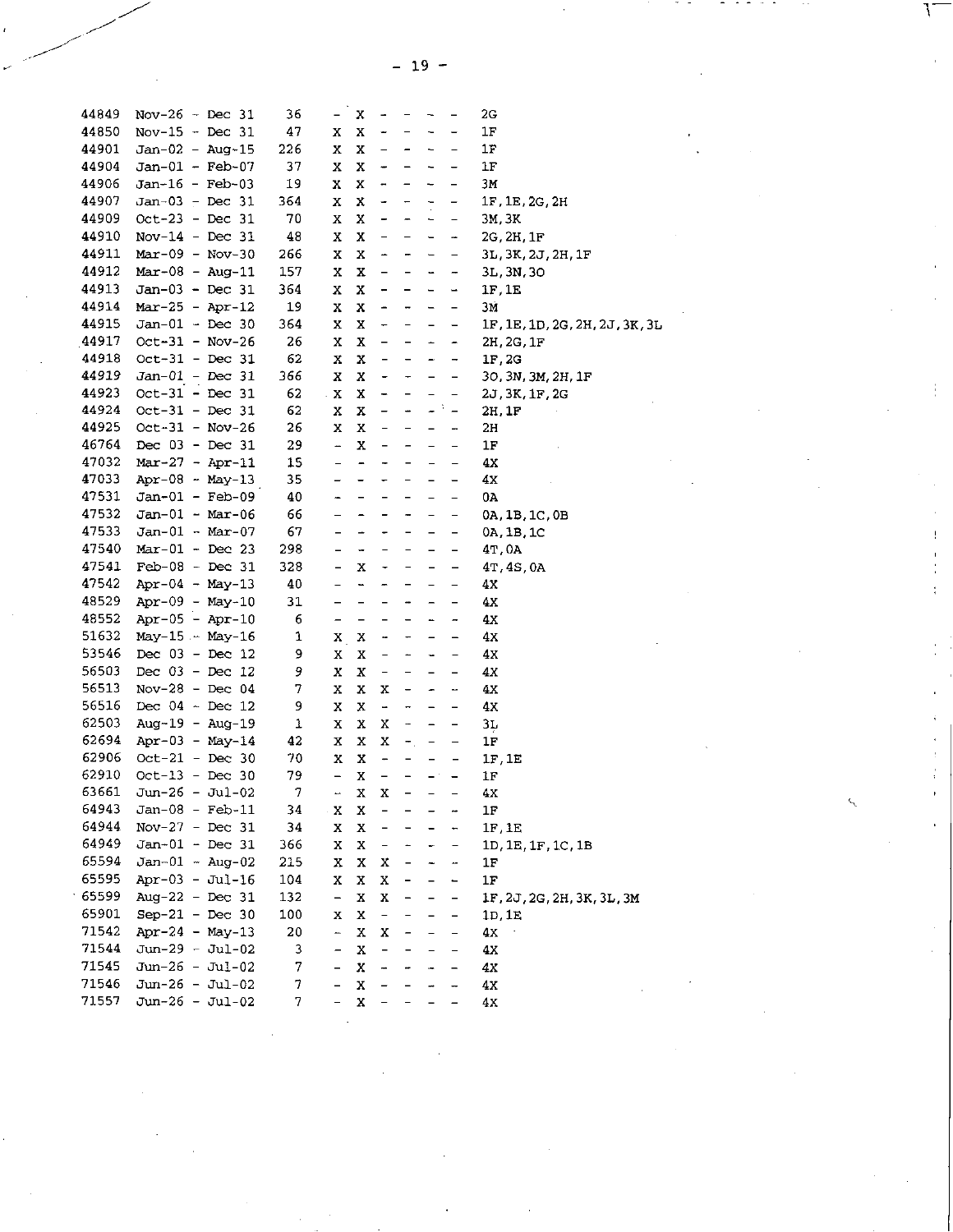$- 19 -$ 

ţ,

| 44849 | Nov-26 - Dec 31       | 36  | -                        | x                            | $\overline{\phantom{a}}$     |                              | $\overline{\phantom{0}}$     | $\qquad \qquad \blacksquare$ | 2G                             |
|-------|-----------------------|-----|--------------------------|------------------------------|------------------------------|------------------------------|------------------------------|------------------------------|--------------------------------|
| 44850 | Nov-15 - Dec 31       | 47  | X                        | $\mathbf x$                  | -                            |                              | $\overline{\phantom{a}}$     | $\qquad \qquad -$            | 1F                             |
| 44901 | Jan-02 - Aug-15       | 226 | x                        | $\mathbf x$                  | $\qquad \qquad -$            | $\overline{\phantom{a}}$     | $\overline{\phantom{0}}$     | $\overline{a}$               | 1F                             |
| 44904 | $Jan-01 - Feb-07$     | 37  | x                        | x                            | $\qquad \qquad \blacksquare$ | $\overline{\phantom{a}}$     | $\overline{\phantom{a}}$     | $\qquad \qquad -$            | $1\mathrm{F}$                  |
| 44906 | Jan-16 - Feb-03       | 19  | Χ                        | X                            | $\blacksquare$               | $\qquad \qquad \blacksquare$ | $\overline{\phantom{a}}$     | $\blacksquare$               | ЗΜ                             |
| 44907 | $Jan-03 - Dec 31$     | 364 | x                        | x                            | -                            | $\overline{\phantom{m}}$     | ÷                            | $\qquad \qquad -$            | 1F, 1E, 2G, 2H                 |
| 44909 | Oct-23 - Dec 31       | 70  | X                        | X                            | -                            | $\overline{\phantom{a}}$     | $\overline{\phantom{a}}$     | $\overline{\phantom{a}}$     | 3M, 3K                         |
| 44910 | Nov-14 - Dec $31$     | 48  | x                        | x                            | -                            | -                            | $\qquad \qquad$              | $\tilde{\phantom{a}}$        | 2G, 2H, 1F                     |
| 44911 | $Mar-09 - Nov-30$     | 266 | x                        | X                            | -                            | -                            | $\qquad \qquad$              | $\qquad \qquad -$            | 3L, 3K, 2J, 2H, 1F             |
| 44912 | $Mar-08 - Aug-11$     | 157 | x                        | $\mathbf x$                  | $\overline{\phantom{0}}$     | $\qquad \qquad -$            | $\qquad \qquad \blacksquare$ | $\overline{\phantom{a}}$     | 3L, 3N, 3O                     |
| 44913 | $Jan-03 - Dec 31$     | 364 | X                        | x                            | $\overline{\phantom{0}}$     | $\overline{\phantom{a}}$     | $\qquad \qquad$              | $\overline{\phantom{a}}$     | 1F, 1E                         |
| 44914 | $Mar-25 - Apr-12$     | 19  | x                        | $\mathbf x$                  | $\blacksquare$               | $\blacksquare$               | $\qquad \qquad \blacksquare$ | $\overline{\phantom{a}}$     | 3Ń                             |
| 44915 | Jan-01 - Dec 30       | 364 | x                        | x                            | $\overline{\phantom{a}}$     | $ \,$                        | $\overline{\phantom{a}}$     | $-$                          | 1F, 1E, 1D, 2G, 2H, 2J, 3K, 3L |
| 44917 | $Oct-31 - Nov-26$     | 26  | х                        | X                            | $\overline{\phantom{0}}$     | $\overline{\phantom{a}}$     | $\overline{\phantom{a}}$     | $\overline{\phantom{a}}$     | 2H, 2G, 1F                     |
| 44918 | $Oct-31$ - Dec 31     | 62  | x                        | x                            | $\overline{\phantom{0}}$     | $\overline{\phantom{a}}$     | $\overline{\phantom{a}}$     | $\overline{\phantom{a}}$     | 1F, 2G                         |
| 44919 | $Jan-01 - Dec 31$     | 366 | x                        | x                            | $\overline{\phantom{0}}$     | $\overline{\phantom{0}}$     | $\qquad \qquad -$            | $\qquad \qquad -$            | 30, 3N, 3M, 2H, 1F             |
| 44923 | $Oct-31 - Dec 31$     | 62  | . X                      | $\mathbf x$                  | $\overline{\phantom{0}}$     | $\overline{\phantom{0}}$     | -                            |                              | 2J, 3K, 1F, 2G                 |
| 44924 | $Oct-31 - Dec 31$     | 62  | x                        | $\mathbf x$                  | $\overline{\phantom{a}}$     | $\overline{\phantom{a}}$     |                              | $\omega^{\rm (3)}$ $=$       | 2H, 1F                         |
| 44925 | $Oct - 31 - Nov - 26$ | 26  | x                        | x                            | $\qquad \qquad -$            | -                            | $\qquad \qquad -$            | $\overline{\phantom{a}}$     | 2H                             |
| 46764 | Dec $03 - Dec 31$     | 29  | $\frac{1}{2}$            | $\mathbf x$                  | -                            | $\overline{\phantom{a}}$     | $\overline{\phantom{a}}$     | $\overline{\phantom{a}}$     | 1F                             |
| 47032 | $Mar-27 - Apr-11$     | 15  | $\overline{\phantom{0}}$ | $\blacksquare$               | ÷                            | $\blacksquare$               | $\overline{\phantom{0}}$     | $\overline{\phantom{0}}$     | 4X                             |
| 47033 | Apr-08 - May-13       | 35  | $\overline{\phantom{0}}$ | $\overline{\phantom{0}}$     | $\overline{\phantom{0}}$     | $\overline{\phantom{a}}$     | $\qquad \qquad -$            | $\qquad \qquad -$            | 4X                             |
| 47531 | Jan-01 - Feb-09       | 40  | -                        | $\overline{\phantom{0}}$     | $\qquad \qquad -$            | $\overline{\phantom{0}}$     | $\qquad \qquad -$            | $\overline{\phantom{0}}$     | 0A                             |
| 47532 | $Jan-01 - Mar-06$     | 66  | $\overline{a}$           | $\qquad \qquad \blacksquare$ | $\overline{\phantom{0}}$     | $\overline{ }$               | $\overline{\phantom{0}}$     | $\qquad \qquad -$            | 0A, 1B, 1C, 0B                 |
| 47533 | $Jan-01 - Mar-07$     | 67  | $\qquad \qquad -$        | $\rightarrow$                | $\blacksquare$               | $\blacksquare$               | $\qquad \qquad =$            | $\qquad \qquad \blacksquare$ | 0A, 1B, 1C                     |
| 47540 | $Mar-01 - Dec 23$     | 298 | $\qquad \qquad -$        | ÷                            | $\overline{\phantom{0}}$     | $\overline{\phantom{a}}$     | $\qquad \qquad -$            | $\overline{\phantom{a}}$     | 41,0A                          |
| 47541 | $Feb-08 - Dec 31$     | 328 | $\overline{\phantom{0}}$ | X                            | $\overline{\phantom{a}}$     | $\overline{\phantom{a}}$     | $\qquad \qquad -$            | $\qquad \qquad -$            | 4T, 4S, 0A                     |
| 47542 | Apr-04 - May-13       | 40  | $\overline{\phantom{0}}$ | $\blacksquare$               | -                            | $\overline{\phantom{m}}$     |                              | $\overline{\phantom{a}}$     | 4X                             |
| 48529 | $Apr-09 - May-10$     | 31  | $\overline{\phantom{0}}$ | $\equiv$                     | ÷                            | ۰                            | $\blacksquare$               | $\qquad \qquad -$            | 4X                             |
| 48552 | $Apr-05 - Apr-10$     | 6   | $\overline{\phantom{0}}$ | $\qquad \qquad -$            | $\overline{a}$               |                              | ÷.                           | $\overline{a}$               | 4x                             |
| 51632 | May-15 $\sim$ May-16  | 1   | X                        | $\mathbf x$                  |                              | -                            | $\qquad \qquad -$            | $\qquad \qquad -$            | 4x                             |
| 53546 | Dec $03 - Dec 12$     | 9   | X                        | X                            | $\overline{\phantom{0}}$     | -                            | $\overline{\phantom{a}}$     | $\qquad \qquad -$            | 4x                             |
| 56503 | Dec $03 - Dec 12$     | 9   | x                        | x                            | $\blacksquare$               | -                            | $\blacksquare$               | $\qquad \qquad \blacksquare$ | 4X                             |
| 56513 | Nov-28 - Dec $04$     | 7   | х                        | x                            | х                            | $\overline{\phantom{0}}$     | ۰                            | $\overline{\phantom{a}}$     | 4Х                             |
| 56516 | Dec $04 - Dec 12$     | 9   | X                        | x                            | $\frac{1}{2}$                | -                            | $\qquad \qquad -$            | $\qquad \qquad -$            | 4х                             |
| 62503 | $Aug-19 - Aug-19$     | 1   | X                        | x                            | X                            | -                            | $\qquad \qquad -$            | $\qquad \qquad -$            | 31                             |
| 62694 | $Apr-03 - May-14$     | 42  | х                        | x                            | x                            | $\pm$                        | $\blacksquare$               | $\overline{\phantom{0}}$     | 1F                             |
| 62906 | Oct-21 - Dec 30       | 70  | x                        | $\mathbf x$                  | $\ddot{\phantom{1}}$         | $\overline{\phantom{0}}$     | -                            | $\qquad \qquad -$            | 1F, 1E                         |
| 62910 | $Oct-13 - Dec 30$     | 79  | $\overline{\phantom{a}}$ | x                            | $\overline{\phantom{0}}$     | $\qquad \qquad -$            | $\sim$ $^{\circ}$ .          | $\overline{\phantom{a}}$     | 1F                             |
| 63661 | Jun-26 - Jul-02       | 7   | -                        | X                            | х                            | $\qquad \qquad -$            | $\qquad \qquad -$            | $\overline{\phantom{a}}$     | 4х                             |
| 64943 | Jan-08 - Feb-11       | 34  | x                        | X                            |                              |                              |                              |                              | 1F                             |
| 64944 | $Nov-27 - Dec 31$     | 34  | x                        | x                            |                              |                              |                              | ÷                            | 1F, 1E                         |
| 64949 | $Jan-01 - Dec 31$     | 366 | x                        | x                            | -                            |                              |                              | $\qquad \qquad -$            | 1D, 1E, 1F, 1C, 1B             |
| 65594 | Jan-01 - Aug-02       | 215 | X                        | $\mathbf x$                  | x                            | -                            |                              | -                            | 1F                             |
| 65595 | Apr-03 - Jul-16       | 104 | x                        | $\mathbf x$                  | x                            | -                            |                              | $\qquad \qquad$              | 1F                             |
| 65599 | Aug-22 - Dec $31$     | 132 | $\blacksquare$           | $\mathbf x$                  | x                            | -                            | -                            | $\qquad \qquad \blacksquare$ | 1F, 2J, 2G, 2H, 3K, 3L, 3M     |
| 65901 | Sep-21 - Dec 30       | 100 | x                        | x                            | $\qquad \qquad -$            |                              |                              | $\qquad \qquad -$            | 1D, 1E                         |
| 71542 | $Apr-24 - May-13$     | 20  | -                        | $\mathbf x$                  | х                            |                              |                              | $\qquad \qquad -$            | 4x                             |
| 71544 | Jun-29 - Jul-02       | 3   | $\qquad \qquad -$        | $\mathbf x$                  | $\overline{\phantom{0}}$     |                              |                              | $\overline{\phantom{a}}$     | 4 <sub>X</sub>                 |
| 71545 | Jun-26 - Jul-02       | 7   | -                        | X                            |                              |                              |                              | $\overline{\phantom{0}}$     | 4x                             |
| 71546 | $Jun-26 - Jul-02$     | 7   | $\overline{a}$           | $\mathbf x$                  |                              |                              |                              |                              | 4x                             |
| 71557 | $Jun-26 - Jul-02$     | 7   | $\overline{a}$           | $\mathbf x$                  |                              |                              |                              |                              | 4x                             |
|       |                       |     |                          |                              |                              |                              |                              |                              |                                |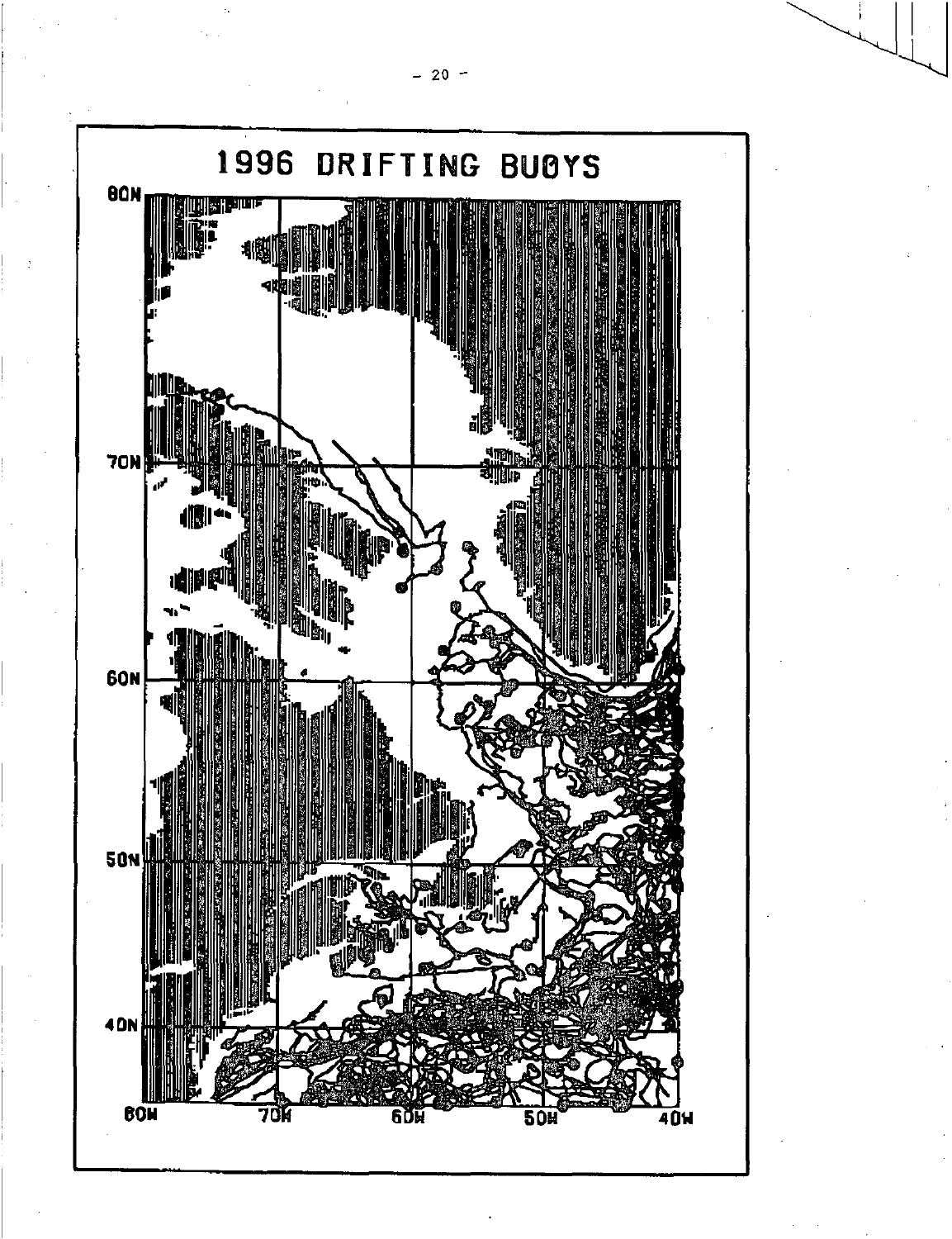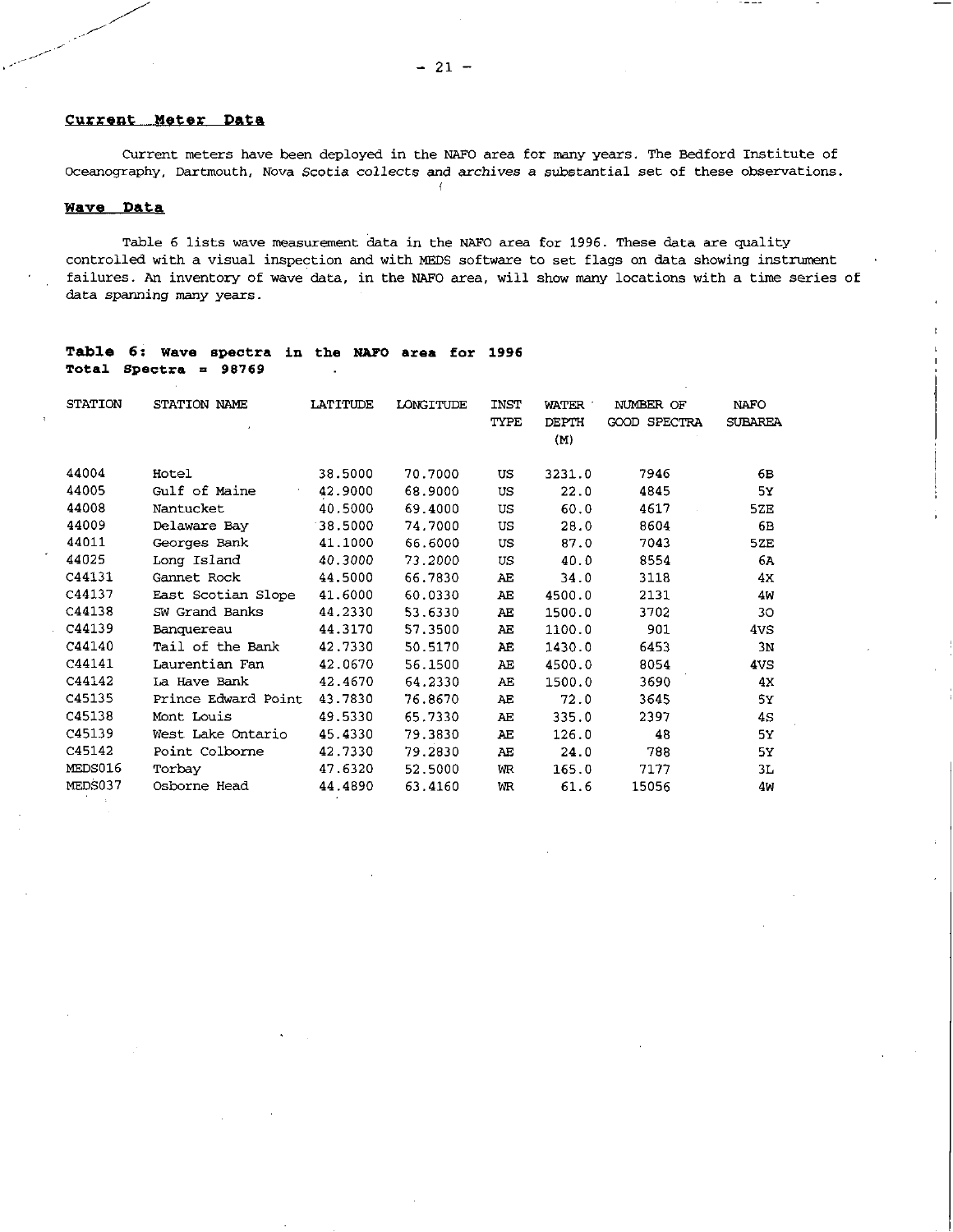## **Current Meter Data**

Current meters have been deployed in the NAFO area for many years. The Bedford Institute of Oceanography, Dartmouth, Nova Scotia collects and archives a substantial set of these observations.

# **Wave Data**

Table 6 lists wave measurement data in the NAFO area for 1996. These data are quality controlled with a visual inspection and with MEDS software to set flags on data showing instrument failures. An inventory of wave data, in the NAFO area, will show many locations with a time series of data spanning many years.

| <b>STATION</b> | STATION NAME        | <b>LATITUDE</b> | LONGITUDE | <b>INST</b> | <b>WATER</b> | NUMBER OF           | <b>NAFO</b>    |
|----------------|---------------------|-----------------|-----------|-------------|--------------|---------------------|----------------|
|                |                     |                 |           | TYPE        | <b>DEPTH</b> | <b>GOOD SPECTRA</b> | <b>SUBAREA</b> |
|                |                     |                 |           |             | (M)          |                     |                |
|                |                     |                 |           |             |              |                     |                |
| 44004          | Hotel               | 38.5000         | 70.7000   | US          | 3231.0       | 7946                | 6в             |
| 44005          | Gulf of Maine       | 42.9000         | 68.9000   | US          | 22.0         | 4845                | 5х             |
| 44008          | Nantucket           | 40.5000         | 69,4000   | US          | 60.0         | 4617                | 5ZE            |
| 44009          | Delaware Bay        | 38.5000         | 74,7000   | US          | 28.0         | 8604                | 6B             |
| 44011          | Georges Bank        | 41.1000         | 66.6000   | <b>US</b>   | 87.0         | 7043                | 5ZE            |
| 44025          | Long Island         | 40.3000         | 73.2000   | US.         | 40.0         | 8554                | 6A             |
| C44131         | Gannet Rock         | 44.5000         | 66.7830   | AE          | 34.0         | 3118                | 4х             |
| C44137         | East Scotian Slope  | 41.6000         | 60.0330   | AE          | 4500.0       | 2131                | 4W             |
| C44138         | SW Grand Banks      | 44.2330         | 53.6330   | AE          | 1500.0       | 3702                | 30             |
| C44139         | Banquereau          | 44.3170         | 57,3500   | ΛЕ          | 1100.0       | 901                 | 4vs            |
| C44140         | Tail of the Bank    | 42.7330         | 50.5170   | AE          | 1430.0       | 6453                | 3 <sub>N</sub> |
| C44141         | Laurentian Fan      | 42.0670         | 56.1500   | AE          | 4500.0       | 8054                | 4VS            |
| C44142         | La Have Bank        | 42.4670         | 64.2330   | AE          | 1500.0       | 3690                | 4x             |
| C45135         | Prince Edward Point | 43.7830         | 76.8670   | ΆE          | 72.0         | 3645                | 5У             |
| C45138         | Mont Louis          | 49.5330         | 65.7330   | AE          | 335.0        | 2397                | 45             |
| C45139         | West Lake Ontario   | 45.4330         | 79.3830   | AE          | 126.0        | 48                  | 5Y             |
| C45142         | Point Colborne      | 42.7330         | 79.2830   | AE          | 24.0         | 788                 | 5У             |
| MEDS016        | Torbay              | 47.6320         | 52.5000   | WR          | 165.0        | 7177                | 3L             |
| MEDS037        | Osborne Head        | 44.4890         | 63.4160   | WR          | 61.6         | 15056               | 4W             |

## **Table 6: wave spectra in the NAPO area for 1996 Total Spectra = 98769**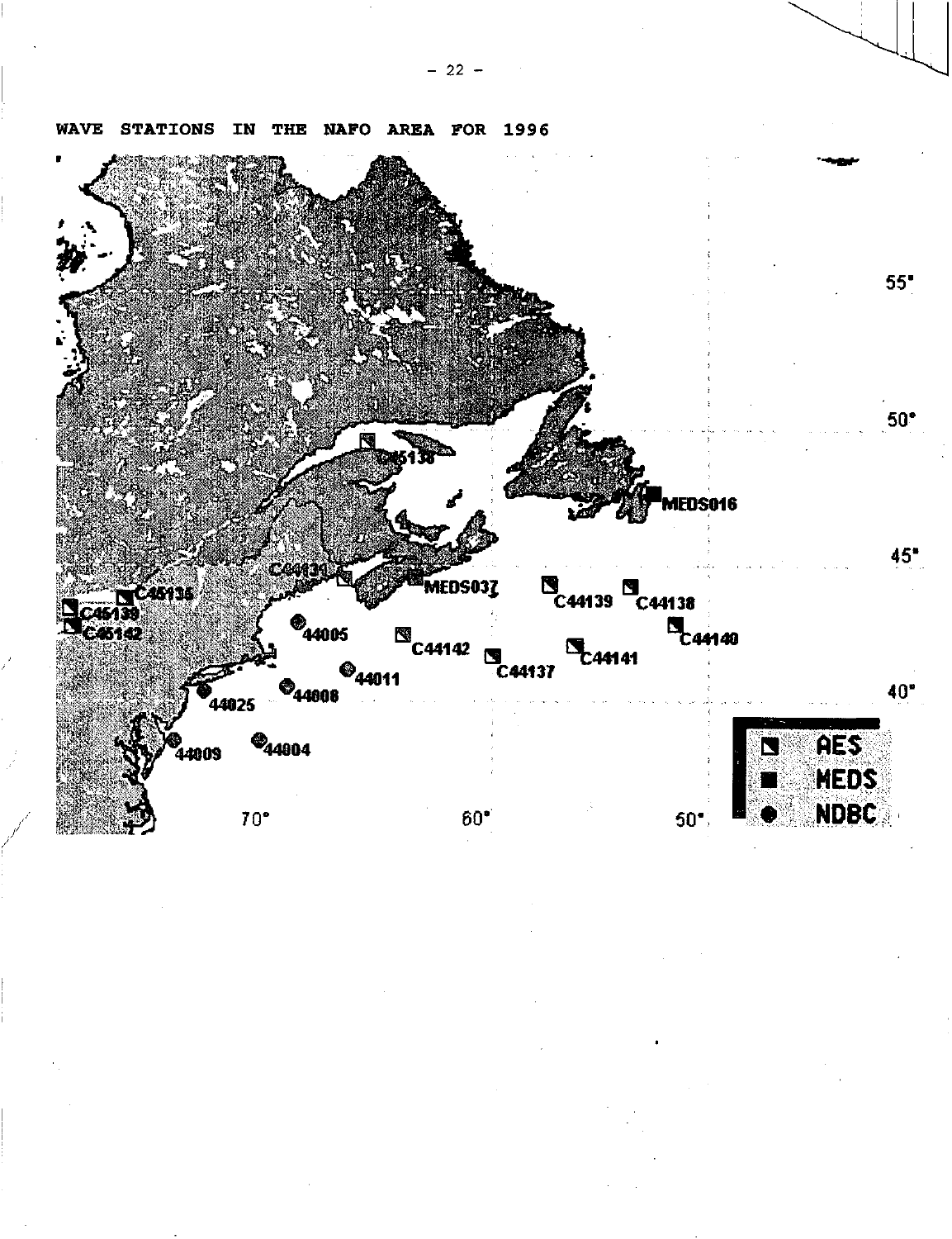

**WAVE STATIONS** IN THE NAFO AREA FOR 1996

 $-22 -$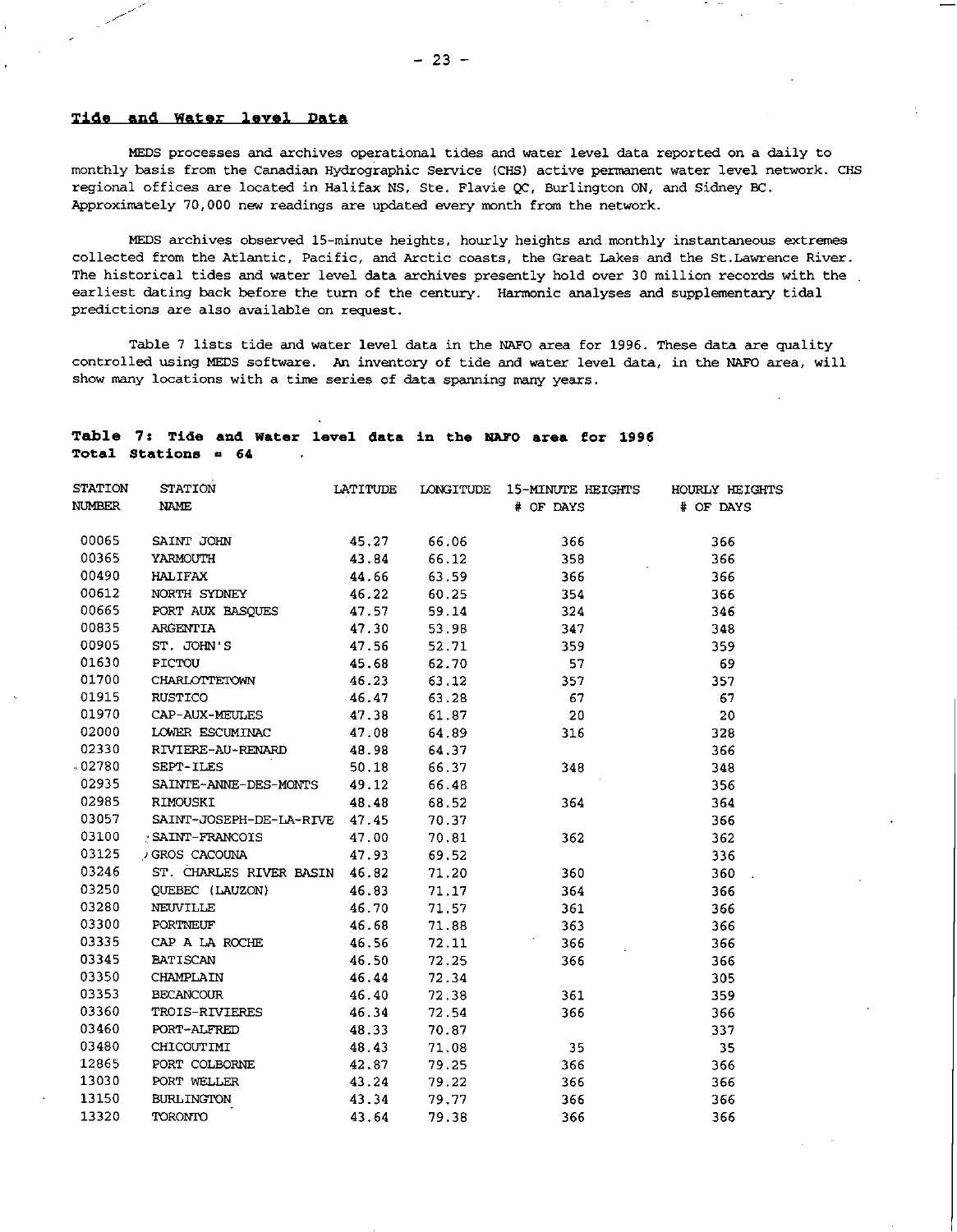## **Tide and Water level Data**

STATION T

MEDS processes and archives operational tides and water level data reported on a daily to monthly basis from the Canadian Hydrographic Service (CHS) active permanent water level network. CHS regional offices are located in Halifax NS, Ste. Flavie QC, Burlington ON, and Sidney BC. Approximately 70,000 new readings are updated every month from the network.

MEDS archives observed 15-minute heights, hourly heights and monthly instantaneous extremes collected from the Atlantic, Pacific, and Arctic coasts, the Great Lakes and the St.Lawrence River. The historical tides and water level data archives presently hold over 30 million records with the earliest dating back before the turn of the century. Harmonic analyses and supplementary tidal predictions are also available on request.

Table 7 lists tide and water level data in the NAFO area for 1996. These data are quality controlled using MEDS software. An inventory of tide and water level data, in the NAFO area, will show many locations with a time series of data spanning many years.

## **Table 7: Tide and Water level data in the NAPO area for 1996 Total Stations a 64**

| STATION       | <b>STATION</b>                | LATITUDE | LONGITUDE | 15-MINUTE HEIGHTS | HOURLY HEIGHTS |
|---------------|-------------------------------|----------|-----------|-------------------|----------------|
| <b>NUMBER</b> | <b>NAME</b>                   |          |           | # OF DAYS         | # OF DAYS      |
|               |                               |          |           |                   |                |
| 00065         | SAINT JOHN                    | 45.27    | 66.06     | 366               | 366            |
| 00365         | YARMOUTH                      | 43.84    | 66.12     | 358               | 366            |
| 00490         | <b>HALIFAX</b>                | 44.66    | 63.59     | 366               | 366            |
| 00612         | NORTH SYDNEY                  | 46.22    | 60.25     | 354               | 366            |
| 00665         | PORT AUX BASQUES              | 47.57    | 59.14     | 324               | 346            |
| 00835         | ARGENTIA                      | 47.30    | 53.98     | 347               | 348            |
| 00905         | ST. JOHN'S                    | 47.56    | 52.71     | 359               | 359            |
| 01630         | PICTOU                        | 45.68    | 62.70     | 57                | 69             |
| 01700         | CHARLOTTETOWN                 | 46.23    | 63.12     | 357               | 357            |
| 01915         | <b>RUSTICO</b>                | 46.47    | 63.28     | 67                | 67             |
| 01970         | CAP-AUX-MEULES                | 47.38    | 61.87     | 20                | 20             |
| 02000         | LOWER ESCUMINAC               | 47.08    | 64.89     | 316               | 328            |
| 02330         | RIVIERE-AU-RENARD             | 48.98    | 64.37     |                   | 366            |
| 02780         | <b>SEPT-ILES</b>              | 50.18    | 66.37     | 348.              | 348            |
| 02935         | SAINTE-ANNE-DES-MONTS         | 49.12    | 66.48     |                   | 356            |
| 02985         | RIMOUSKI                      | 48.48    | 68.52     | 364               | 364            |
| 03057         | SAINT-JOSEPH-DE-LA-RIVE 47.45 |          | 70.37     |                   | 366            |
| 03100         | : SAINT-FRANCOIS              | 47.00    | 70.81     | 362               | 362            |
| 03125         | / GROS CACOUNA                | 47.93    | 69.52     |                   | 336            |
| 03246         | ST. CHARLES RIVER BASIN 46.82 |          | 71.20     | 360               | 360            |
| 03250         | QUEBEC (LAUZON)               | 46.83    | 71.17     | 364               | 366            |
| 03280         | <b>NEUVILLE</b>               | 46.70    | 71.57     | 361               | 366            |
| 03300         | PORTNEUF                      | 46.68    | 71.88     | 363               | 366            |
| 03335         | CAP A LA ROCHE                | 46.56    | 72.11     | 366               | 366            |
| 03345         | <b>BATISCAN</b>               | 46.50    | 72.25     | 366               | 366            |
| 03350         | CHAMPLAIN                     | 46.44    | 72.34     |                   | 305            |
| 03353         | <b>BECANCOUR</b>              | 46.40    | 72.38     | 361               | 359            |
| 03360         | TROIS-RIVIERES                | 46.34    | 72.54     | 366               | 366            |
| 03460         | PORT-ALFRED                   | 48.33    | 70.87     |                   | 337            |
| 03480         | CHICOUTIMI                    | 48.43    | 71.08     | 35                | 35             |
| 12865         | PORT COLBORNE                 | 42.87    | 79.25     | 366               | 366            |
| 13030         | PORT WELLER                   | 43.24    | 79.22     | 366               | 366            |
| 13150         | <b>BURLINGTON</b>             | 43.34    | 79.77     | 366               | 366            |
| 13320         | <b>TORONTO</b>                | 43.64    | 79.38     | 366               | 366            |
|               |                               |          |           |                   |                |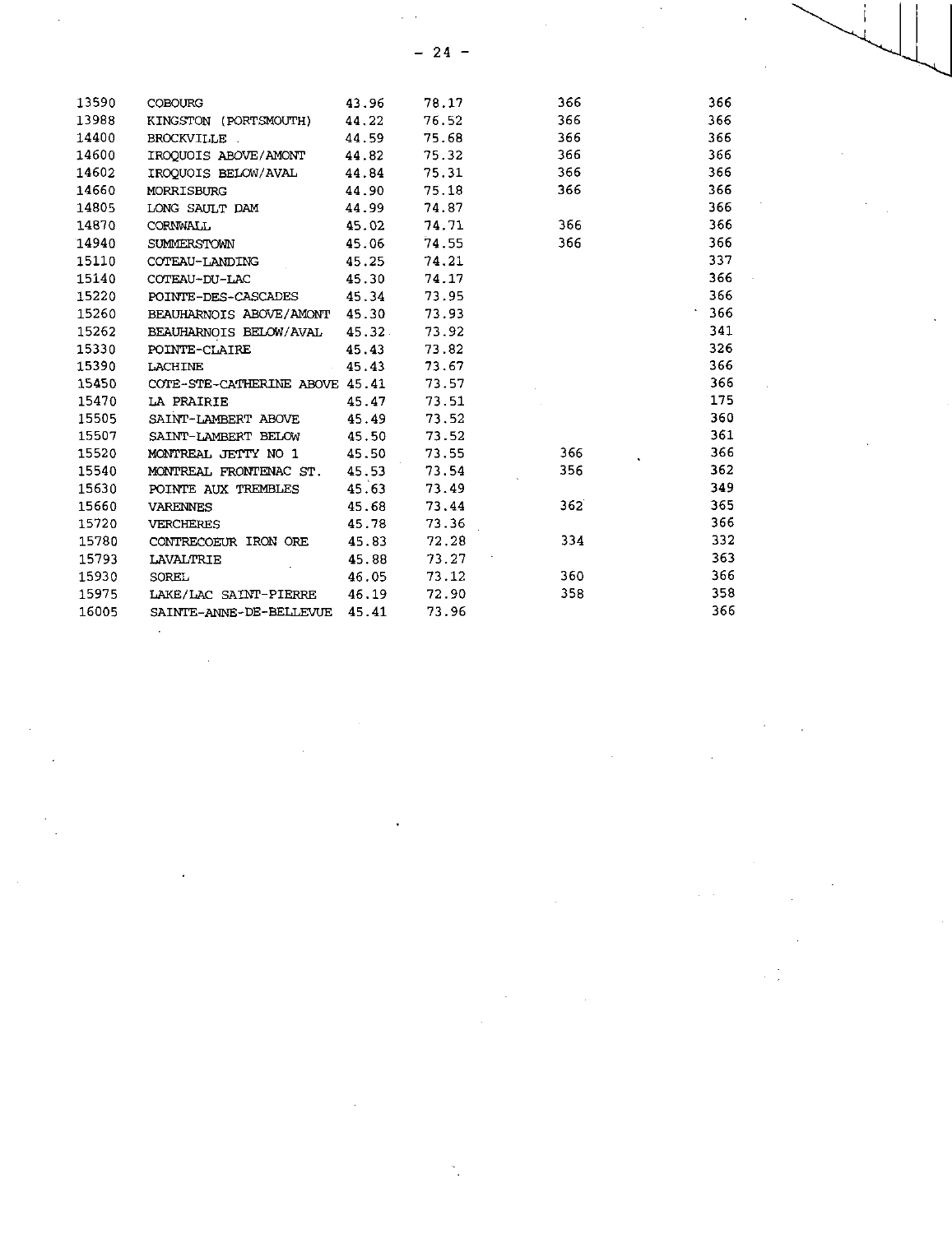$\frac{1}{\sqrt{2}}\int_{0}^{\sqrt{2}}\frac{1}{\sqrt{2}}\left( \frac{1}{2}\right) ^{2}d\theta d\theta$ 

 $\label{eq:2.1} \frac{1}{\sqrt{2}}\sum_{i=1}^n\frac{1}{\sqrt{2}}\sum_{i=1}^n\frac{1}{\sqrt{2}}\sum_{i=1}^n\frac{1}{\sqrt{2}}\sum_{i=1}^n\frac{1}{\sqrt{2}}\sum_{i=1}^n\frac{1}{\sqrt{2}}\sum_{i=1}^n\frac{1}{\sqrt{2}}\sum_{i=1}^n\frac{1}{\sqrt{2}}\sum_{i=1}^n\frac{1}{\sqrt{2}}\sum_{i=1}^n\frac{1}{\sqrt{2}}\sum_{i=1}^n\frac{1}{\sqrt{2}}\sum_{i=1}^n\frac$ 

| - 24<br>366<br>13590<br>366<br>78.17<br><b>COBOURG</b><br>43.96<br>13988<br>76.52<br>366<br>366<br>44.22<br>KINGSTON (PORTSMOUTH)<br>14400<br>75.68<br>366<br><b>BROCKVILLE</b><br>44.59<br>366<br>14600<br>366<br>IROQUOIS ABOVE/AMONT<br>44.82<br>75.32<br>366<br>75.31<br>366<br>366<br>IROQUOIS BELOW/AVAL<br>44.84<br>366<br><b>MORRISBURG</b><br>75.18<br>366<br>44.90<br>366<br>74.87<br>LONG SAULT DAM<br>44.99<br>366<br>366<br>CORNWALL<br>45.02<br>74.71<br>366<br>366<br>74.55<br>SUMMERSTOWN<br>45.06<br>337<br>45.25<br>74.21<br>COTEAU-LANDING<br>366<br>74.17<br>COTEAU-DU-LAC<br>45.30<br>366<br>73.95<br>45.34<br>POINTE-DES-CASCADES<br>366<br>BEAUHARNOIS ABOVE/AMONT 45.30<br>73.93<br>341<br>73.92<br>BEAUHARNOIS BELOW/AVAL<br>45.32.<br>326<br>73.82<br>POINTE-CLAIRE<br>45.43<br>366<br>15390<br>45.43<br>73.67<br><b>LACHINE</b><br>366<br>15450<br>COTE-STE-CATHERINE ABOVE 45.41<br>73.57<br>175<br>15470<br>LA PRAIRIE<br>73.51<br>45.47<br>360<br>45.49<br>73.52<br>SAINT-LAMBERT ABOVE<br>361<br>15507<br>73.52<br>SAINT-LAMBERT BELOW<br>45.50<br>366<br>73.55<br>366<br>45.50<br>MONTREAL JETTY NO 1<br>362<br>73.54<br>356<br>MONTREAL FRONTENAC ST.<br>45.53<br>349<br>POINTE AUX TREMBLES<br>45.63<br>73.49<br>362<br>365<br>15660<br>45.68<br>73.44<br><b>VARENNES</b><br>366<br>15720<br>73.36<br>45.78<br><b>VERCHERES</b><br>332<br>334<br>15780<br>72.28<br>CONTRECOEUR IRON ORE<br>45.83<br>363<br>15793<br>45.88<br>73.27<br><b>LAVALTRIE</b><br>366<br>360<br>15930<br>46.05<br>73.12<br>SOREL |       |  |  |  |  |
|--------------------------------------------------------------------------------------------------------------------------------------------------------------------------------------------------------------------------------------------------------------------------------------------------------------------------------------------------------------------------------------------------------------------------------------------------------------------------------------------------------------------------------------------------------------------------------------------------------------------------------------------------------------------------------------------------------------------------------------------------------------------------------------------------------------------------------------------------------------------------------------------------------------------------------------------------------------------------------------------------------------------------------------------------------------------------------------------------------------------------------------------------------------------------------------------------------------------------------------------------------------------------------------------------------------------------------------------------------------------------------------------------------------------------------------------------------------------------------------------------------------------------------------------|-------|--|--|--|--|
|                                                                                                                                                                                                                                                                                                                                                                                                                                                                                                                                                                                                                                                                                                                                                                                                                                                                                                                                                                                                                                                                                                                                                                                                                                                                                                                                                                                                                                                                                                                                            |       |  |  |  |  |
|                                                                                                                                                                                                                                                                                                                                                                                                                                                                                                                                                                                                                                                                                                                                                                                                                                                                                                                                                                                                                                                                                                                                                                                                                                                                                                                                                                                                                                                                                                                                            |       |  |  |  |  |
|                                                                                                                                                                                                                                                                                                                                                                                                                                                                                                                                                                                                                                                                                                                                                                                                                                                                                                                                                                                                                                                                                                                                                                                                                                                                                                                                                                                                                                                                                                                                            |       |  |  |  |  |
|                                                                                                                                                                                                                                                                                                                                                                                                                                                                                                                                                                                                                                                                                                                                                                                                                                                                                                                                                                                                                                                                                                                                                                                                                                                                                                                                                                                                                                                                                                                                            |       |  |  |  |  |
|                                                                                                                                                                                                                                                                                                                                                                                                                                                                                                                                                                                                                                                                                                                                                                                                                                                                                                                                                                                                                                                                                                                                                                                                                                                                                                                                                                                                                                                                                                                                            |       |  |  |  |  |
|                                                                                                                                                                                                                                                                                                                                                                                                                                                                                                                                                                                                                                                                                                                                                                                                                                                                                                                                                                                                                                                                                                                                                                                                                                                                                                                                                                                                                                                                                                                                            |       |  |  |  |  |
|                                                                                                                                                                                                                                                                                                                                                                                                                                                                                                                                                                                                                                                                                                                                                                                                                                                                                                                                                                                                                                                                                                                                                                                                                                                                                                                                                                                                                                                                                                                                            |       |  |  |  |  |
|                                                                                                                                                                                                                                                                                                                                                                                                                                                                                                                                                                                                                                                                                                                                                                                                                                                                                                                                                                                                                                                                                                                                                                                                                                                                                                                                                                                                                                                                                                                                            |       |  |  |  |  |
|                                                                                                                                                                                                                                                                                                                                                                                                                                                                                                                                                                                                                                                                                                                                                                                                                                                                                                                                                                                                                                                                                                                                                                                                                                                                                                                                                                                                                                                                                                                                            | 14602 |  |  |  |  |
|                                                                                                                                                                                                                                                                                                                                                                                                                                                                                                                                                                                                                                                                                                                                                                                                                                                                                                                                                                                                                                                                                                                                                                                                                                                                                                                                                                                                                                                                                                                                            | 14660 |  |  |  |  |
|                                                                                                                                                                                                                                                                                                                                                                                                                                                                                                                                                                                                                                                                                                                                                                                                                                                                                                                                                                                                                                                                                                                                                                                                                                                                                                                                                                                                                                                                                                                                            | 14805 |  |  |  |  |
|                                                                                                                                                                                                                                                                                                                                                                                                                                                                                                                                                                                                                                                                                                                                                                                                                                                                                                                                                                                                                                                                                                                                                                                                                                                                                                                                                                                                                                                                                                                                            | 14870 |  |  |  |  |
|                                                                                                                                                                                                                                                                                                                                                                                                                                                                                                                                                                                                                                                                                                                                                                                                                                                                                                                                                                                                                                                                                                                                                                                                                                                                                                                                                                                                                                                                                                                                            | 14940 |  |  |  |  |
|                                                                                                                                                                                                                                                                                                                                                                                                                                                                                                                                                                                                                                                                                                                                                                                                                                                                                                                                                                                                                                                                                                                                                                                                                                                                                                                                                                                                                                                                                                                                            | 15110 |  |  |  |  |
|                                                                                                                                                                                                                                                                                                                                                                                                                                                                                                                                                                                                                                                                                                                                                                                                                                                                                                                                                                                                                                                                                                                                                                                                                                                                                                                                                                                                                                                                                                                                            | 15140 |  |  |  |  |
|                                                                                                                                                                                                                                                                                                                                                                                                                                                                                                                                                                                                                                                                                                                                                                                                                                                                                                                                                                                                                                                                                                                                                                                                                                                                                                                                                                                                                                                                                                                                            | 15220 |  |  |  |  |
|                                                                                                                                                                                                                                                                                                                                                                                                                                                                                                                                                                                                                                                                                                                                                                                                                                                                                                                                                                                                                                                                                                                                                                                                                                                                                                                                                                                                                                                                                                                                            | 15260 |  |  |  |  |
|                                                                                                                                                                                                                                                                                                                                                                                                                                                                                                                                                                                                                                                                                                                                                                                                                                                                                                                                                                                                                                                                                                                                                                                                                                                                                                                                                                                                                                                                                                                                            | 15262 |  |  |  |  |
|                                                                                                                                                                                                                                                                                                                                                                                                                                                                                                                                                                                                                                                                                                                                                                                                                                                                                                                                                                                                                                                                                                                                                                                                                                                                                                                                                                                                                                                                                                                                            | 15330 |  |  |  |  |
|                                                                                                                                                                                                                                                                                                                                                                                                                                                                                                                                                                                                                                                                                                                                                                                                                                                                                                                                                                                                                                                                                                                                                                                                                                                                                                                                                                                                                                                                                                                                            |       |  |  |  |  |
|                                                                                                                                                                                                                                                                                                                                                                                                                                                                                                                                                                                                                                                                                                                                                                                                                                                                                                                                                                                                                                                                                                                                                                                                                                                                                                                                                                                                                                                                                                                                            |       |  |  |  |  |
|                                                                                                                                                                                                                                                                                                                                                                                                                                                                                                                                                                                                                                                                                                                                                                                                                                                                                                                                                                                                                                                                                                                                                                                                                                                                                                                                                                                                                                                                                                                                            |       |  |  |  |  |
|                                                                                                                                                                                                                                                                                                                                                                                                                                                                                                                                                                                                                                                                                                                                                                                                                                                                                                                                                                                                                                                                                                                                                                                                                                                                                                                                                                                                                                                                                                                                            | 15505 |  |  |  |  |
|                                                                                                                                                                                                                                                                                                                                                                                                                                                                                                                                                                                                                                                                                                                                                                                                                                                                                                                                                                                                                                                                                                                                                                                                                                                                                                                                                                                                                                                                                                                                            |       |  |  |  |  |
|                                                                                                                                                                                                                                                                                                                                                                                                                                                                                                                                                                                                                                                                                                                                                                                                                                                                                                                                                                                                                                                                                                                                                                                                                                                                                                                                                                                                                                                                                                                                            | 15520 |  |  |  |  |
|                                                                                                                                                                                                                                                                                                                                                                                                                                                                                                                                                                                                                                                                                                                                                                                                                                                                                                                                                                                                                                                                                                                                                                                                                                                                                                                                                                                                                                                                                                                                            | 15540 |  |  |  |  |
|                                                                                                                                                                                                                                                                                                                                                                                                                                                                                                                                                                                                                                                                                                                                                                                                                                                                                                                                                                                                                                                                                                                                                                                                                                                                                                                                                                                                                                                                                                                                            | 15630 |  |  |  |  |
|                                                                                                                                                                                                                                                                                                                                                                                                                                                                                                                                                                                                                                                                                                                                                                                                                                                                                                                                                                                                                                                                                                                                                                                                                                                                                                                                                                                                                                                                                                                                            |       |  |  |  |  |
|                                                                                                                                                                                                                                                                                                                                                                                                                                                                                                                                                                                                                                                                                                                                                                                                                                                                                                                                                                                                                                                                                                                                                                                                                                                                                                                                                                                                                                                                                                                                            |       |  |  |  |  |
|                                                                                                                                                                                                                                                                                                                                                                                                                                                                                                                                                                                                                                                                                                                                                                                                                                                                                                                                                                                                                                                                                                                                                                                                                                                                                                                                                                                                                                                                                                                                            |       |  |  |  |  |
|                                                                                                                                                                                                                                                                                                                                                                                                                                                                                                                                                                                                                                                                                                                                                                                                                                                                                                                                                                                                                                                                                                                                                                                                                                                                                                                                                                                                                                                                                                                                            |       |  |  |  |  |
|                                                                                                                                                                                                                                                                                                                                                                                                                                                                                                                                                                                                                                                                                                                                                                                                                                                                                                                                                                                                                                                                                                                                                                                                                                                                                                                                                                                                                                                                                                                                            |       |  |  |  |  |
| 358<br>358<br>15975<br>46.19<br>72.90<br>LAKE/LAC SAINT-PIERRE                                                                                                                                                                                                                                                                                                                                                                                                                                                                                                                                                                                                                                                                                                                                                                                                                                                                                                                                                                                                                                                                                                                                                                                                                                                                                                                                                                                                                                                                             |       |  |  |  |  |
| 366<br>16005<br>73.96<br>SAINTE-ANNE-DE-BELLEVUE<br>45.41                                                                                                                                                                                                                                                                                                                                                                                                                                                                                                                                                                                                                                                                                                                                                                                                                                                                                                                                                                                                                                                                                                                                                                                                                                                                                                                                                                                                                                                                                  |       |  |  |  |  |

 $\label{eq:2.1} \frac{1}{\sqrt{2}}\int_{\mathbb{R}^3}\frac{d\mu}{\sqrt{2}}\left(\frac{d\mu}{\mu}\right)^2\frac{d\mu}{\sqrt{2}}\frac{d\mu}{\sqrt{2}}\frac{d\mu}{\sqrt{2}}\frac{d\mu}{\sqrt{2}}\frac{d\mu}{\sqrt{2}}\frac{d\mu}{\sqrt{2}}\frac{d\mu}{\sqrt{2}}\frac{d\mu}{\sqrt{2}}\frac{d\mu}{\sqrt{2}}\frac{d\mu}{\sqrt{2}}\frac{d\mu}{\sqrt{2}}\frac{d\mu}{\sqrt{2}}\frac{d\mu}{\sqrt{2}}\frac{d\mu}{$ 

 $\label{eq:2.1} \frac{1}{\sqrt{2}}\int_{\mathbb{R}^3}\frac{1}{\sqrt{2}}\left(\frac{1}{\sqrt{2}}\right)^2\frac{1}{\sqrt{2}}\left(\frac{1}{\sqrt{2}}\right)^2\frac{1}{\sqrt{2}}\left(\frac{1}{\sqrt{2}}\right)^2\frac{1}{\sqrt{2}}\left(\frac{1}{\sqrt{2}}\right)^2.$ 

 $\label{eq:2.1} \frac{1}{\sqrt{2}}\left(\frac{1}{\sqrt{2}}\right)^2\left(\frac{1}{\sqrt{2}}\right)^2\left(\frac{1}{\sqrt{2}}\right)^2\left(\frac{1}{\sqrt{2}}\right)^2\left(\frac{1}{\sqrt{2}}\right)^2\left(\frac{1}{\sqrt{2}}\right)^2\left(\frac{1}{\sqrt{2}}\right)^2\left(\frac{1}{\sqrt{2}}\right)^2\left(\frac{1}{\sqrt{2}}\right)^2\left(\frac{1}{\sqrt{2}}\right)^2\left(\frac{1}{\sqrt{2}}\right)^2\left(\frac{1}{\sqrt{2}}\right)^2\left(\frac{1}{\sqrt$ 

 $\label{eq:2.1} \mathcal{L}(\mathcal{L}^{\text{max}}_{\mathcal{L}}(\mathcal{L}^{\text{max}}_{\mathcal{L}}),\mathcal{L}^{\text{max}}_{\mathcal{L}}(\mathcal{L}^{\text{max}}_{\mathcal{L}}))\leq \mathcal{L}(\mathcal{L}^{\text{max}}_{\mathcal{L}}(\mathcal{L}^{\text{max}}_{\mathcal{L}}))$ 

 $\mathcal{L}^{\text{max}}_{\text{max}}$ 

 $\label{eq:2.1} \mathcal{L}(\mathcal{L}) = \mathcal{L}(\mathcal{L}) \mathcal{L}(\mathcal{L}) = \mathcal{L}(\mathcal{L}) \mathcal{L}(\mathcal{L})$